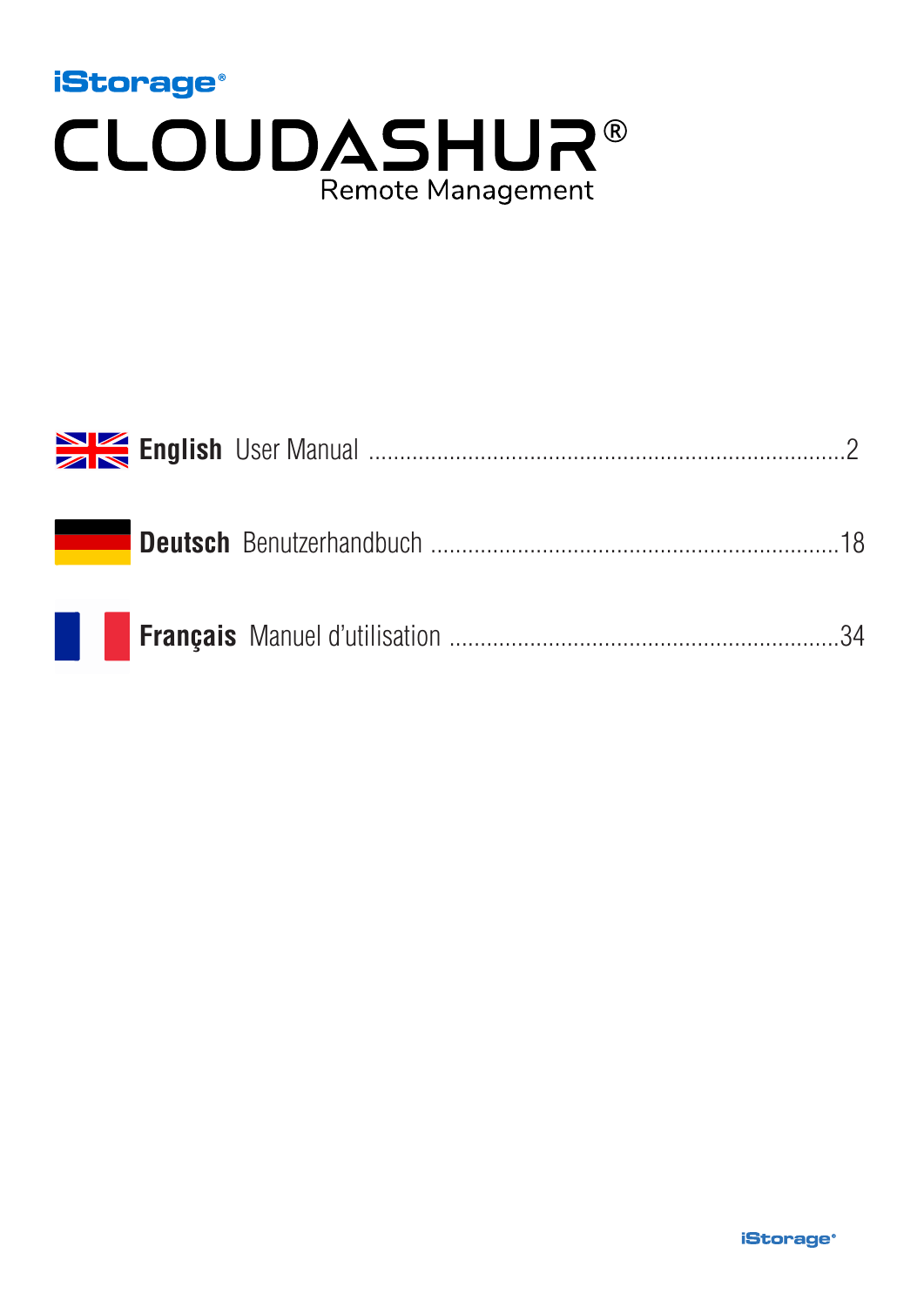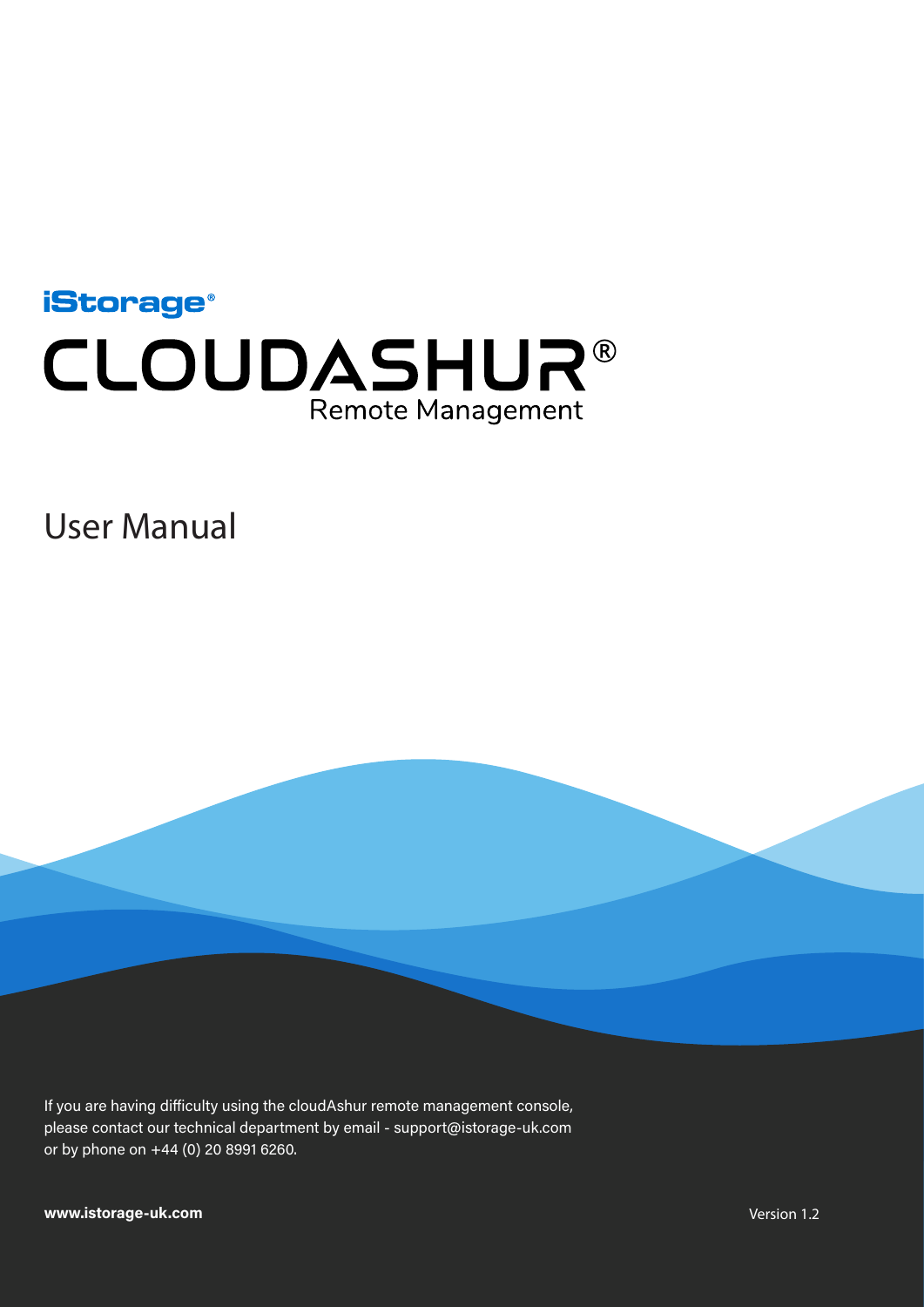<span id="page-1-0"></span>

User Manual

If you are having difficulty using the cloudAshur remote management console, please contact our technical department by email - support@istorage-uk.com or by phone on +44 (0) 20 8991 6260.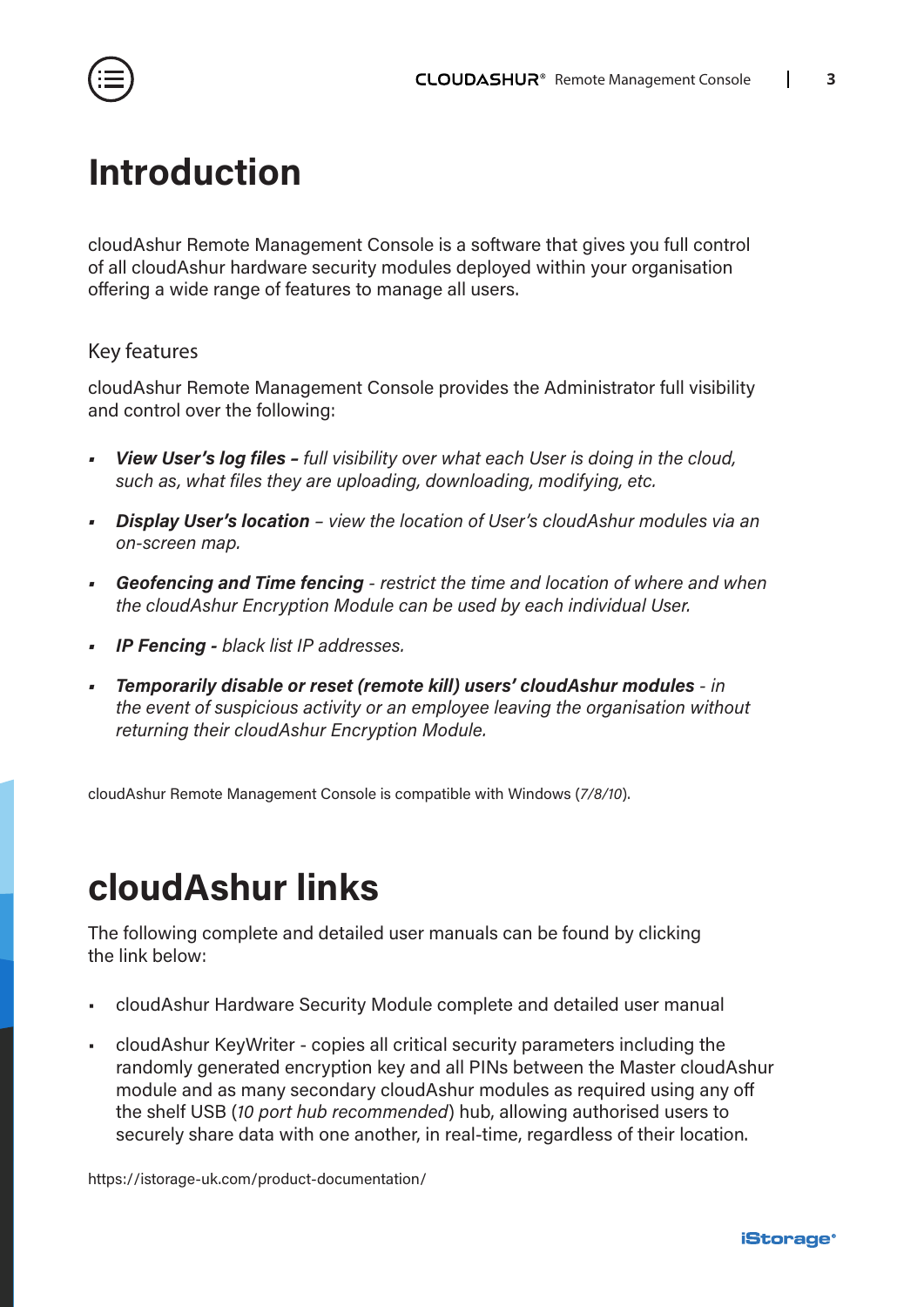<span id="page-2-0"></span>

### **Introduction**

cloudAshur Remote Management Console is a software that gives you full control of all cloudAshur hardware security modules deployed within your organisation offering a wide range of features to manage all users.

#### Key features

cloudAshur Remote Management Console provides the Administrator full visibility and control over the following:

- *• View User's log files full visibility over what each User is doing in the cloud, such as, what files they are uploading, downloading, modifying, etc.*
- *• Display User's location view the location of User's cloudAshur modules via an on-screen map.*
- *• Geofencing and Time fencing restrict the time and location of where and when the cloudAshur Encryption Module can be used by each individual User.*
- *• IP Fencing black list IP addresses.*
- *• Temporarily disable or reset (remote kill) users' cloudAshur modules in the event of suspicious activity or an employee leaving the organisation without returning their cloudAshur Encryption Module.*

cloudAshur Remote Management Console is compatible with Windows (*7/8/10*).

### **cloudAshur links**

The following complete and detailed user manuals can be found by clicking the link below:

- cloudAshur Hardware Security Module complete and detailed user manual
- cloudAshur KeyWriter copies all critical security parameters including the randomly generated encryption key and all PINs between the Master cloudAshur module and as many secondary cloudAshur modules as required using any off the shelf USB (*10 port hub recommended*) hub, allowing authorised users to securely share data with one another, in real-time, regardless of their location.

[https://istorage-uk.com/product-documentation/](http://istorage-uk.com/product-documentation/)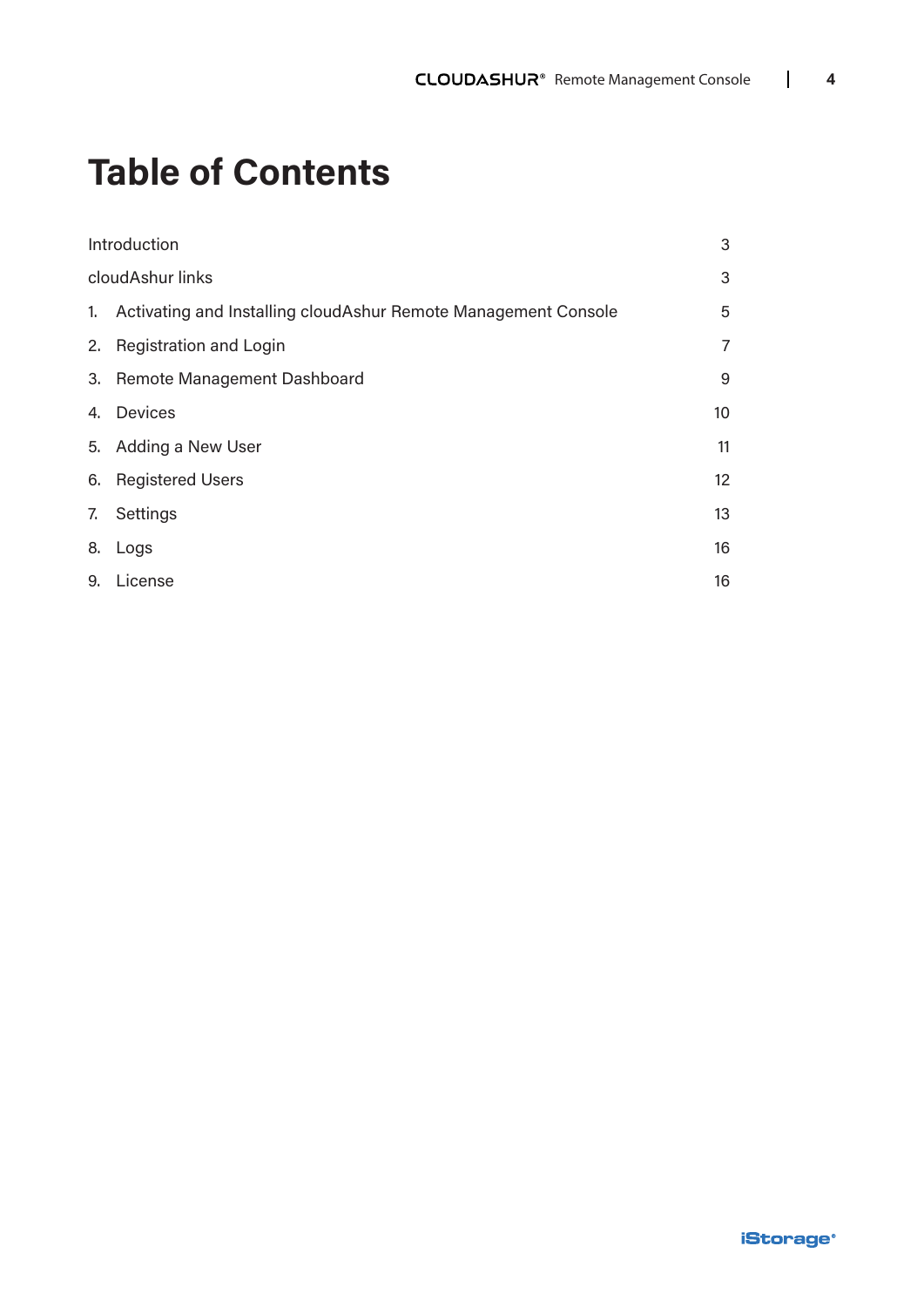## **Table of Contents**

| Introduction                                                      | 3              |
|-------------------------------------------------------------------|----------------|
| cloudAshur links                                                  | 3              |
| 1. Activating and Installing cloudAshur Remote Management Console | 5              |
| 2. Registration and Login                                         | $\overline{7}$ |
| 3. Remote Management Dashboard                                    | 9              |
| 4. Devices                                                        | 10             |
| 5. Adding a New User                                              | 11             |
| 6. Registered Users                                               | 12             |
| 7. Settings                                                       | 13             |
| 8. Logs                                                           | 16             |
| 9. License                                                        | 16             |
|                                                                   |                |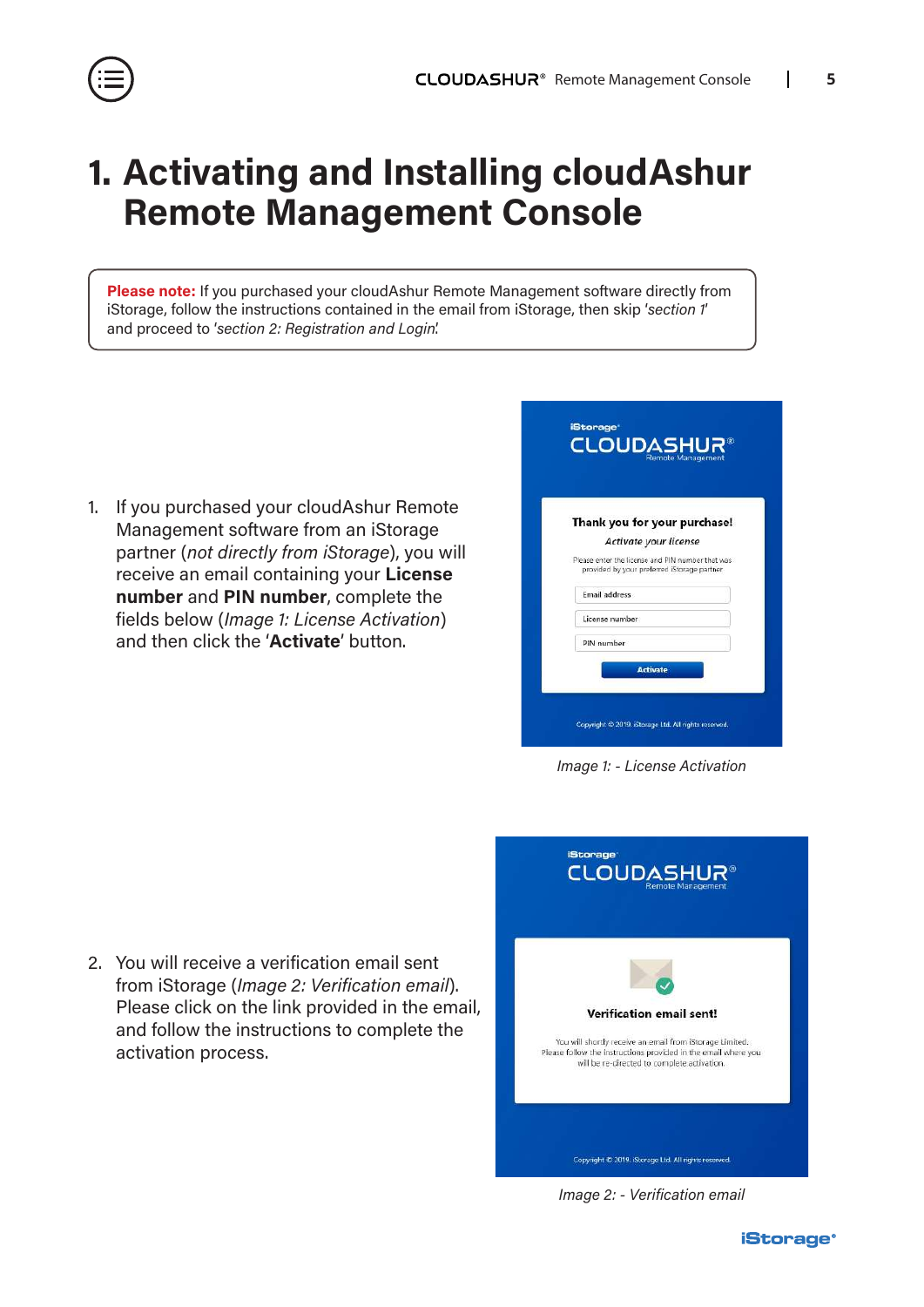### <span id="page-4-0"></span>**1. Activating and Installing cloudAshur Remote Management Console**

**Please note:** If you purchased your cloudAshur Remote Management software directly from iStorage, follow the instructions contained in the email from iStorage, then skip '*section 1*' and proceed to '*section 2: Registration and Login*'.

1. If you purchased your cloudAshur Remote Management software from an iStorage partner (*not directly from iStorage*), you will receive an email containing your **License number** and **PIN number**, complete the fields below (*Image 1: License Activation*) and then click the '**Activate**' button.

|                | Thank you for your purchase!                                                                    |
|----------------|-------------------------------------------------------------------------------------------------|
|                | Activate your license                                                                           |
|                | Please enter the license and PIN number that was<br>provided by your preferred iStorage partner |
| Email address  |                                                                                                 |
| License number |                                                                                                 |
| PIN number     |                                                                                                 |

*Image 1: - License Activation*

2. You will receive a verification email sent from iStorage (*Image 2: Verification email*). Please click on the link provided in the email, and follow the instructions to complete the activation process.



*Image 2: - Verification email*

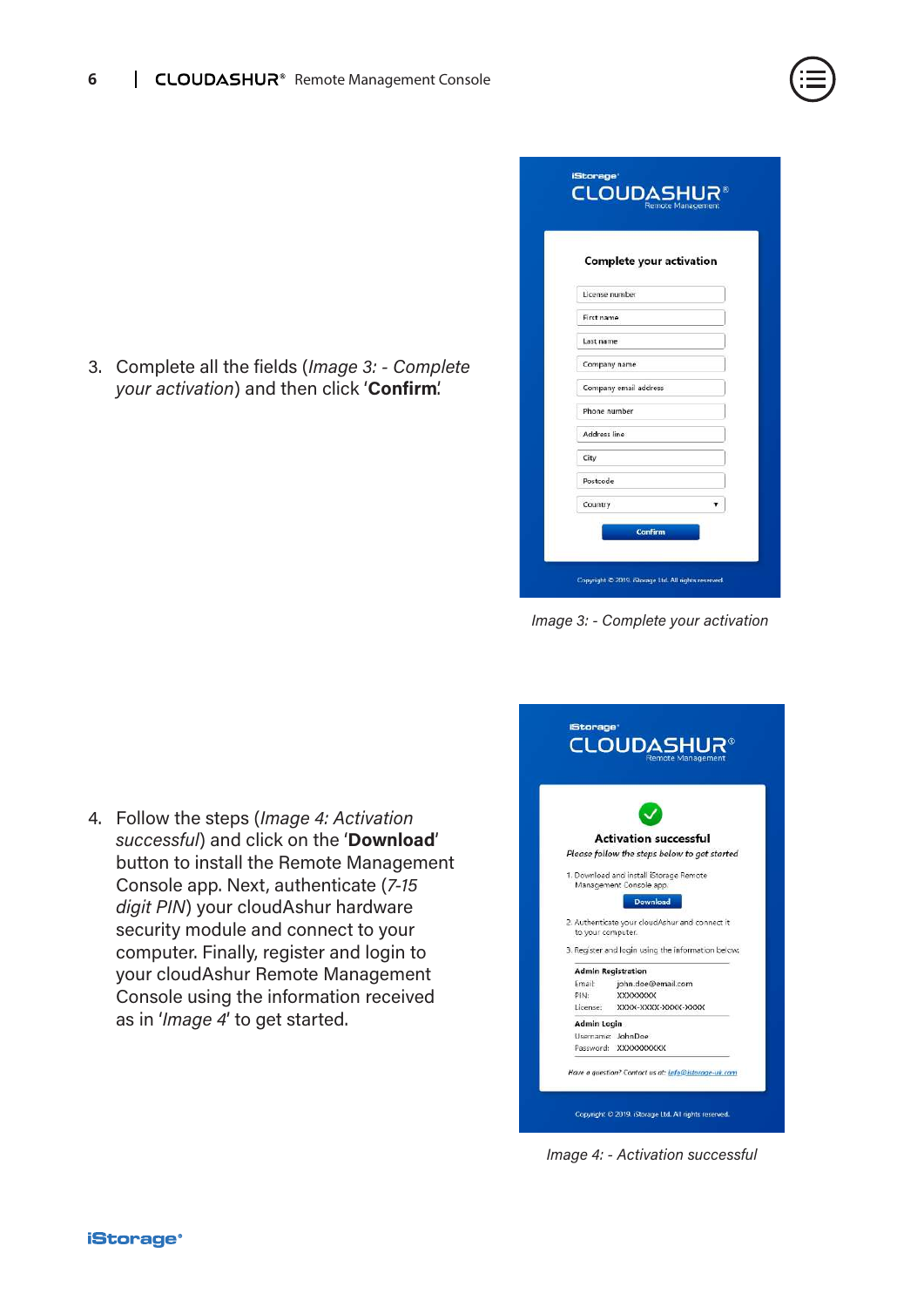

| Complete your activation |  |
|--------------------------|--|
| License number           |  |
| First name               |  |
| Last name                |  |
| Company name             |  |
| Company email address    |  |
| Phone number             |  |
| Address line             |  |
| City                     |  |
| Postcode                 |  |
| Country                  |  |

*Image 3: - Complete your activation*

4. Follow the steps (*Image 4: Activation successful*) and click on the '**Download**' button to install the Remote Management Console app. Next, authenticate (*7-15 digit PIN*) your cloudAshur hardware security module and connect to your computer. Finally, register and login to your cloudAshur Remote Management Console using the information received as in '*Image 4*' to get started.



*Image 4: - Activation successful*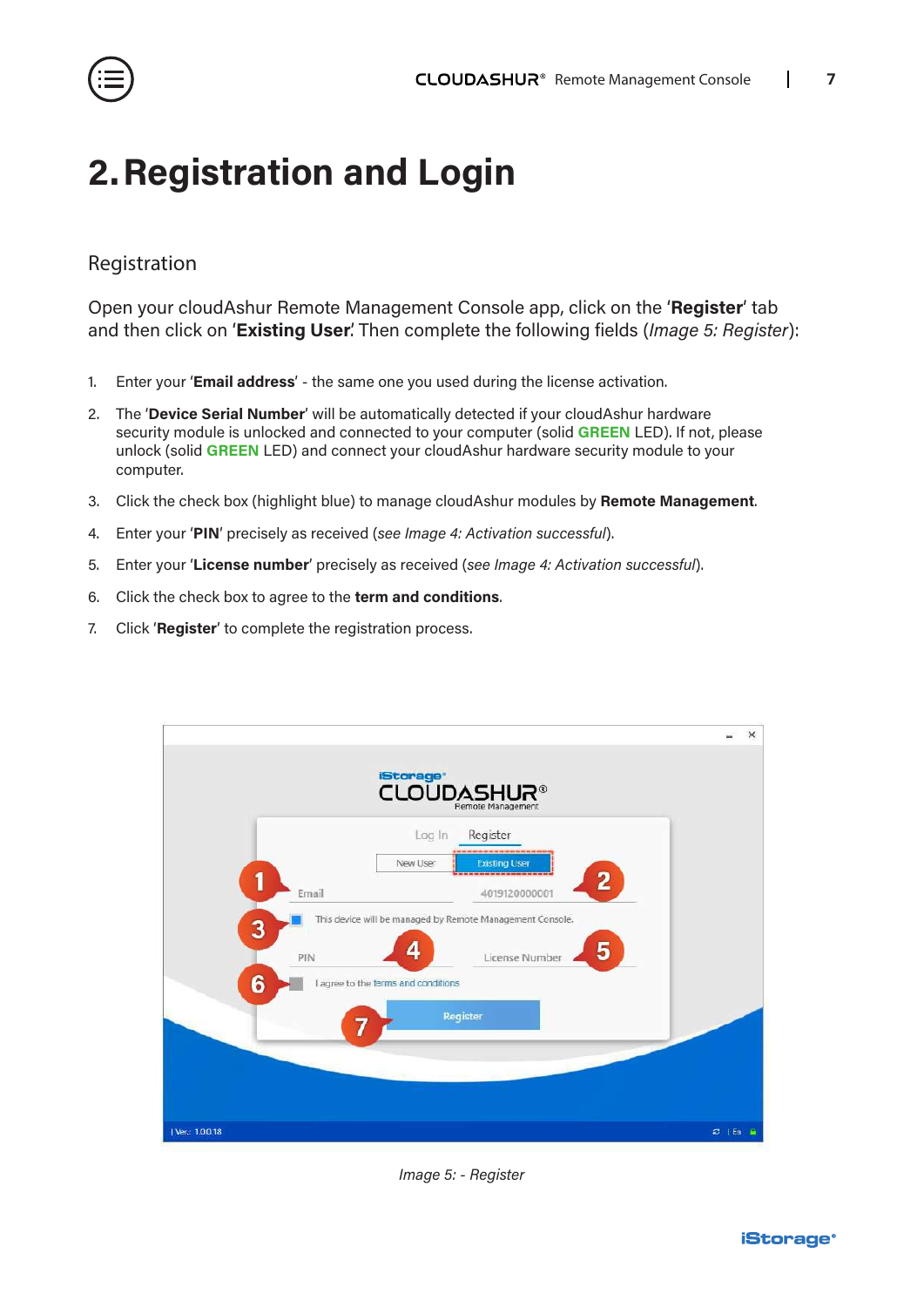<span id="page-6-0"></span>

### **2.Registration and Login**

### Registration

Open your cloudAshur Remote Management Console app, click on the '**Register**' tab and then click on '**Existing User**'. Then complete the following fields (*Image 5: Register*):

- 1. Enter your '**Email address**' the same one you used during the license activation.
- 2. The '**Device Serial Number**' will be automatically detected if your cloudAshur hardware security module is unlocked and connected to your computer (solid **GREEN** LED). If not, please unlock (solid **GREEN** LED) and connect your cloudAshur hardware security module to your computer.
- 3. Click the check box (highlight blue) to manage cloudAshur modules by **Remote Management**.
- 4. Enter your '**PIN**' precisely as received (*see Image 4: Activation successful*).
- 5. Enter your '**License number**' precisely as received (*see Image 4: Activation successful*).
- 6. Click the check box to agree to the **term and conditions**.
- 7. Click '**Register**' to complete the registration process.



*Image 5: - Register*

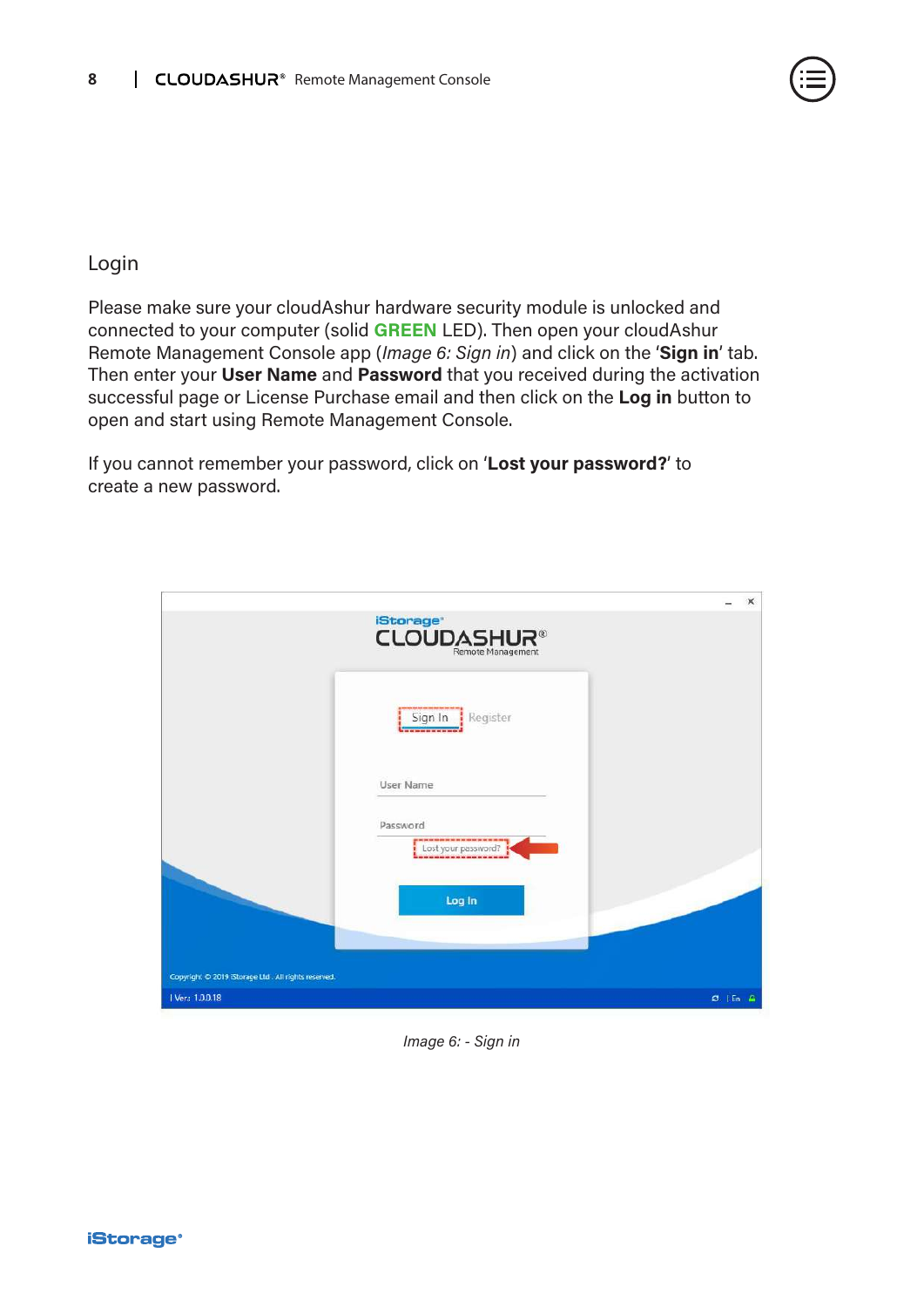

### Login

Please make sure your cloudAshur hardware security module is unlocked and connected to your computer (solid **GREEN** LED). Then open your cloudAshur Remote Management Console app (*Image 6: Sign in*) and click on the '**Sign in**' tab. Then enter your **User Name** and **Password** that you received during the activation successful page or License Purchase email and then click on the **Log in** button to open and start using Remote Management Console.

If you cannot remember your password, click on '**Lost your password?**' to create a new password.

|                                                     |                                                                                               | $\times$     |
|-----------------------------------------------------|-----------------------------------------------------------------------------------------------|--------------|
|                                                     | <b>iStorage</b><br><b>CLOUDASHUR®</b>                                                         |              |
|                                                     | Sign In<br>Register<br>-------------                                                          |              |
|                                                     | User Name                                                                                     |              |
|                                                     | Password<br>ga wa su sin minimu kin mi wa wa min min su wa su wa manag<br>Lost your password? |              |
|                                                     | Log In                                                                                        |              |
| Copyright © 2019 iStorage Ltd. All rights reserved. |                                                                                               |              |
| 1 Ver: 1.0.0.18                                     |                                                                                               | $C$   En $A$ |

*Image 6: - Sign in*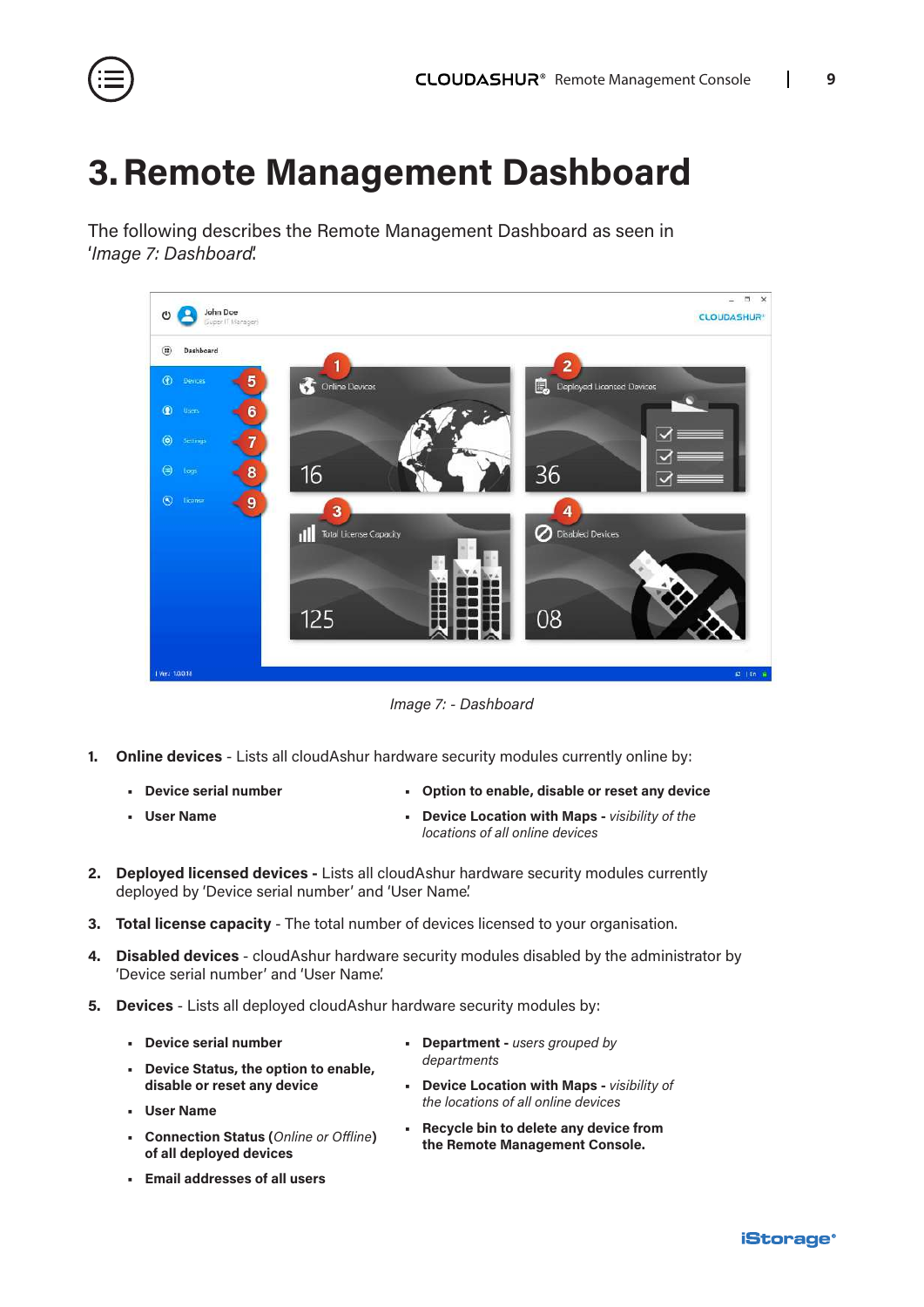<span id="page-8-0"></span>

### **3.Remote Management Dashboard**

The following describes the Remote Management Dashboard as seen in '*Image 7: Dashboard*'.



*Image 7: - Dashboard*

- **1. Online devices** Lists all cloudAshur hardware security modules currently online by:
	- **• Device serial number**
- **• Option to enable, disable or reset any device**

**• User Name**

- **• Device Location with Maps** *visibility of the locations of all online devices*
- **2. Deployed licensed devices** Lists all cloudAshur hardware security modules currently deployed by 'Device serial number' and 'User Name'.
- **3. Total license capacity** The total number of devices licensed to your organisation.
- **4. Disabled devices** cloudAshur hardware security modules disabled by the administrator by 'Device serial number' and 'User Name'.
- **5. Devices** Lists all deployed cloudAshur hardware security modules by:
	- **• Device serial number**
	- **• Device Status, the option to enable, disable or reset any device**
	- **• User Name**
	- **• Connection Status (***Online or Offline***) of all deployed devices**
	- **• Email addresses of all users**
- **• Department** *users grouped by departments*
- **• Device Location with Maps** *visibility of the locations of all online devices*
- **• Recycle bin to delete any device from the Remote Management Console.**

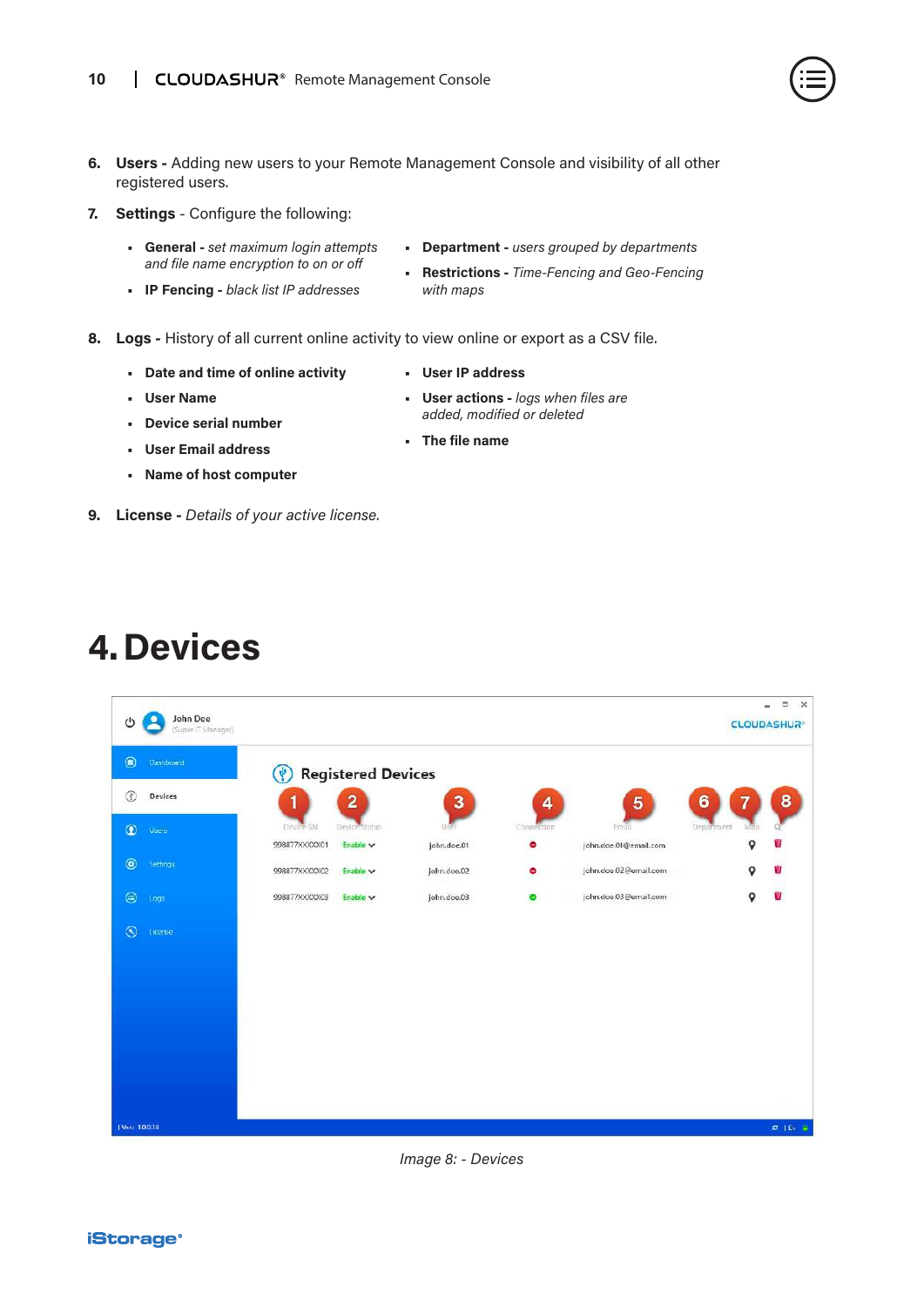- 
- <span id="page-9-0"></span>**6. Users -** Adding new users to your Remote Management Console and visibility of all other registered users.
- **7. Settings** Configure the following:
	- **• General** *set maximum login attempts and file name encryption to on or off*
	- **• IP Fencing** *black list IP addresses*
- **• Department** *users grouped by departments*
- **• Restrictions** *Time-Fencing and Geo-Fencing with maps*
- **8. Logs** History of all current online activity to view online or export as a CSV file.
	- **• Date and time of online activity**
- **• User IP address**

- **• User Name**
- **• Device serial number**
- **• User Email address**
- **• Name of host computer**
- **9. License** *Details of your active license.*
- **4.Devices**





- 
- **• The file name**
- **• User actions** *logs when files are added, modified or deleted*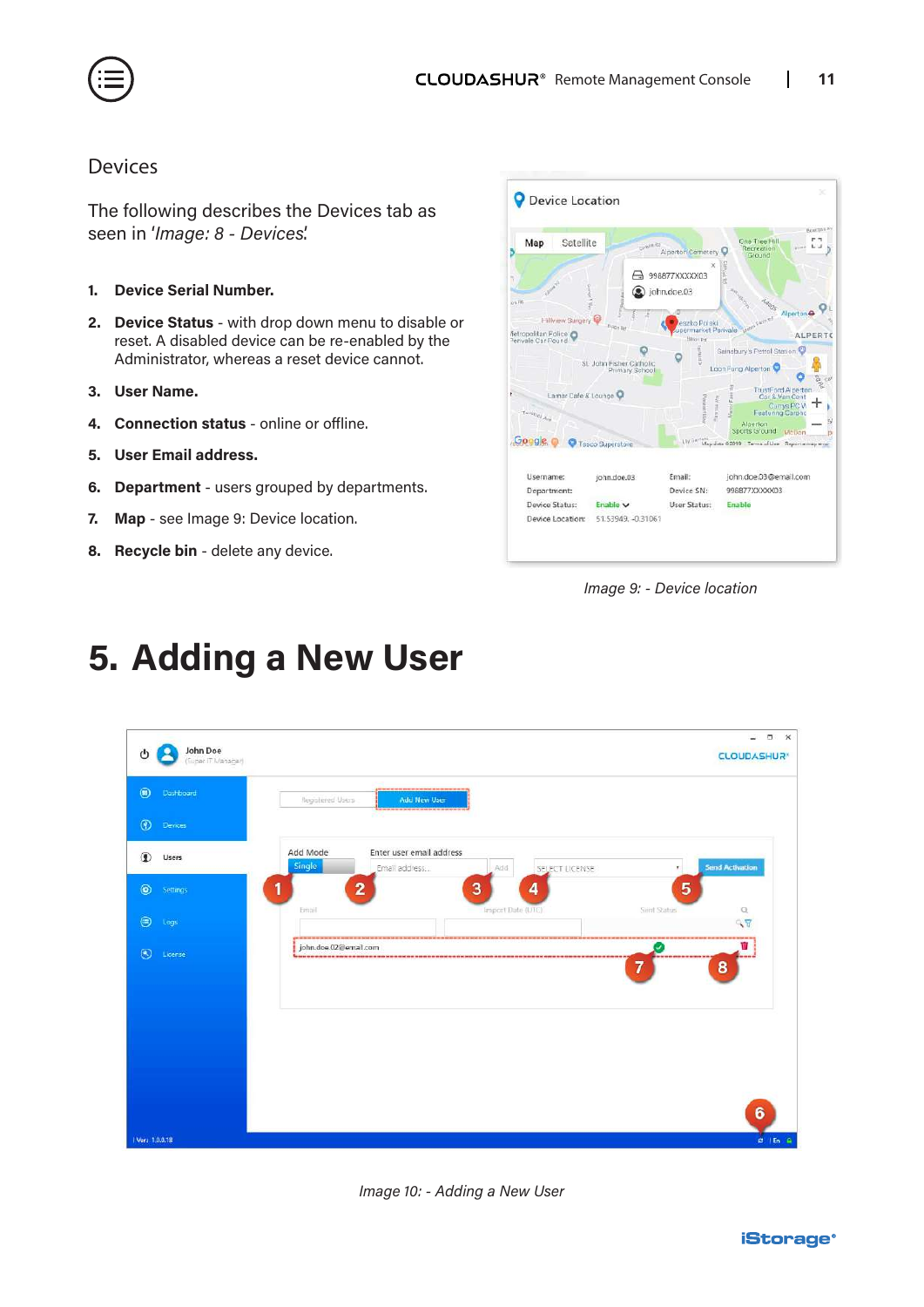<span id="page-10-0"></span>

#### Devices

The following describes the Devices tab as seen in '*Image: 8 - Devices*'.

- **1. Device Serial Number.**
- **2. Device Status** with drop down menu to disable or reset. A disabled device can be re-enabled by the Administrator, whereas a reset device cannot.
- **3. User Name.**
- **4. Connection status** online or offline.
- **5. User Email address.**
- **6. Department** users grouped by departments.
- **7. Map** see Image 9: Device location.
- **8. Recycle bin** delete any device.



*Image 9: - Device location*

### **5. Adding a New User**



*Image 10: - Adding a New User*

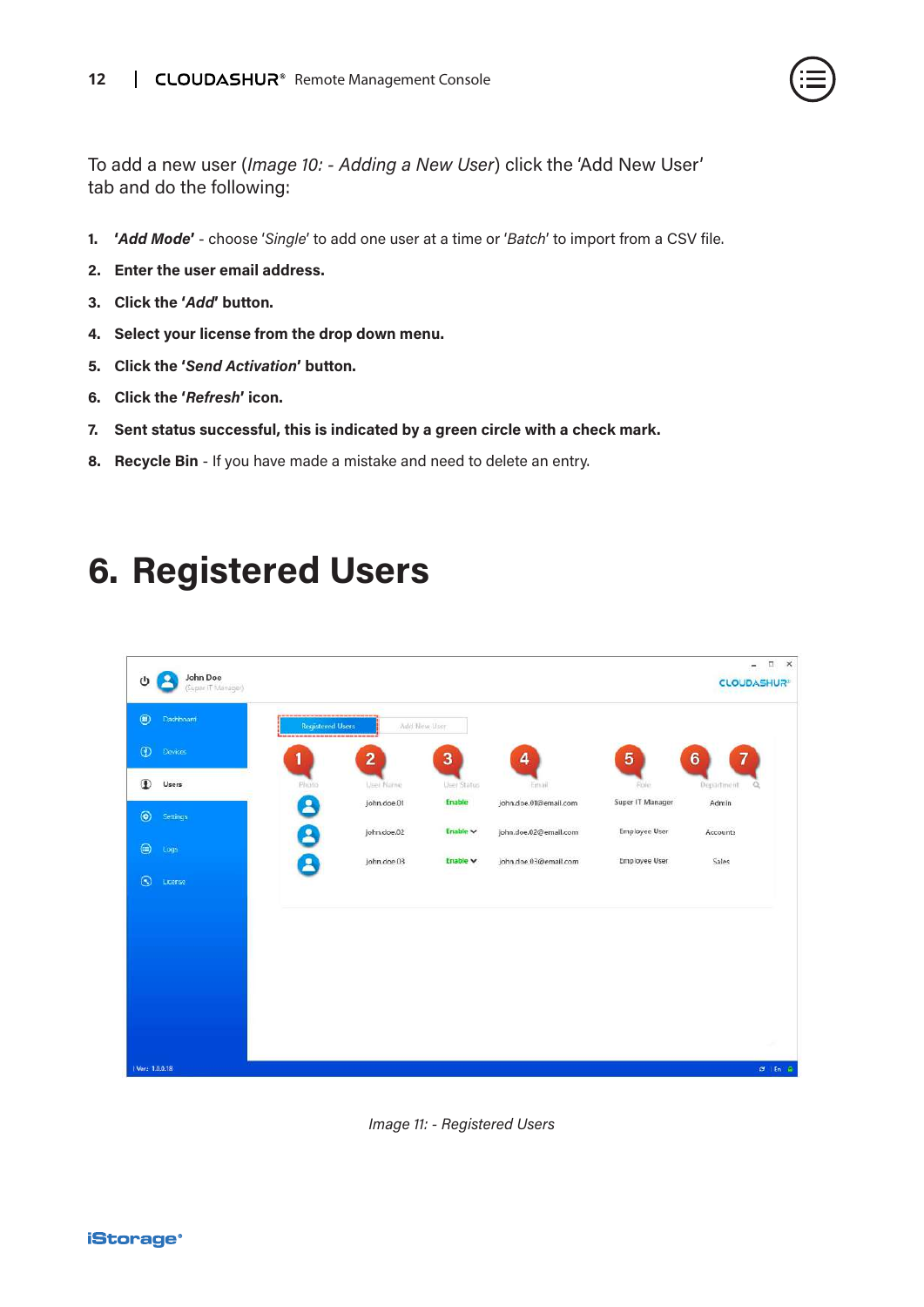

<span id="page-11-0"></span>To add a new user (*Image 10: - Adding a New User*) click the 'Add New User' tab and do the following:

- **1. '***Add Mode***'**  choose '*Single*' to add one user at a time or '*Batch*' to import from a CSV file.
- **2. Enter the user email address.**
- **3. Click the '***Add***' button.**
- **4. Select your license from the drop down menu.**
- **5. Click the '***Send Activation***' button.**
- **6. Click the '***Refresh***' icon.**
- **7. Sent status successful, this is indicated by a green circle with a check mark.**
- **8. Recycle Bin** If you have made a mistake and need to delete an entry.

### **6. Registered Users**



*Image 11: - Registered Users*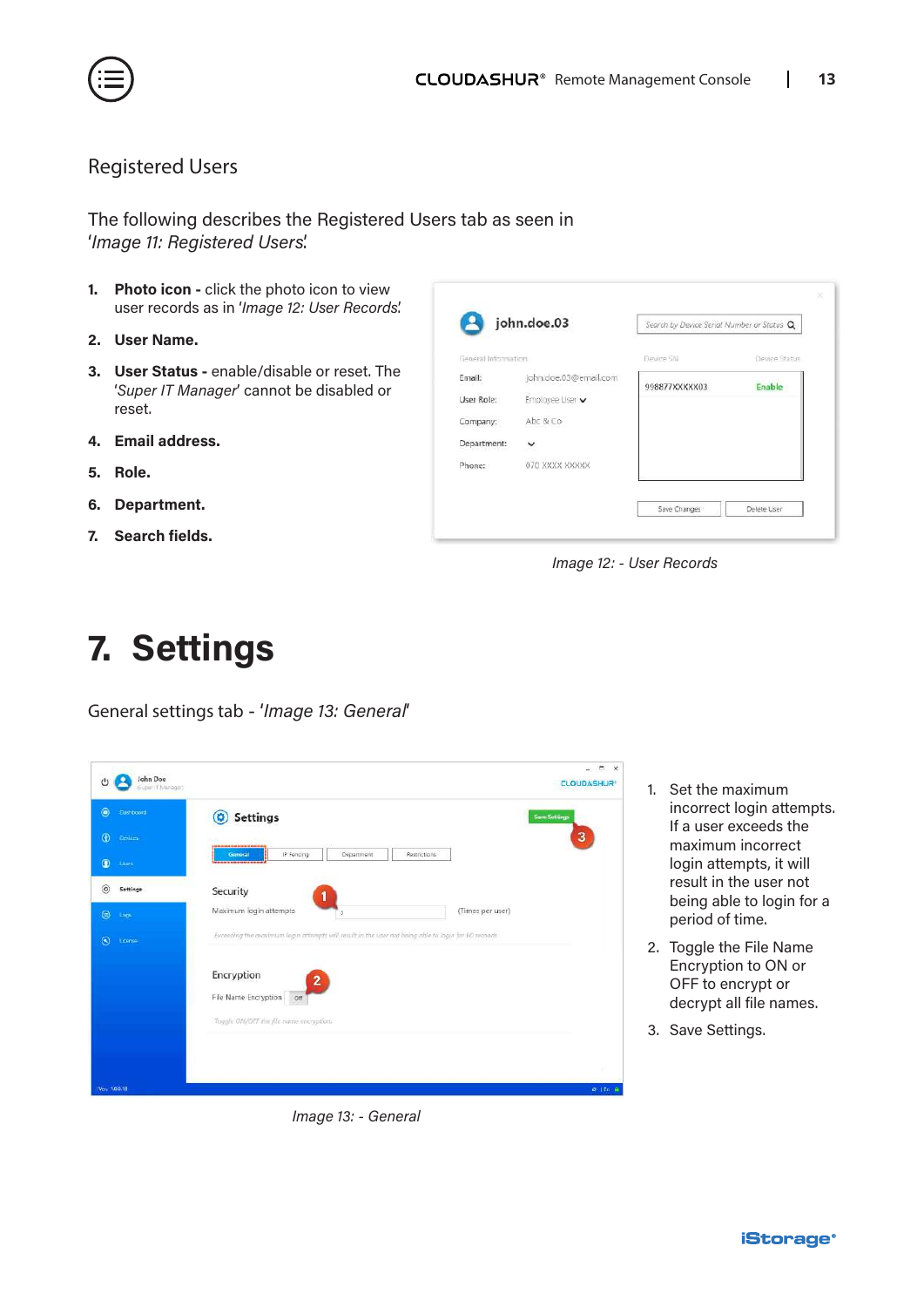<span id="page-12-0"></span>

#### Registered Users

The following describes the Registered Users tab as seen in '*Image 11: Registered Users*'.

- **1. Photo icon** click the photo icon to view user records as in '*Image 12: User Records*'.
- **2. User Name.**
- **3. User Status** enable/disable or reset. The '*Super IT Manager*' cannot be disabled or reset.
- **4. Email address.**
- **5. Role.**
- **6. Department.**
- **7. Search fields.**



*Image 12: - User Records*

# **7. Settings**

General settings tab - '*Image 13: General*'

| John Doe<br>U<br>(Euper IT Manager) |                                                                                                     | <b>CLOUDASHUR</b>    |
|-------------------------------------|-----------------------------------------------------------------------------------------------------|----------------------|
| $^{\circ}$<br><b>Cashboard</b>      | <b>Settings</b><br>۰                                                                                | <b>Save Settings</b> |
| $\circ$<br>Devires.                 | <b><i><b><i><u><b>DISCUSSION OF OUR RESIDENCES</b></u></i></b></i></b>                              | 3                    |
| $\bullet$<br><b>Liters</b>          | IP Foricing<br>Department<br>Restrictions<br>Ganoral<br>----------------                            |                      |
| $^{\circ}$<br>Settings              | Security                                                                                            |                      |
| $\circledcirc$<br>Logs              | Maximum login attempts<br>(Times per user)<br>a                                                     |                      |
| $\odot$<br>License                  | Exceeding the maximum login attempts will result in the user not being able to login for 60 woonds. |                      |
|                                     | Encryption                                                                                          |                      |
|                                     | $\overline{\mathbf{2}}$<br>File Name Encryption on                                                  |                      |
|                                     | Toggle ON/OFF the file name encryption.                                                             |                      |
|                                     |                                                                                                     |                      |
|                                     |                                                                                                     | w                    |
| Ver. 100.18                         |                                                                                                     | $C = 1$ En $R$       |

1. Set the maximum incorrect login attempts. If a user exceeds the maximum incorrect login attempts, it will result in the user not being able to login for a period of time.

- 2. Toggle the File Name Encryption to ON or OFF to encrypt or decrypt all file names.
- 3. Save Settings.

*Image 13: - General*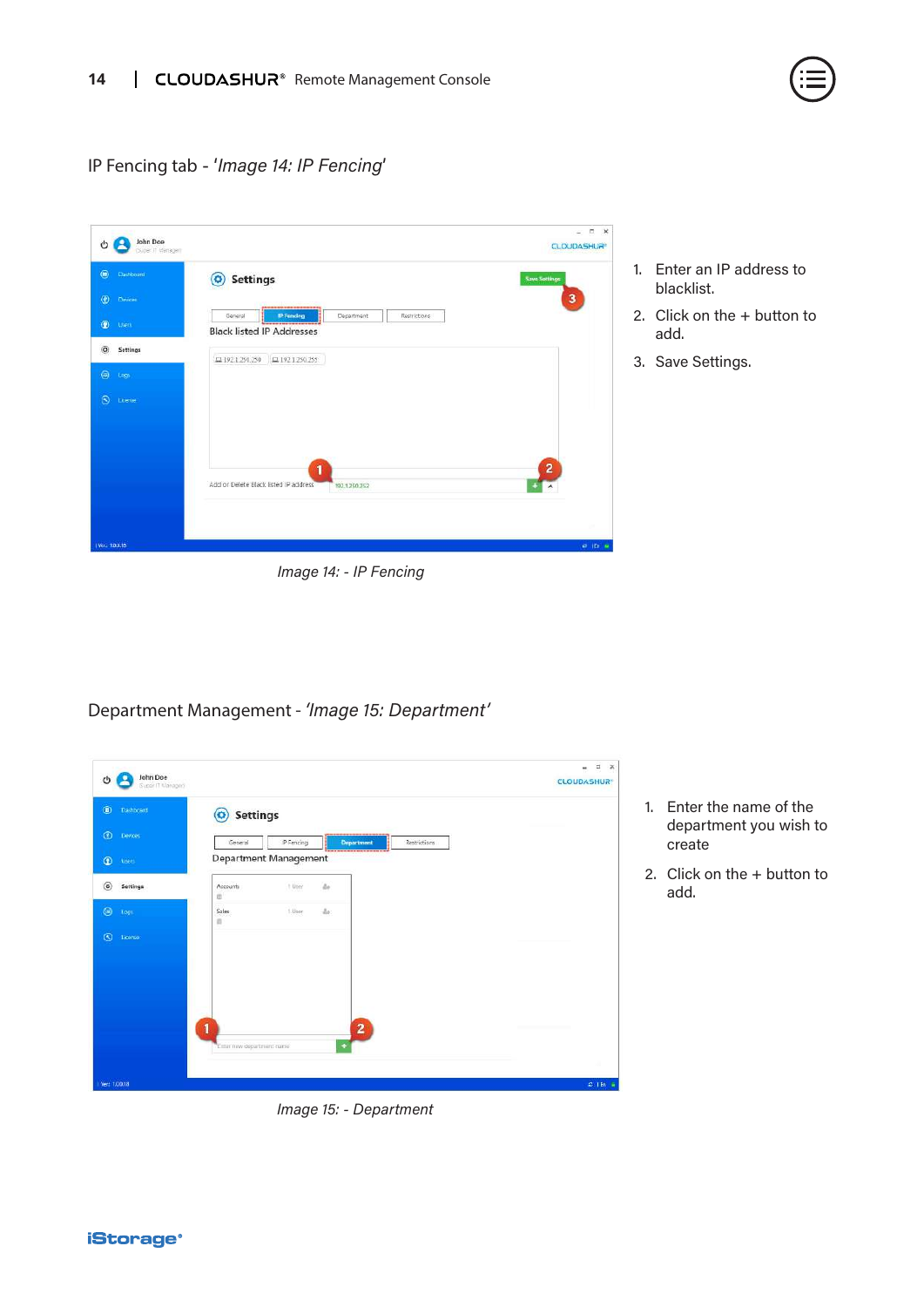

#### IP Fencing tab - '*Image 14: IP Fencing*'

|                               | <b>Settings</b><br>$\odot$                                                              | <b>Save Settings</b> |
|-------------------------------|-----------------------------------------------------------------------------------------|----------------------|
| $\circ$<br>Devices            |                                                                                         | 3                    |
| $\circledcirc$<br>Attent      | IP Fencing<br>General<br>Department<br>Restrictions<br><b>Black listed IP Addresses</b> |                      |
| Settings                      | 그 192 1 250.250<br>$\Box$ 192.1.250.255                                                 |                      |
| $\circledcirc$<br><b>Logy</b> |                                                                                         |                      |
| License                       |                                                                                         |                      |
|                               |                                                                                         |                      |
|                               |                                                                                         |                      |
|                               | 1<br>Add or Delete Black listed IP address                                              | 2                    |
|                               | 192.1.250.252                                                                           |                      |
|                               |                                                                                         |                      |

- 1. Enter an IP address to blacklist.
- 2. Click on the + button to add.
- 3. Save Settings.

### Department Management - *'Image 15: Department'*

| John Doe<br>۰<br>O<br>Guper IT Manager) |                           |                       |                 |                         |              | $\Box$<br>$\mathsf{x}$<br>$\mathbf{m}$<br><b>CLOUDASHUR®</b> |
|-----------------------------------------|---------------------------|-----------------------|-----------------|-------------------------|--------------|--------------------------------------------------------------|
| $\circledcirc$<br>Dashboard             | <b>Settings</b><br>o      |                       |                 |                         |              |                                                              |
| $\circledcirc$<br>Devoes                | General                   | IP Fericing           |                 | Department              | Restrictions |                                                              |
| $\circledcirc$<br><b>Users</b>          |                           | Department Management |                 |                         |              |                                                              |
| $\circledcirc$<br>Settings              | Accounts<br>ü             | t User                | $\Delta \sigma$ |                         |              |                                                              |
| $\circledcirc$<br>Log                   | Sales<br>ù                | 1.User                | $\Delta r$      |                         |              |                                                              |
| $\circledcirc$<br>License               |                           |                       |                 |                         |              |                                                              |
|                                         |                           |                       |                 |                         |              |                                                              |
|                                         |                           |                       |                 |                         |              |                                                              |
|                                         |                           |                       |                 |                         |              |                                                              |
|                                         | f                         |                       |                 | $\overline{\mathbf{2}}$ |              |                                                              |
|                                         | Enter new department name |                       |                 |                         |              |                                                              |
|                                         |                           |                       |                 |                         |              |                                                              |

*Image 15: - Department*

1. Enter the name of the department you wish to create

2. Click on the + button to add.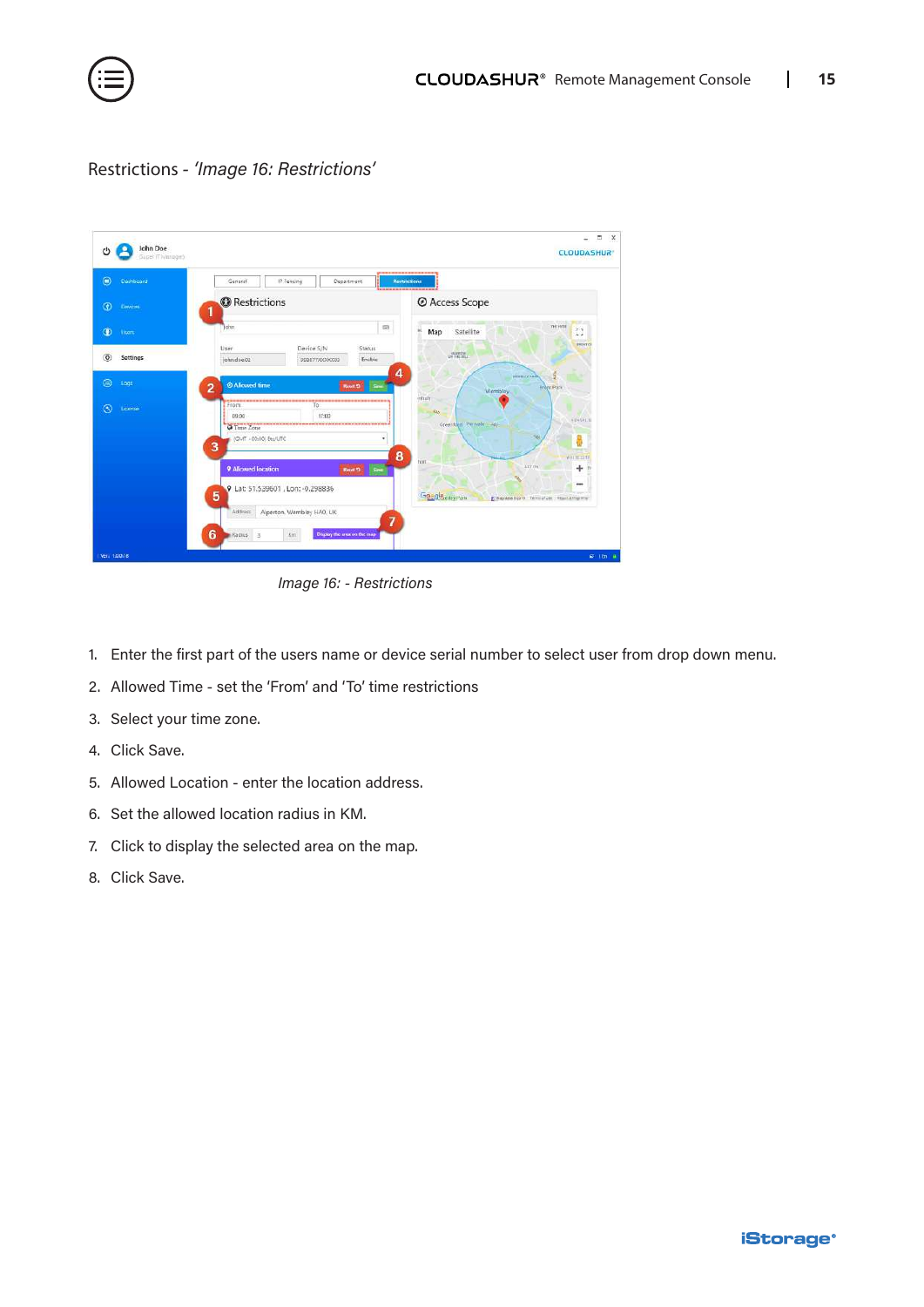

Restrictions *- 'Image 16: Restrictions'*

| $\bullet$<br>Dashboard     | IP Fencing<br>Department<br>General<br><b><i><u><u><u> - - - - - - -</u></u></u></i></b>               | ----------<br><b>Restrictions</b>                                      |
|----------------------------|--------------------------------------------------------------------------------------------------------|------------------------------------------------------------------------|
| $\circ$<br>Dewces          | <b>O</b> Restrictions<br>1                                                                             | @ Access Scope                                                         |
| $\bullet$<br>them          | $\equiv$<br>ohn                                                                                        | e.<br><b>THE HVEE</b><br>$r - 1$<br>×<br>Satellite<br>Map<br>L, J      |
| $\circledcirc$<br>Settings | User<br>Device S/N<br><b>Status</b><br>john.doe.02<br>Enable<br>998877XXXXXX8                          | <b>BENTO</b><br>AMARCHE                                                |
| ⊜<br>Logs                  | 4<br><b>2 Allowed time</b><br>Sec.<br>2<br><b>Revolt</b>                                               | WHEEL COULDN<br><b>Erdot Park</b><br>Wembley                           |
| $\circledcirc$<br>License  | --------------------<br>From<br>To<br>17:00<br>09:35<br><b>O</b> Time Zone<br>IGMT +00:00 Etc/UTC<br>3 | <b>dittain</b><br>586<br><b>KENSALE</b><br>Greenfeld Pernale - 46<br>0 |
|                            | 8<br>9 Allowed location<br>Reset 13<br><b>Seve</b><br>9 Lat: 51.539601, Lon: - 0.298836                | will le mite<br>tion<br>ATT ON<br>$+$<br>$-$                           |
|                            | 5<br>Alperton, Wembley HAO, UK<br>Address<br>$\overline{7}$                                            | Goggle edey Park<br>E Maxima EDIYA Termi of Unit I Report a magnetic   |

*Image 16: - Restrictions*

- 1. Enter the first part of the users name or device serial number to select user from drop down menu.
- 2. Allowed Time set the 'From' and 'To' time restrictions
- 3. Select your time zone.
- 4. Click Save.
- 5. Allowed Location enter the location address.
- 6. Set the allowed location radius in KM.
- 7. Click to display the selected area on the map.
- 8. Click Save.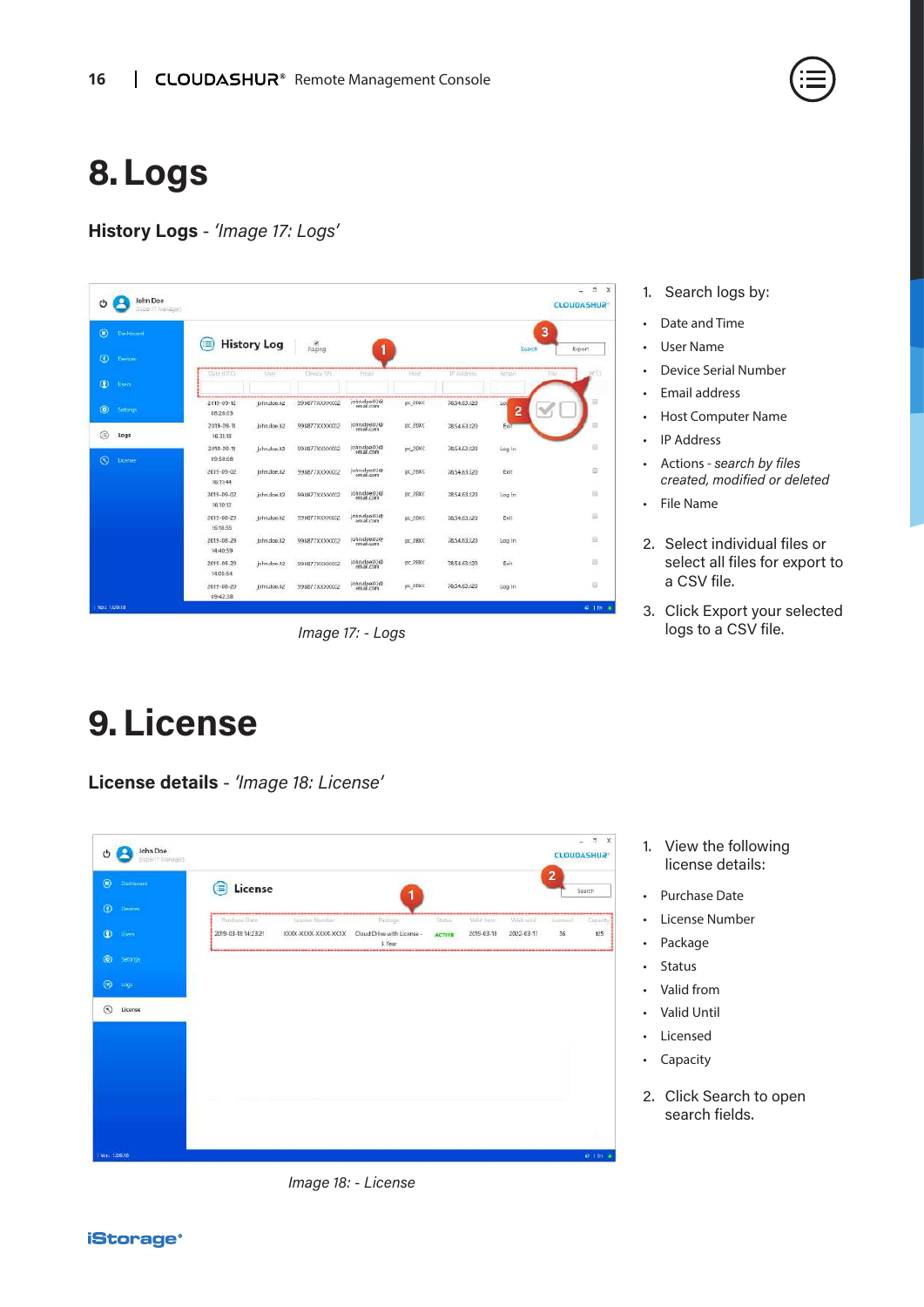### <span id="page-15-0"></span>**8.Logs**

**History Logs** - *'Image 17: Logs'*

| O                            | John Doe<br>Guber (7 Manager) |                              |                    |                 |                           |         |                                 |          |              | $\Box$<br>$\mathbb{X}$<br>÷.<br><b>CLOUDASHUR®</b> |
|------------------------------|-------------------------------|------------------------------|--------------------|-----------------|---------------------------|---------|---------------------------------|----------|--------------|----------------------------------------------------|
| $\circledcirc$<br>Dashbriant |                               | ≣                            | <b>History Log</b> |                 |                           |         |                                 |          | 3            |                                                    |
| $\bullet$<br>Devices         |                               |                              |                    | Paging          |                           |         |                                 | Search   |              | Export                                             |
| $\bullet$<br>Users           |                               | Date (17TC)                  | Viser              | Device Shi      | Ernail                    | Hinz    | IP Address                      | Action   | <b>Filte</b> | iar i                                              |
| $\circledcirc$<br>Settings   |                               | 2019-09-12<br>08:28:03       | john.doe.02        | 998877XXXXXX    | john.doe.02@              | pc_2BXC | 78.54.63.120                    | Los<br>2 |              |                                                    |
| ⊜<br>Logs                    |                               | 2019-09-11<br>16:31:18       | john.doe.02        | 998877XXXXXXII2 | john.doe.02@              | pc_2BXC | 7854.63.120                     | Exit     |              |                                                    |
| $\odot$<br>License           |                               | 2019-09-11<br>09:58:08       | john.doe.02        | 998877XXXXXXX   | john.doe.02@              | pc_2BXC | 78,54,63,120                    | Log In   |              | ₿                                                  |
|                              |                               | $2019 - 09 - 02$<br>16:11:44 | john.doe.02        | 998877XXXXXXX   | john doe 02@<br>email.com | DC 2BXC | 78.54.63.120                    | Exit     |              | 亚                                                  |
|                              |                               | 2019-09-02<br>16:10:12       | john.doe.02        | 998877XXXXX002  | john.doe.02@<br>email.com | DC_2BXC | 78,54,63,520                    | Log In   |              | B                                                  |
|                              |                               | 2019-08-29<br>16:18:55       | john.doe.02        | 998877XXXXXXD2  | john.doe.02@              | DC 2BXC | 78,54,63,120                    | Exit     |              | 귭                                                  |
|                              |                               | 2019-08-29<br>14:40:59       | john.dop.02        | 998877XXXXX02   | john.doe.02@              | DC 2BXC | PERMIT PROVINCE<br>78.54.63.120 | Log In   |              | 辺                                                  |
|                              |                               | 2019-08-20<br>14:05:54       | john.doe.02        | 998877XXXXXX0   | john.doe.02@<br>email.com | pc_2BXC | 78.54.63.120                    | Exit     |              | 茹                                                  |
|                              |                               | 2019-08-20<br>09:42:38       | john.cloe.02       | 998877XXXXXX    | john.doe.02@<br>email.com | pc 28XC | 78,54,63,120                    | Log In   |              | €                                                  |
| Verz 1/0/0/18                |                               |                              |                    |                 |                           |         |                                 |          |              | <b>41.1 En.</b> 16                                 |

*Image 17: - Logs*

#### 1. Search logs by:

- Date and Time
- User Name
- Device Serial Number
- Email address
- Host Computer Name
- IP Address
- Actions *search by files created, modified or deleted*
- File Name
- 2. Select individual files or select all files for export to a CSV file.
- 3. Click Export your selected logs to a CSV file.

### **9.License**

**License details** - *'Image 18: License'*

| O              | John Doe<br>Buzer IT Manager) |                     |                      |                                      |                |               |            |          | $\times$<br>$\Box$<br><b>CLOUDASHUR</b> |
|----------------|-------------------------------|---------------------|----------------------|--------------------------------------|----------------|---------------|------------|----------|-----------------------------------------|
| $\circledcirc$ | Dishboard                     | License             |                      |                                      |                |               |            | 2        | Search                                  |
| $\circledcirc$ | <b>Devices</b>                | Punchase Date       | Liconse Number       | Package                              | <b>Station</b> | Maliat Ingen- | Valid with | Licenson | <br>Camiddy                             |
| $\bullet$      | <b>Users</b>                  | 2019-03-18 14:23:21 | XIOOL-XXXX-XXXX-XXXX | Cloud Drive with License -<br>3 Year | <b>ACTIVE</b>  | 2019-03-18    | 2022-03-17 | 36       | 125                                     |
| $\odot$        | Settings:                     |                     |                      |                                      |                |               |            |          |                                         |
| $\circ$        | Logi:                         |                     |                      |                                      |                |               |            |          |                                         |
| $\circledcirc$ | License                       |                     |                      |                                      |                |               |            |          |                                         |
|                |                               |                     |                      |                                      |                |               |            |          |                                         |
|                |                               |                     |                      |                                      |                |               |            |          |                                         |
|                |                               |                     |                      |                                      |                |               |            |          |                                         |
|                |                               |                     |                      |                                      |                |               |            |          |                                         |
|                |                               |                     |                      |                                      |                |               |            |          |                                         |
| Ver.: 1,0.0.18 |                               |                     |                      |                                      |                |               |            |          | $\sigma$ i.m. $\alpha$                  |

1. View the following license details:

- Purchase Date
- License Number
- Package
- Status
- Valid from
- Valid Until
- Licensed
- Capacity
- 2. Click Search to open search fields.

*Image 18: - License*

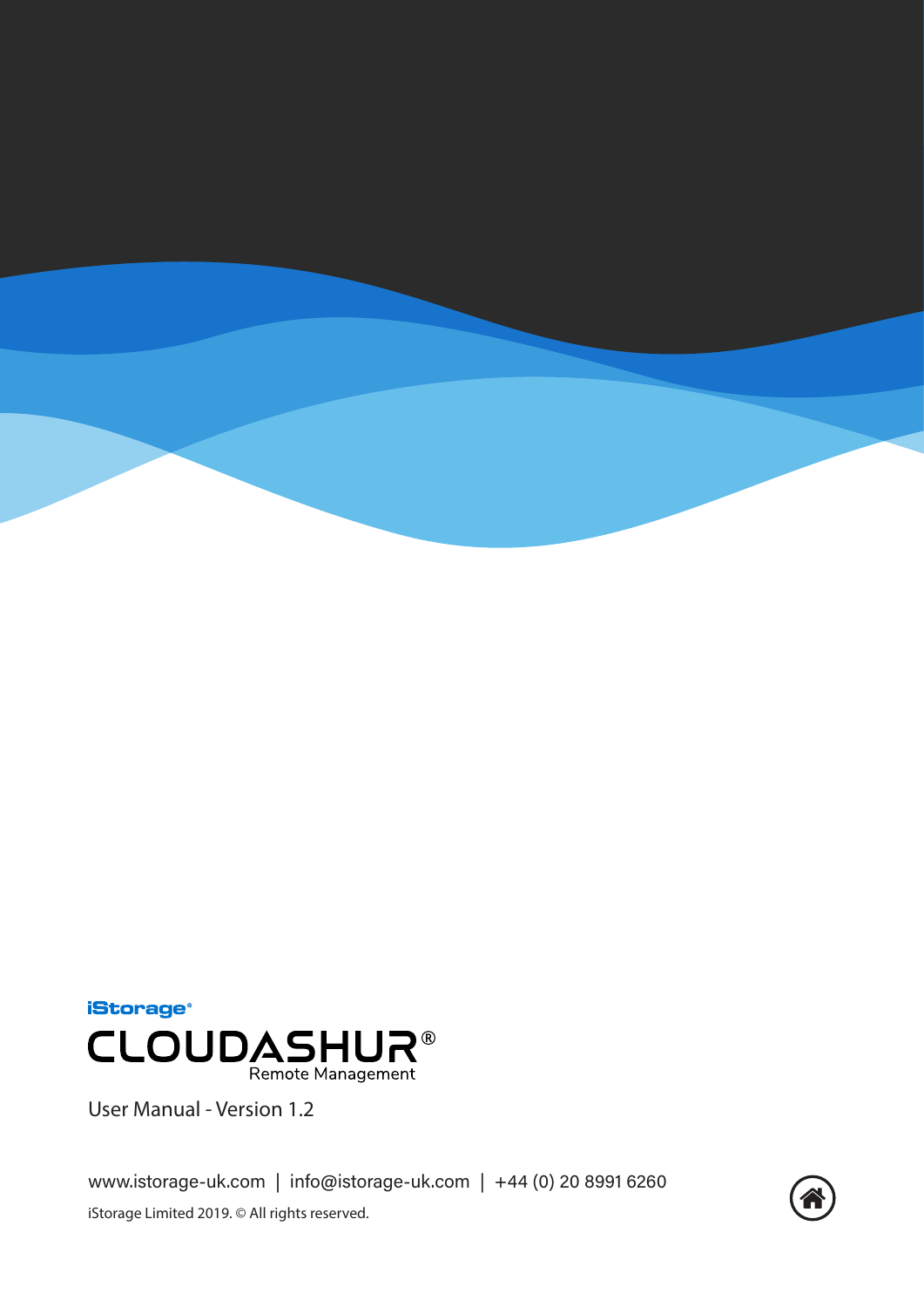



User Manual - Version 1.2

www.istorage-uk.com | info@istorage-uk.com | +44 (0) 20 8991 6260 iStorage Limited 2019. © All rights reserved.

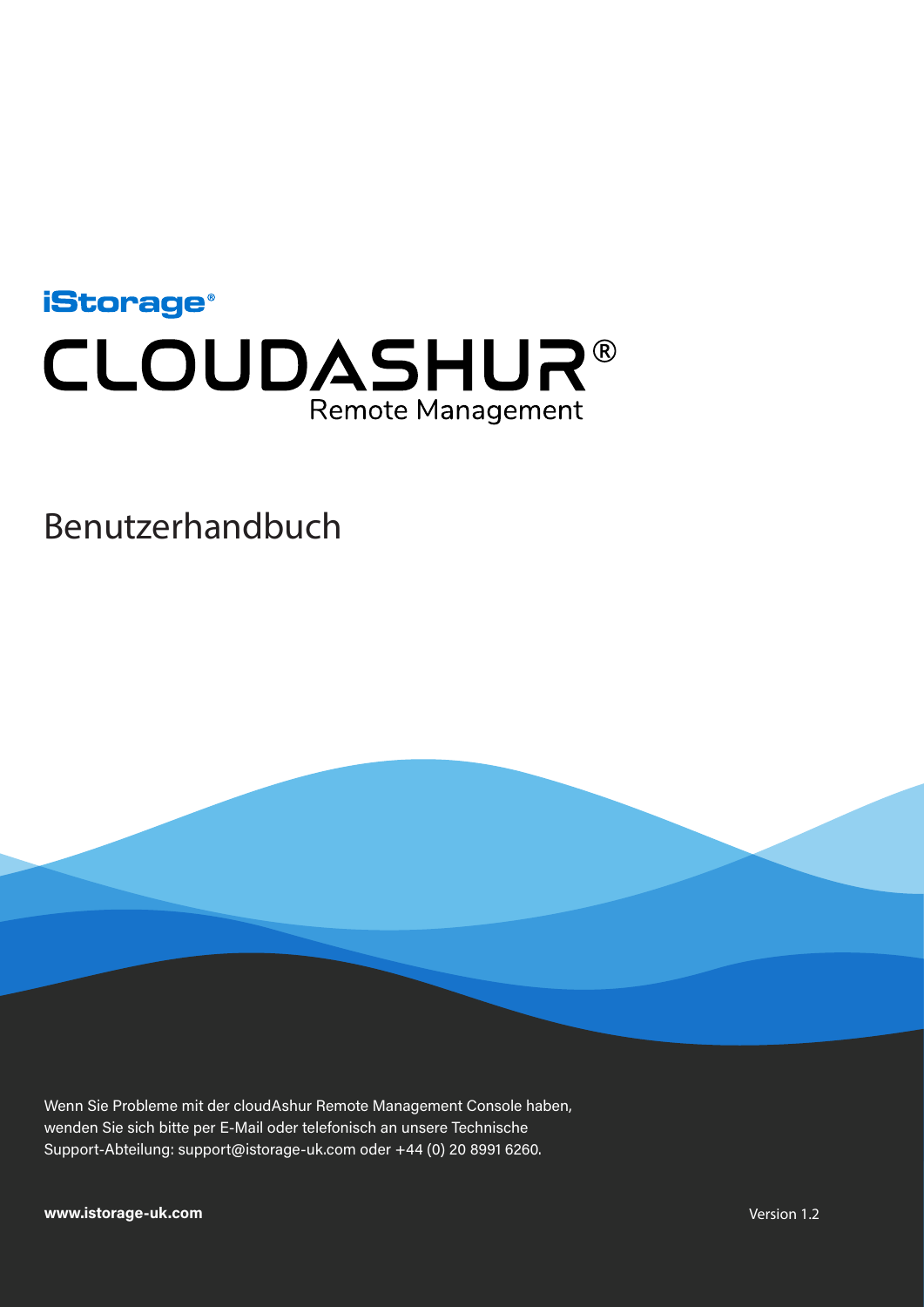<span id="page-17-0"></span>

### Benutzerhandbuch

Wenn Sie Probleme mit der cloudAshur Remote Management Console haben, wenden Sie sich bitte per E-Mail oder telefonisch an unsere Technische Support-Abteilung: support@istorage-uk.com oder +44 (0) 20 8991 6260.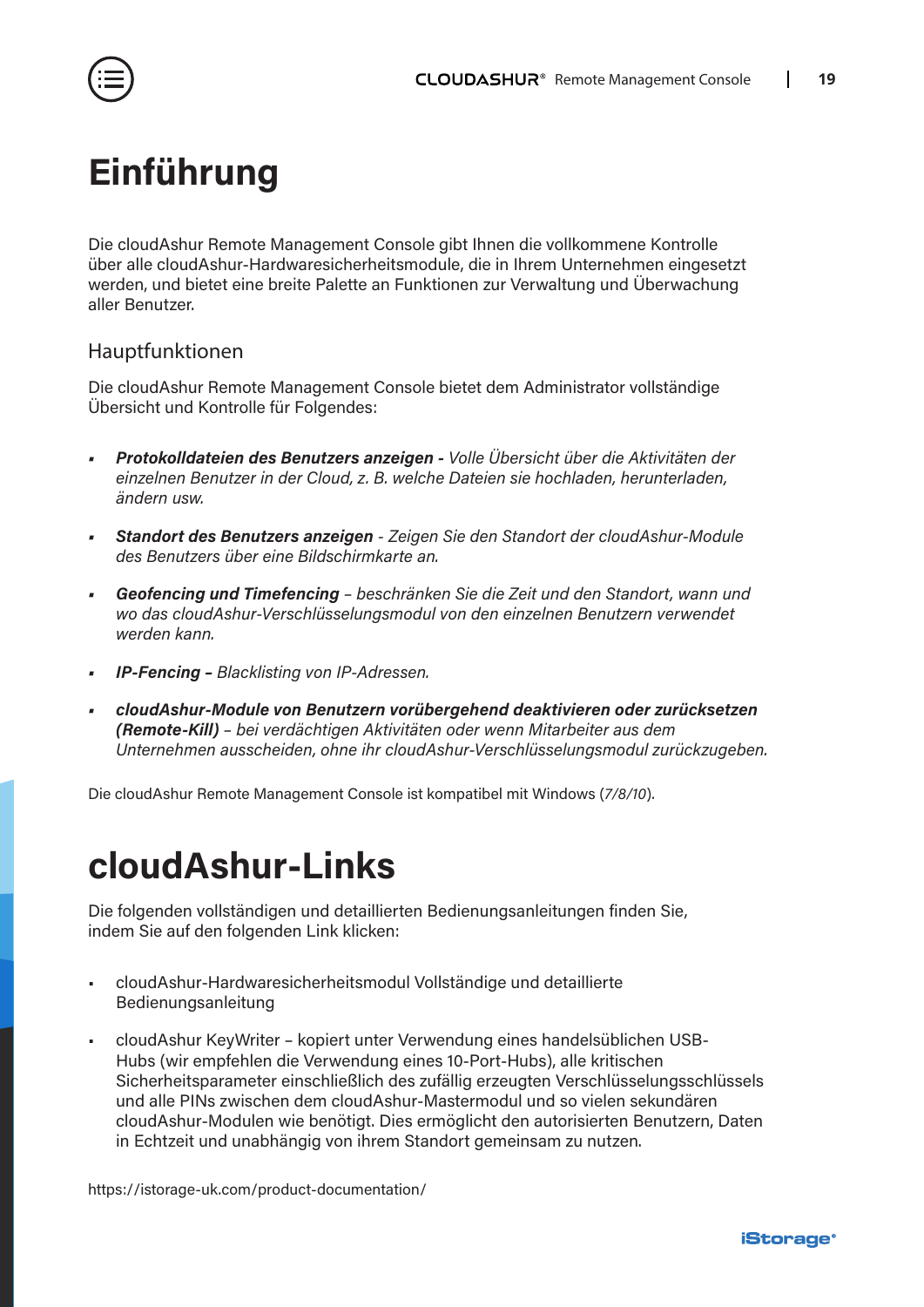<span id="page-18-0"></span>

### **Einführung**

Die cloudAshur Remote Management Console gibt Ihnen die vollkommene Kontrolle über alle cloudAshur-Hardwaresicherheitsmodule, die in Ihrem Unternehmen eingesetzt werden, und bietet eine breite Palette an Funktionen zur Verwaltung und Überwachung aller Benutzer.

#### Hauptfunktionen

Die cloudAshur Remote Management Console bietet dem Administrator vollständige Übersicht und Kontrolle für Folgendes:

- *• Protokolldateien des Benutzers anzeigen Volle Übersicht über die Aktivitäten der einzelnen Benutzer in der Cloud, z. B. welche Dateien sie hochladen, herunterladen, ändern usw.*
- *• Standort des Benutzers anzeigen Zeigen Sie den Standort der cloudAshur-Module des Benutzers über eine Bildschirmkarte an.*
- *• Geofencing und Timefencing beschränken Sie die Zeit und den Standort, wann und wo das cloudAshur-Verschlüsselungsmodul von den einzelnen Benutzern verwendet werden kann.*
- *• IP-Fencing Blacklisting von IP-Adressen.*
- *• cloudAshur-Module von Benutzern vorübergehend deaktivieren oder zurücksetzen (Remote-Kill) – bei verdächtigen Aktivitäten oder wenn Mitarbeiter aus dem Unternehmen ausscheiden, ohne ihr cloudAshur-Verschlüsselungsmodul zurückzugeben.*

Die cloudAshur Remote Management Console ist kompatibel mit Windows (*7/8/10*).

### **cloudAshur-Links**

Die folgenden vollständigen und detaillierten Bedienungsanleitungen finden Sie, indem Sie auf den folgenden Link klicken:

- cloudAshur-Hardwaresicherheitsmodul Vollständige und detaillierte Bedienungsanleitung
- cloudAshur KeyWriter kopiert unter Verwendung eines handelsüblichen USB-Hubs (wir empfehlen die Verwendung eines 10-Port-Hubs), alle kritischen Sicherheitsparameter einschließlich des zufällig erzeugten Verschlüsselungsschlüssels und alle PINs zwischen dem cloudAshur-Mastermodul und so vielen sekundären cloudAshur-Modulen wie benötigt. Dies ermöglicht den autorisierten Benutzern, Daten in Echtzeit und unabhängig von ihrem Standort gemeinsam zu nutzen.

[https://istorage-uk.com/product-documentation/](http://istorage-uk.com/product-documentation/)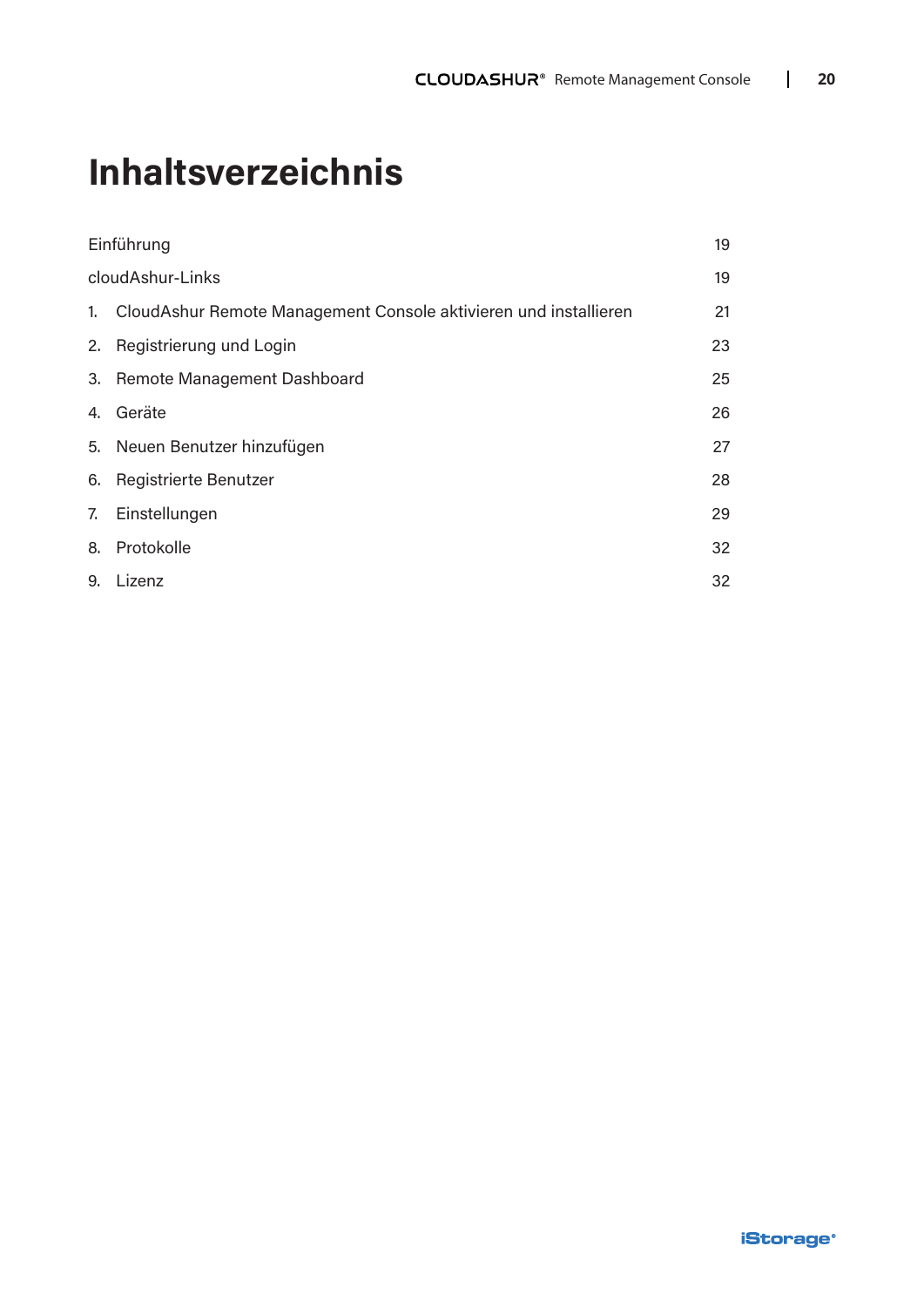# **Inhaltsverzeichnis**

| Einführung                                                          | 19 |
|---------------------------------------------------------------------|----|
| cloudAshur-Links                                                    | 19 |
| 1. CloudAshur Remote Management Console aktivieren und installieren | 21 |
| 2. Registrierung und Login                                          | 23 |
| 3. Remote Management Dashboard                                      | 25 |
| 4. Geräte                                                           | 26 |
| 5. Neuen Benutzer hinzufügen                                        | 27 |
| 6. Registrierte Benutzer                                            | 28 |
| 7. Einstellungen                                                    | 29 |
| 8. Protokolle                                                       | 32 |
| 9. Lizenz                                                           | 32 |
|                                                                     |    |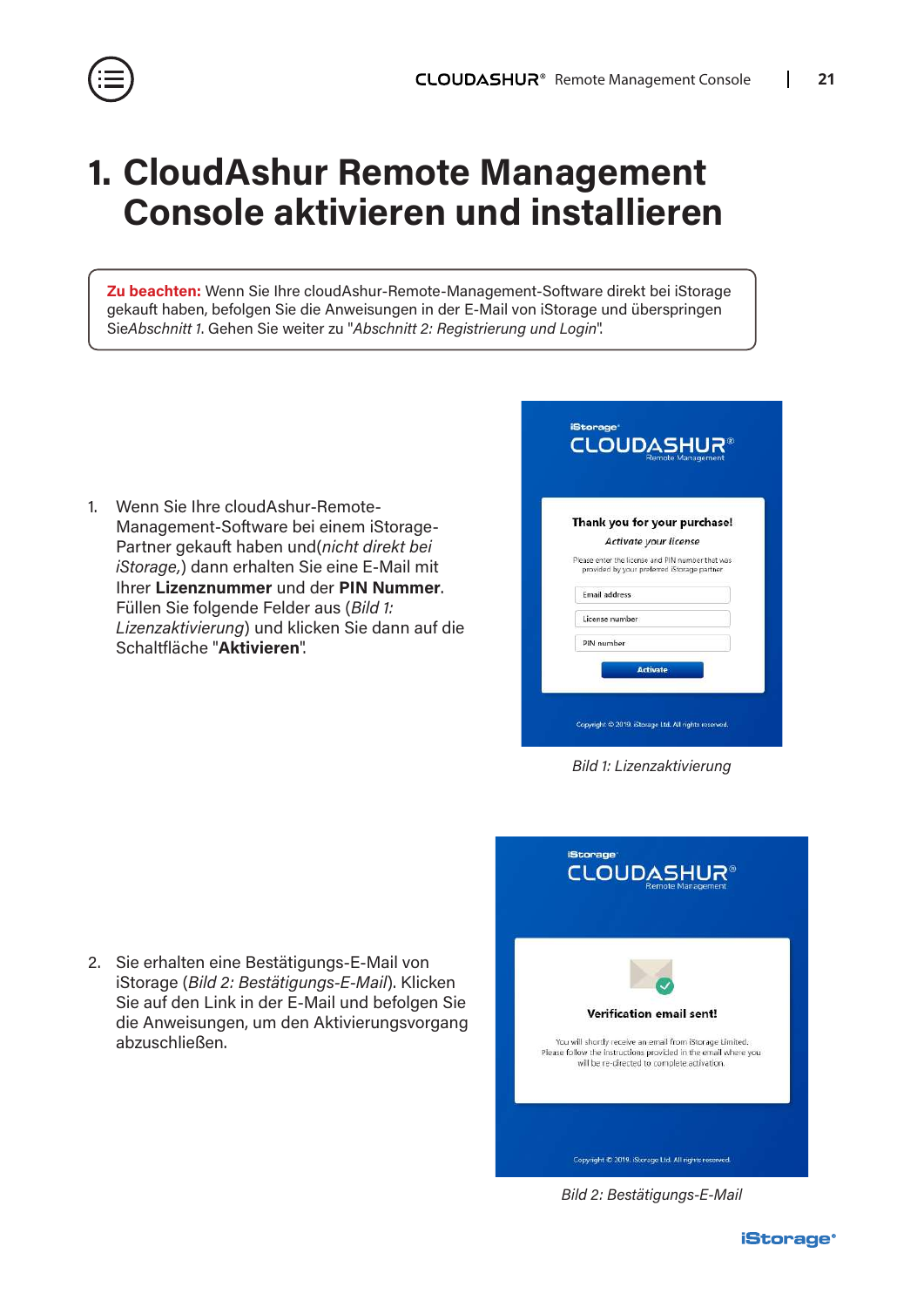

# <span id="page-20-0"></span>**1. CloudAshur Remote Management Console aktivieren und installieren**

**Zu beachten:** Wenn Sie Ihre cloudAshur-Remote-Management-Software direkt bei iStorage gekauft haben, befolgen Sie die Anweisungen in der E-Mail von iStorage und überspringen Sie*Abschnitt 1*. Gehen Sie weiter zu "*Abschnitt 2: Registrierung und Login*".

1. Wenn Sie Ihre cloudAshur-Remote-Management-Software bei einem iStorage-Partner gekauft haben und(*nicht direkt bei iStorage,*) dann erhalten Sie eine E-Mail mit Ihrer **Lizenznummer** und der **PIN Nummer**. Füllen Sie folgende Felder aus (*Bild 1: Lizenzaktivierung*) und klicken Sie dann auf die Schaltfläche "**Aktivieren**".

| Thank you for your purchase!                                                                    |  |
|-------------------------------------------------------------------------------------------------|--|
| Activate your license                                                                           |  |
| Please enter the license and PIN number that was<br>provided by your preferred iStorage partner |  |
| <b>Email address</b>                                                                            |  |
| License number                                                                                  |  |
| PIN number                                                                                      |  |

*Bild 1: Lizenzaktivierung*

2. Sie erhalten eine Bestätigungs-E-Mail von iStorage (*Bild 2: Bestätigungs-E-Mail*). Klicken Sie auf den Link in der E-Mail und befolgen Sie die Anweisungen, um den Aktivierungsvorgang abzuschließen.



*Bild 2: Bestätigungs-E-Mail*

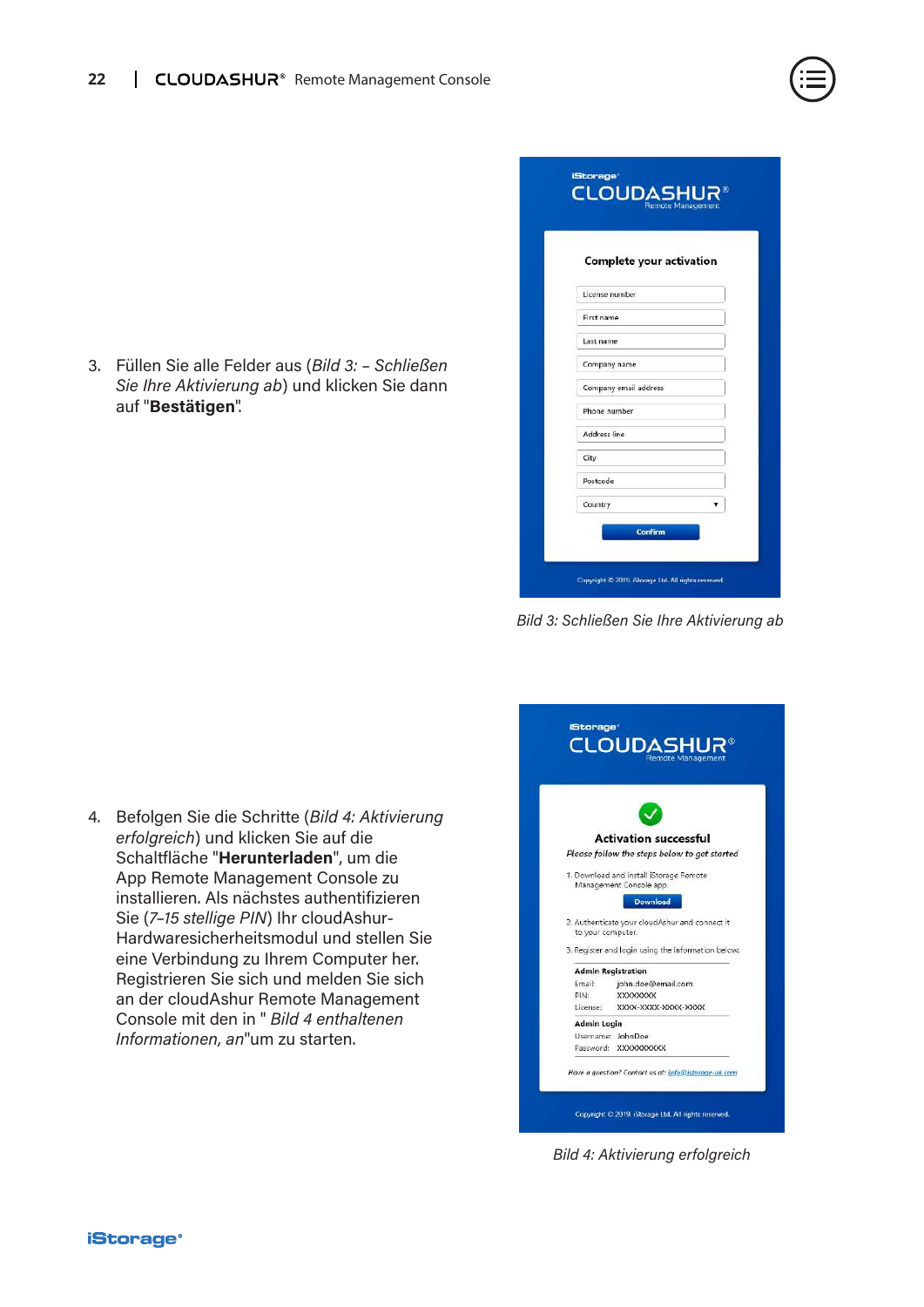

| Complete your activation |  |
|--------------------------|--|
|                          |  |
| License number           |  |
| First name               |  |
| Last name                |  |
| Company name             |  |
| Company email address    |  |
| Phone number             |  |
| Address line             |  |
| City                     |  |
| Postcode                 |  |
|                          |  |

*Bild 3: Schließen Sie Ihre Aktivierung ab*

4. Befolgen Sie die Schritte (*Bild 4: Aktivierung erfolgreich*) und klicken Sie auf die Schaltfläche "**Herunterladen**", um die App Remote Management Console zu installieren. Als nächstes authentifizieren Sie (*7–15 stellige PIN*) Ihr cloudAshur-Hardwaresicherheitsmodul und stellen Sie eine Verbindung zu Ihrem Computer her. Registrieren Sie sich und melden Sie sich an der cloudAshur Remote Management Console mit den in " *Bild 4 enthaltenen Informationen, an*"um zu starten.



*Bild 4: Aktivierung erfolgreich*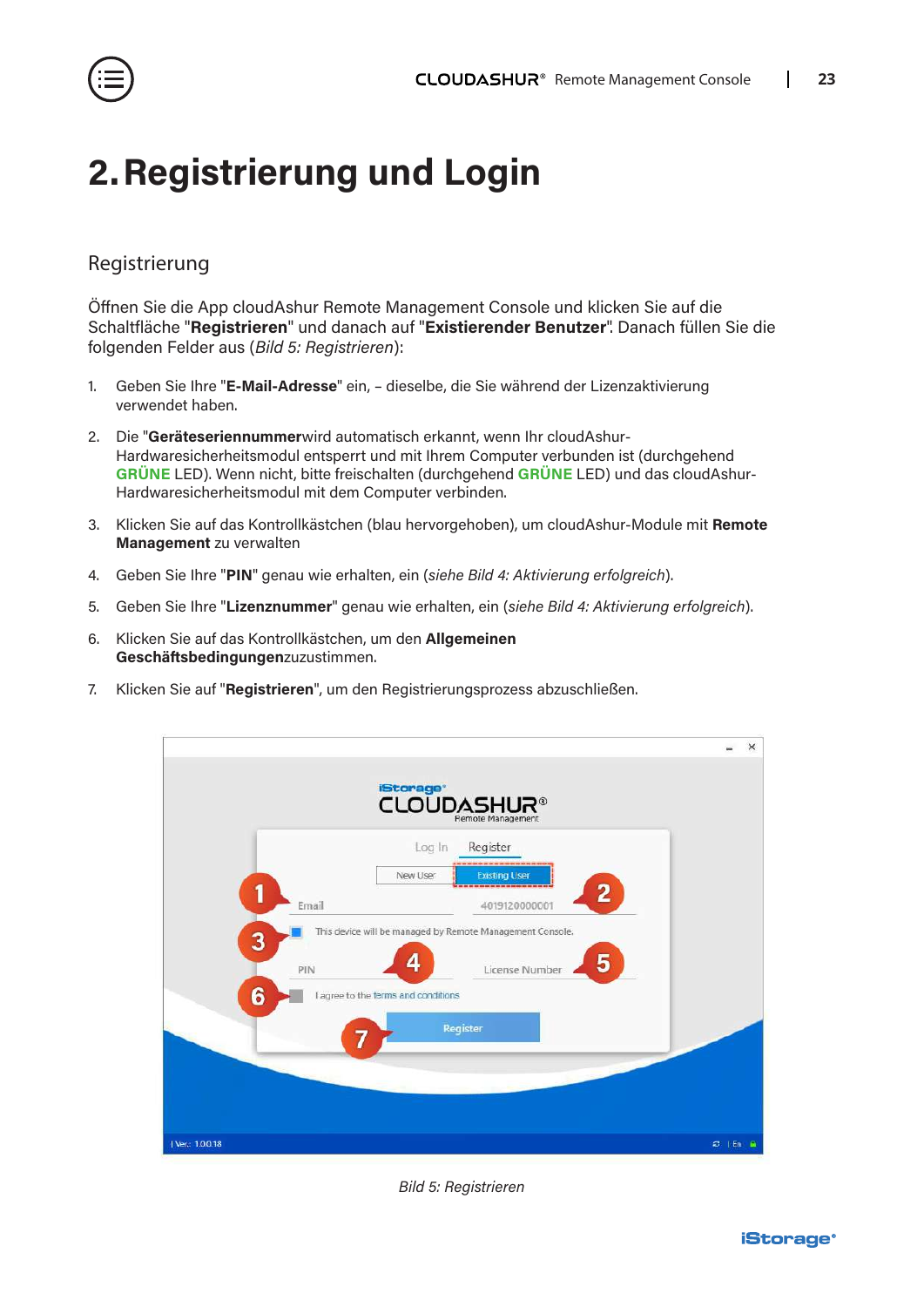<span id="page-22-0"></span>

## **2.Registrierung und Login**

### Registrierung

Öffnen Sie die App cloudAshur Remote Management Console und klicken Sie auf die Schaltfläche "**Registrieren**" und danach auf "**Existierender Benutzer**". Danach füllen Sie die folgenden Felder aus (*Bild 5: Registrieren*):

- 1. Geben Sie Ihre "**E-Mail-Adresse**" ein, dieselbe, die Sie während der Lizenzaktivierung verwendet haben.
- 2. Die "**Geräteseriennummer**wird automatisch erkannt, wenn Ihr cloudAshur-Hardwaresicherheitsmodul entsperrt und mit Ihrem Computer verbunden ist (durchgehend **GRÜNE** LED). Wenn nicht, bitte freischalten (durchgehend **GRÜNE** LED) und das cloudAshur-Hardwaresicherheitsmodul mit dem Computer verbinden.
- 3. Klicken Sie auf das Kontrollkästchen (blau hervorgehoben), um cloudAshur-Module mit **Remote Management** zu verwalten
- 4. Geben Sie Ihre "**PIN**" genau wie erhalten, ein (*siehe Bild 4: Aktivierung erfolgreich*).
- 5. Geben Sie Ihre "**Lizenznummer**" genau wie erhalten, ein (*siehe Bild 4: Aktivierung erfolgreich*).
- 6. Klicken Sie auf das Kontrollkästchen, um den **Allgemeinen Geschäftsbedingungen**zuzustimmen.
- 7. Klicken Sie auf "**Registrieren**", um den Registrierungsprozess abzuschließen.



*Bild 5: Registrieren*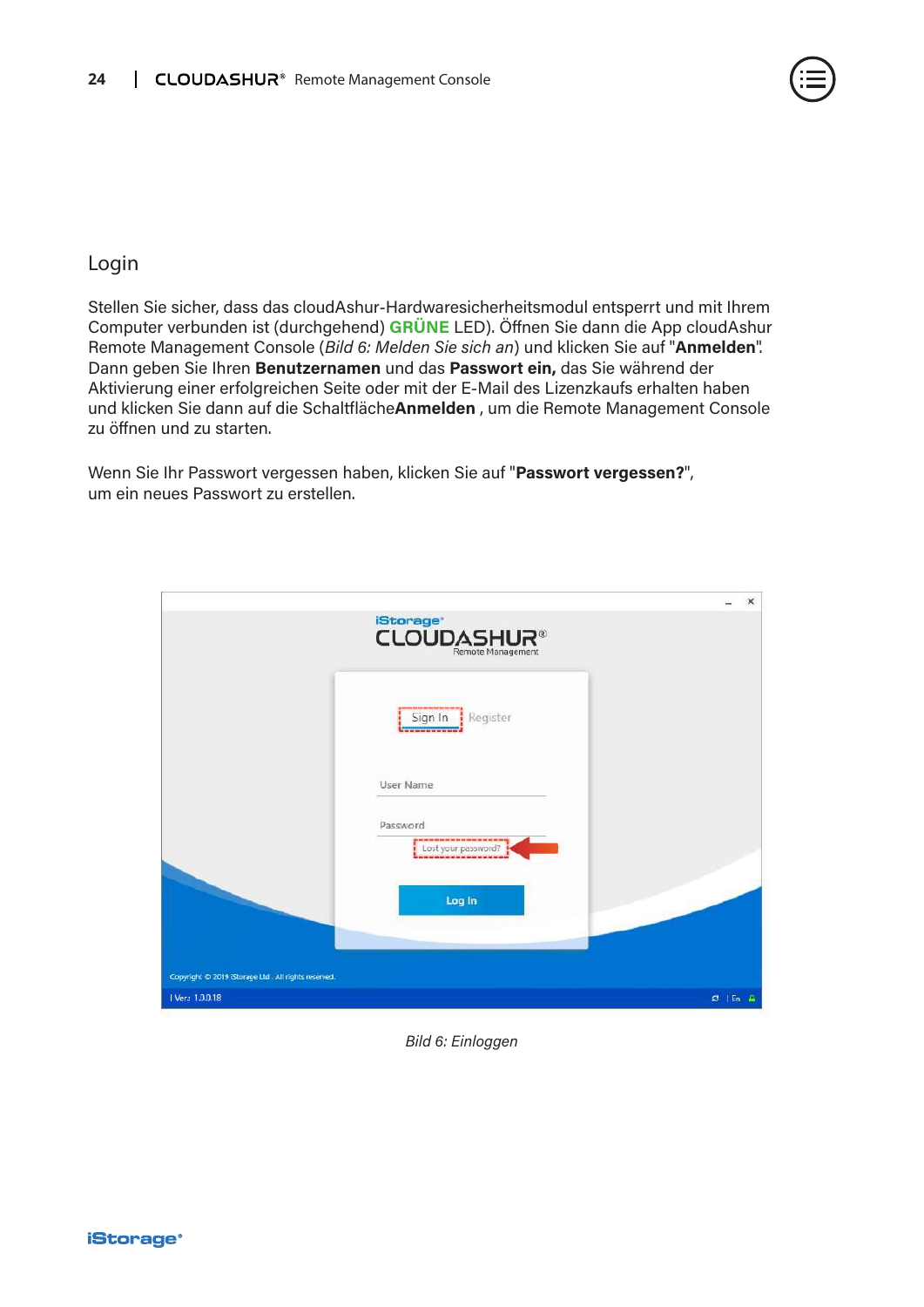

#### Login

Stellen Sie sicher, dass das cloudAshur-Hardwaresicherheitsmodul entsperrt und mit Ihrem Computer verbunden ist (durchgehend) **GRÜNE** LED). Öffnen Sie dann die App cloudAshur Remote Management Console (*Bild 6: Melden Sie sich an*) und klicken Sie auf "**Anmelden**". Dann geben Sie Ihren **Benutzernamen** und das **Passwort ein,** das Sie während der Aktivierung einer erfolgreichen Seite oder mit der E-Mail des Lizenzkaufs erhalten haben und klicken Sie dann auf die Schaltfläche**Anmelden** , um die Remote Management Console zu öffnen und zu starten.

Wenn Sie Ihr Passwort vergessen haben, klicken Sie auf "**Passwort vergessen?**", um ein neues Passwort zu erstellen.

|                                                     |                                                                                                                    | $\times$     |
|-----------------------------------------------------|--------------------------------------------------------------------------------------------------------------------|--------------|
|                                                     | <b>iStorage</b><br><b>CLOUDASHUR®</b>                                                                              |              |
|                                                     | Sign In<br>Register<br>------------                                                                                |              |
|                                                     | User Name                                                                                                          |              |
|                                                     | Password<br>par avec pour sign main pour soir and and main main pour sons and some main and<br>Lost your password? |              |
|                                                     | Log In                                                                                                             |              |
| Copyright © 2019 iStorage Ltd. All rights reserved. |                                                                                                                    |              |
| 1 Ver: 1.0.0.18                                     |                                                                                                                    | $C$   En $A$ |

#### *Bild 6: Einloggen*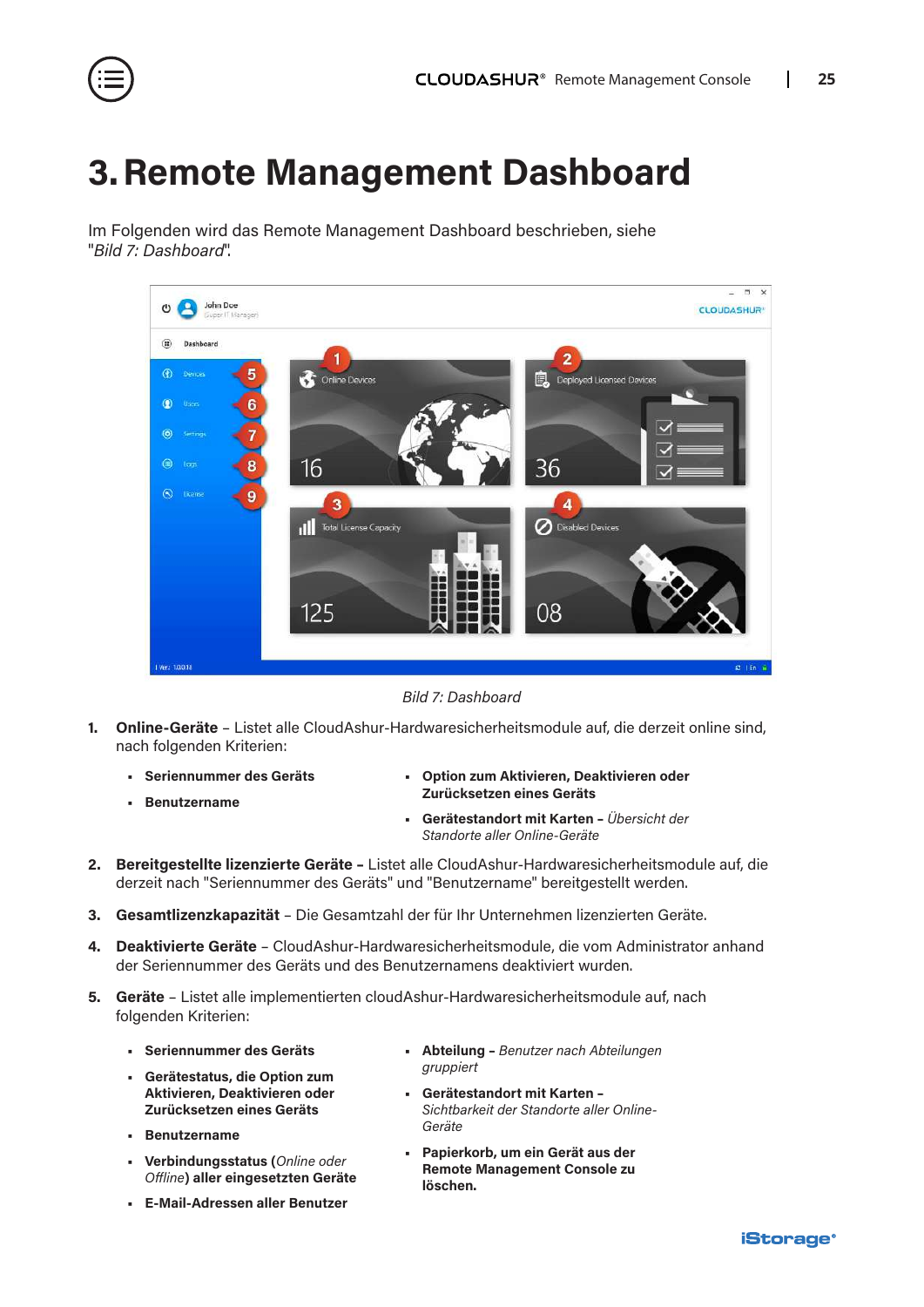<span id="page-24-0"></span>

### **3.Remote Management Dashboard**

Im Folgenden wird das Remote Management Dashboard beschrieben, siehe "*Bild 7: Dashboard*".



*Bild 7: Dashboard*

- **1. Online-Geräte** Listet alle CloudAshur-Hardwaresicherheitsmodule auf, die derzeit online sind, nach folgenden Kriterien:
	- **• Seriennummer des Geräts**
	- **• Benutzername**
- **• Option zum Aktivieren, Deaktivieren oder Zurücksetzen eines Geräts**
- **• Gerätestandort mit Karten** *Übersicht der Standorte aller Online-Geräte*
- **2. Bereitgestellte lizenzierte Geräte** Listet alle CloudAshur-Hardwaresicherheitsmodule auf, die derzeit nach "Seriennummer des Geräts" und "Benutzername" bereitgestellt werden.
- **3. Gesamtlizenzkapazität** Die Gesamtzahl der für Ihr Unternehmen lizenzierten Geräte.
- **4. Deaktivierte Geräte** CloudAshur-Hardwaresicherheitsmodule, die vom Administrator anhand der Seriennummer des Geräts und des Benutzernamens deaktiviert wurden.
- **5. Geräte** Listet alle implementierten cloudAshur-Hardwaresicherheitsmodule auf, nach folgenden Kriterien:
	- **• Seriennummer des Geräts**
	- **• Gerätestatus, die Option zum Aktivieren, Deaktivieren oder Zurücksetzen eines Geräts**
	- **• Benutzername**
	- **• Verbindungsstatus (***Online oder Offline***) aller eingesetzten Geräte**
	- **• E-Mail-Adressen aller Benutzer**
- **• Abteilung** *Benutzer nach Abteilungen gruppiert*
- **• Gerätestandort mit Karten**  *Sichtbarkeit der Standorte aller Online-Geräte*
- **• Papierkorb, um ein Gerät aus der Remote Management Console zu löschen.**

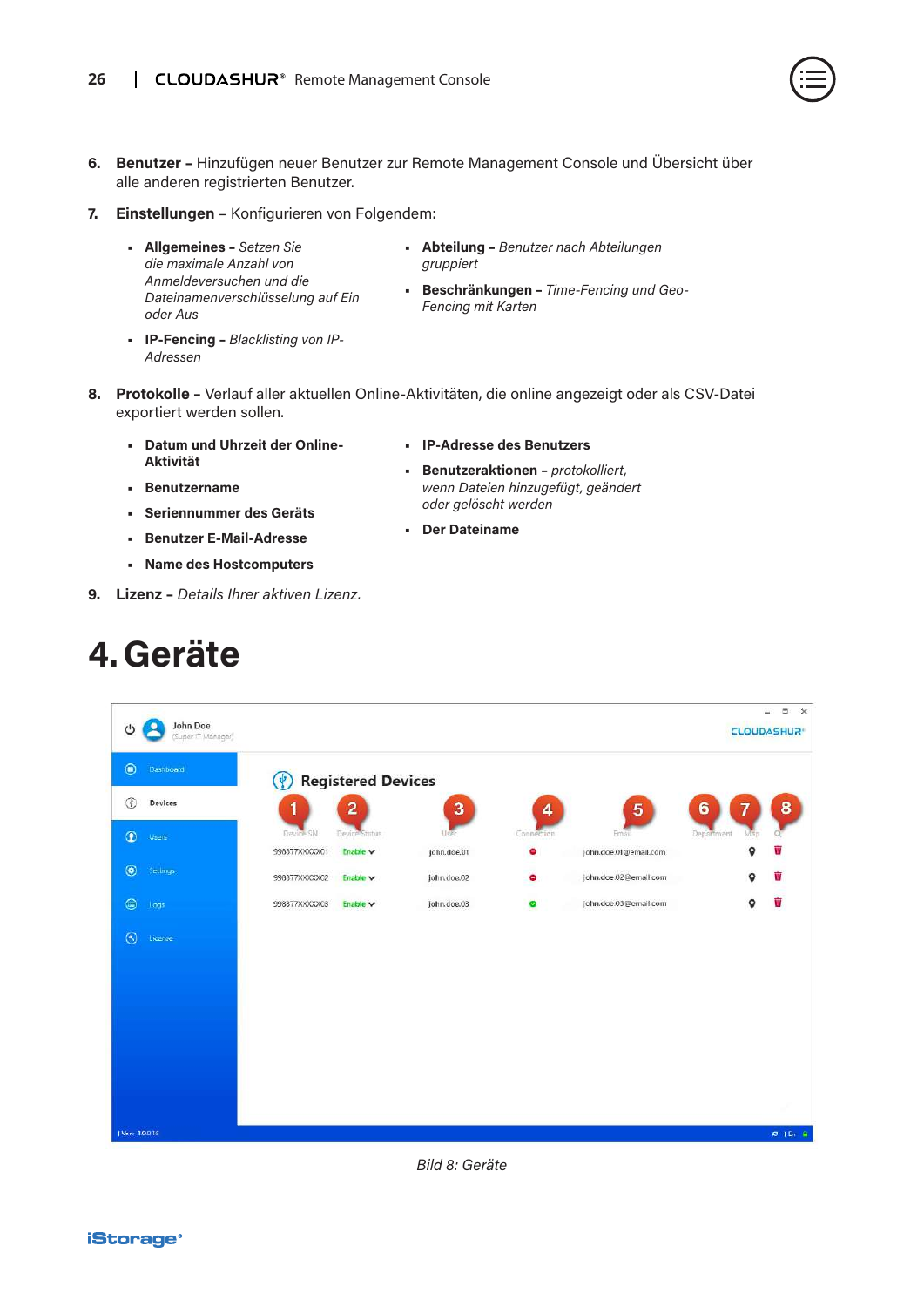

- <span id="page-25-0"></span>**6. Benutzer –** Hinzufügen neuer Benutzer zur Remote Management Console und Übersicht über alle anderen registrierten Benutzer.
- **7. Einstellungen** Konfigurieren von Folgendem:
	- **• Allgemeines** *Setzen Sie die maximale Anzahl von Anmeldeversuchen und die Dateinamenverschlüsselung auf Ein oder Aus*
	- **• IP-Fencing** *Blacklisting von IP-Adressen*
- **• Abteilung** *Benutzer nach Abteilungen gruppiert*
- **• Beschränkungen** *Time-Fencing und Geo-Fencing mit Karten*
- **8. Protokolle** Verlauf aller aktuellen Online-Aktivitäten, die online angezeigt oder als CSV-Datei exportiert werden sollen.
	- **• Datum und Uhrzeit der Online-Aktivität**
	- **• Benutzername**
	- **• Seriennummer des Geräts • Benutzer E-Mail-Adresse**

**9. Lizenz –** *Details Ihrer aktiven Lizenz.*

**• Name des Hostcomputers**

**• Der Dateiname**

**• IP-Adresse des Benutzers**

*oder gelöscht werden*

**• Benutzeraktionen –** *protokolliert, wenn Dateien hinzugefügt, geändert* 

- 
- $-$ John Doe ு  $(1)$ **CLOUDASHUR** (a) Dashboard (†) Registered Devices **(1)** Devices 3 4  $\bullet$  Users 998877XXXXXX01 Enable \ john.doe.01 ä john.doe.01@email.com **O** Settings 998877XXXXX02 Enable v john.doe.02  $\bullet$ john.doe.02@email.com **⊜** Logs Ŵ 998877XXXXX03 Enable john.doe.03@email.com john.doe.03  $\bullet$ (C) License | Ver.: 1.0.0.18  $\sigma$  (En )

#### *Bild 8: Geräte*

# **4.Geräte**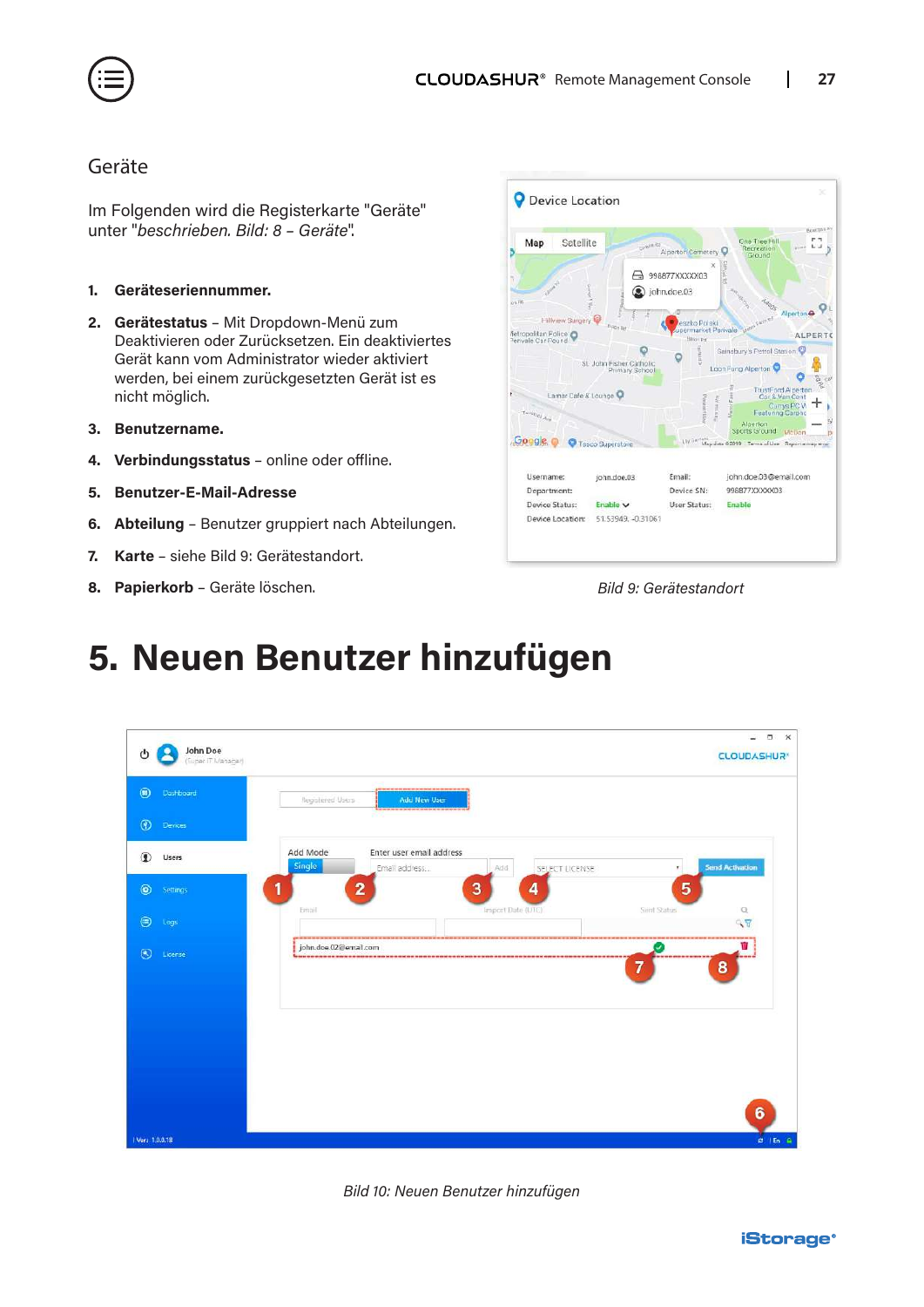<span id="page-26-0"></span>

#### Geräte

Im Folgenden wird die Registerkarte "Geräte" unter "*beschrieben. Bild: 8 – Geräte*".

- **1. Geräteseriennummer.**
- **2. Gerätestatus** Mit Dropdown-Menü zum Deaktivieren oder Zurücksetzen. Ein deaktiviertes Gerät kann vom Administrator wieder aktiviert werden, bei einem zurückgesetzten Gerät ist es nicht möglich.
- **3. Benutzername.**
- **4. Verbindungsstatus** online oder offline.
- **5. Benutzer-E-Mail-Adresse**
- **6. Abteilung** Benutzer gruppiert nach Abteilungen.
- **7. Karte** siehe Bild 9: Gerätestandort.
- **8. Papierkorb** Geräte löschen. *Bild 9: Gerätestandort*



### **5. Neuen Benutzer hinzufügen**



*Bild 10: Neuen Benutzer hinzufügen*

**iStorage**®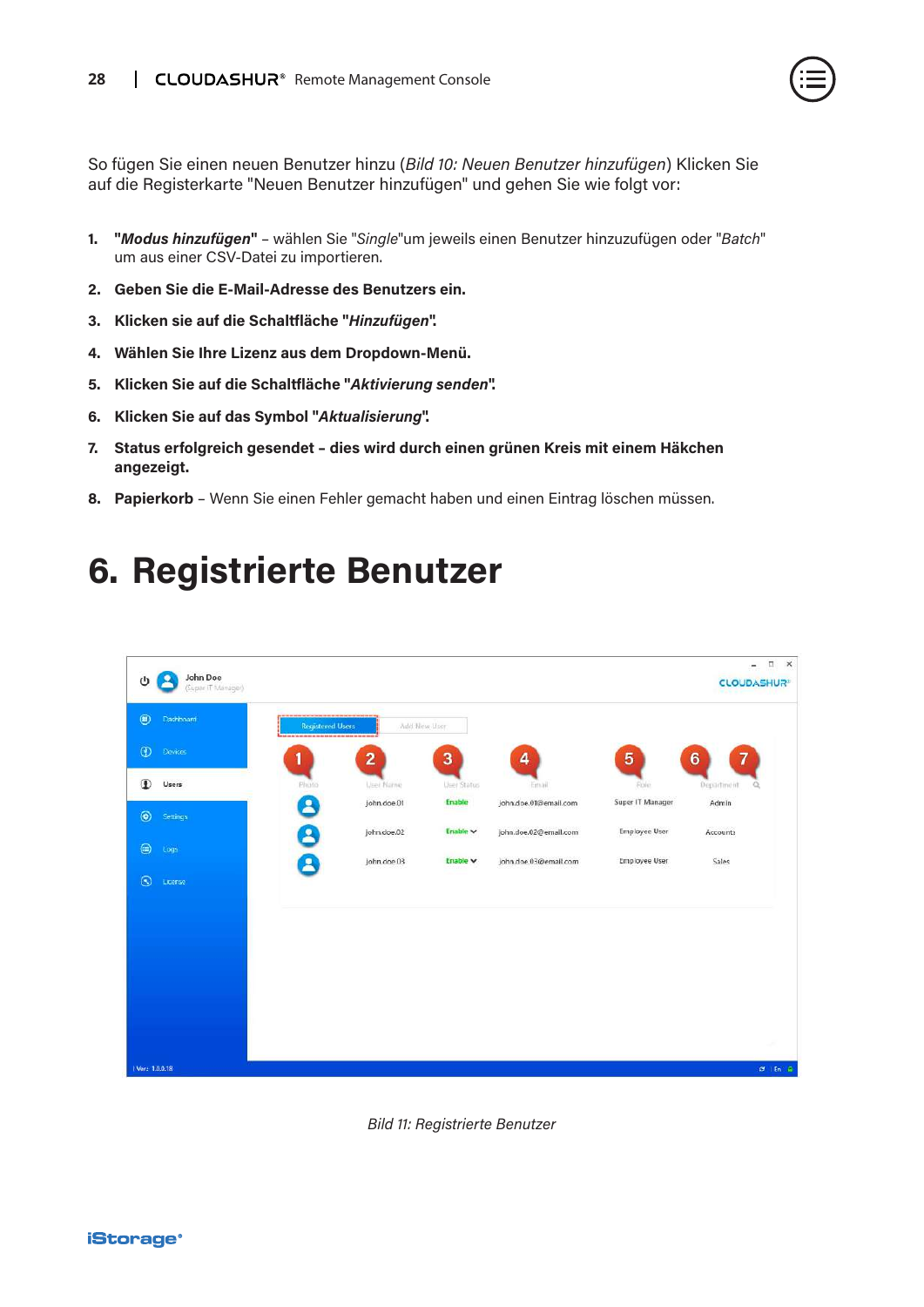<span id="page-27-0"></span>So fügen Sie einen neuen Benutzer hinzu (*Bild 10: Neuen Benutzer hinzufügen*) Klicken Sie auf die Registerkarte "Neuen Benutzer hinzufügen" und gehen Sie wie folgt vor:

- **1. "***Modus hinzufügen***"**  wählen Sie "*Single*"um jeweils einen Benutzer hinzuzufügen oder "*Batch*" um aus einer CSV-Datei zu importieren.
- **2. Geben Sie die E-Mail-Adresse des Benutzers ein.**
- **3. Klicken sie auf die Schaltfläche "***Hinzufügen***".**
- **4. Wählen Sie Ihre Lizenz aus dem Dropdown-Menü.**
- **5. Klicken Sie auf die Schaltfläche "***Aktivierung senden***".**
- **6. Klicken Sie auf das Symbol "***Aktualisierung***".**
- **7. Status erfolgreich gesendet dies wird durch einen grünen Kreis mit einem Häkchen angezeigt.**
- **8. Papierkorb** Wenn Sie einen Fehler gemacht haben und einen Eintrag löschen müssen.

### **6. Registrierte Benutzer**

![](_page_27_Picture_12.jpeg)

*Bild 11: Registrierte Benutzer*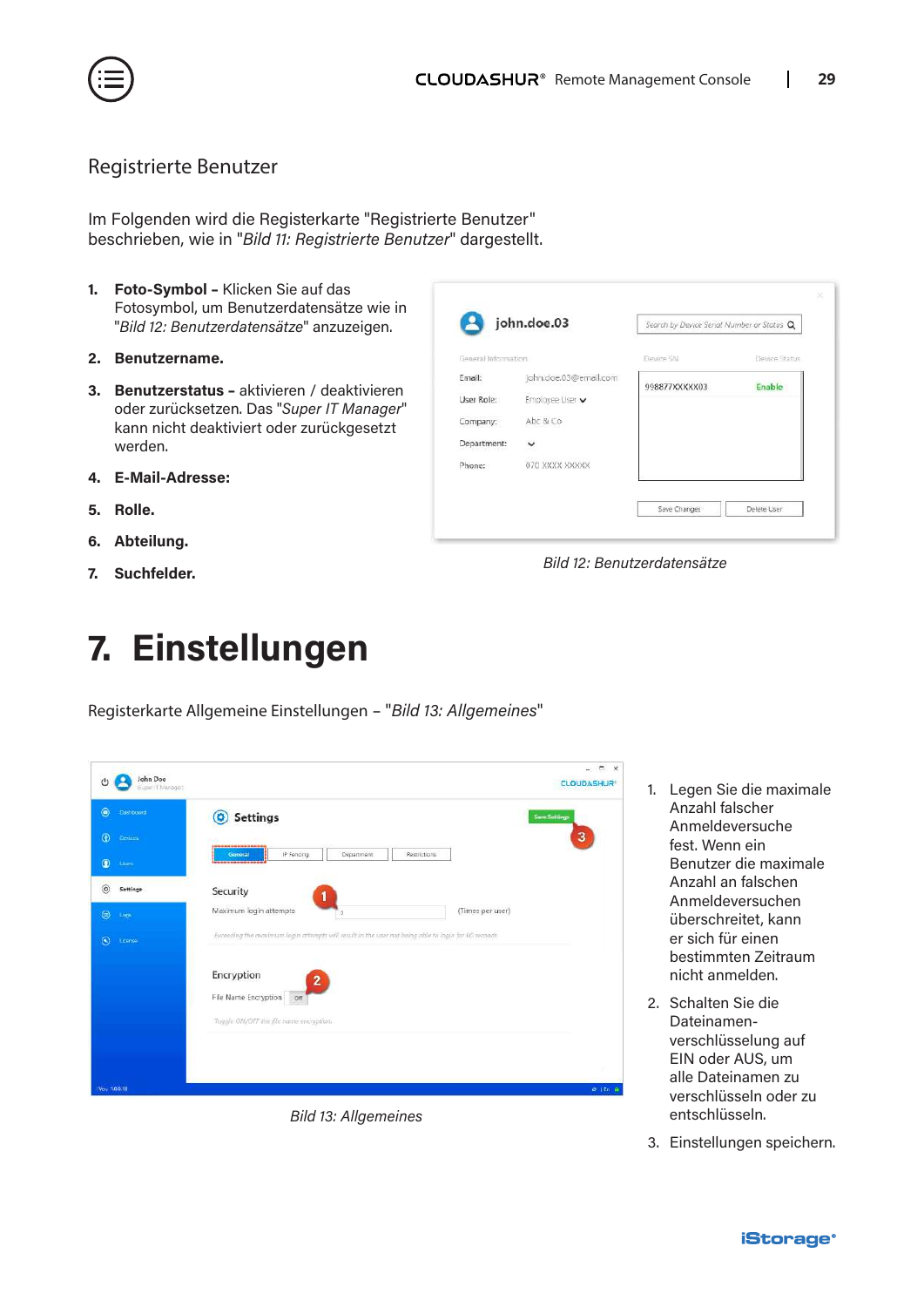<span id="page-28-0"></span>![](_page_28_Picture_0.jpeg)

#### Registrierte Benutzer

Im Folgenden wird die Registerkarte "Registrierte Benutzer" beschrieben, wie in "*Bild 11: Registrierte Benutzer*" dargestellt.

- **1. Foto-Symbol** Klicken Sie auf das Fotosymbol, um Benutzerdatensätze wie in "*Bild 12: Benutzerdatensätze*" anzuzeigen.
- **2. Benutzername.**
- **3. Benutzerstatus** aktivieren / deaktivieren oder zurücksetzen. Das "*Super IT Manager*" kann nicht deaktiviert oder zurückgesetzt werden.
- **4. E-Mail-Adresse:**
- **5. Rolle.**
- **6. Abteilung.**
- **7. Suchfelder.**

## **7. Einstellungen**

Registerkarte Allgemeine Einstellungen – "*Bild 13: Allgemeines*"

| $^{\circ}$<br><b>Cashboard</b> | <b>Settings</b><br>$\boldsymbol{\Omega}$                                                            | <b>Save Settings</b> |
|--------------------------------|-----------------------------------------------------------------------------------------------------|----------------------|
| $\circ$<br>Devires.            | <b><i><b><i><u><b>I</b></u></i> I</b></i> I I I I I I I I I I I I</b>                               | 3                    |
| $\bullet$<br>Licera            | IP Foricing<br>Department<br>Restrictions<br>General<br>                                            |                      |
| $\circledcirc$<br>Settings     | Security                                                                                            |                      |
| $\circledcirc$<br>Logs         | Maximum login attempts<br>(Times per user)<br>s.                                                    |                      |
| $\odot$<br>License             | Exceeding the maximum login attempts will result in the user not being able to login for 60 woonds. |                      |
|                                | Encryption                                                                                          |                      |
|                                | $\mathbf{2}$<br>File Name Encryption on                                                             |                      |
|                                | Toggle ON/OFF the file name encryption.                                                             |                      |
|                                |                                                                                                     |                      |
|                                |                                                                                                     |                      |

*Bild 13: Allgemeines*

| john.doe.03           | Search by Device Serial Number or Status Q |               |
|-----------------------|--------------------------------------------|---------------|
|                       | Devine SN                                  | Device Status |
| john.doe.03@email.com |                                            | Enable        |
| Employee User v       |                                            |               |
| Abc & Co              |                                            |               |
| v                     |                                            |               |
| 070 XXXX XXXXX        |                                            |               |
|                       | General Information                        | 998877XXXXX03 |

*Bild 12: Benutzerdatensätze*

- 1. Legen Sie die maximale Anzahl falscher Anmeldeversuche fest. Wenn ein Benutzer die maximale Anzahl an falschen Anmeldeversuchen überschreitet, kann er sich für einen bestimmten Zeitraum nicht anmelden.
- 2. Schalten Sie die Dateinamenverschlüsselung auf EIN oder AUS, um alle Dateinamen zu verschlüsseln oder zu entschlüsseln.
- 3. Einstellungen speichern.

![](_page_28_Picture_20.jpeg)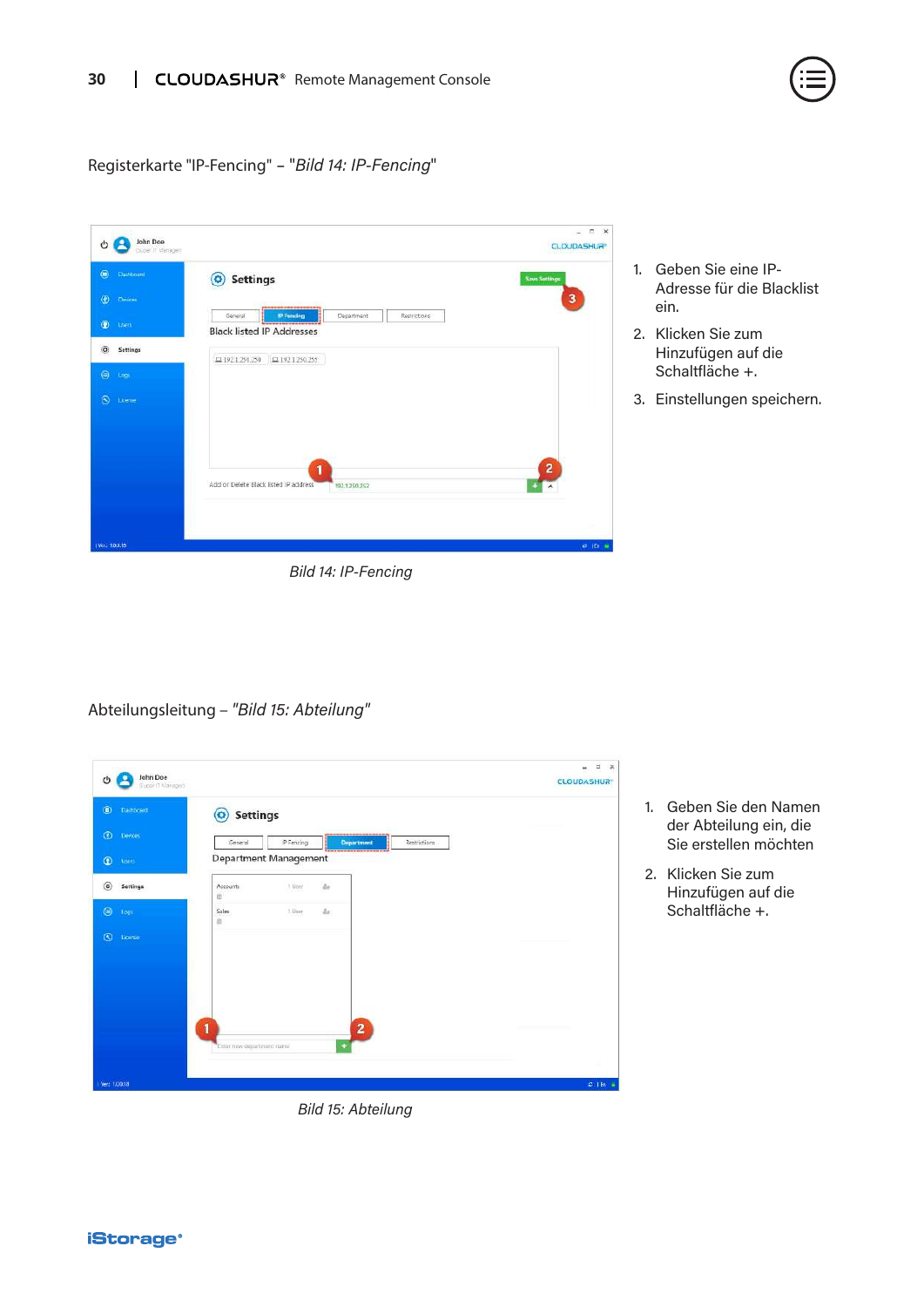![](_page_29_Picture_1.jpeg)

Registerkarte "IP-Fencing" – "*Bild 14: IP-Fencing*"

| $\circledcirc$<br>Darboard    | <b>Settings</b><br>$\circledcirc$                                                       | <b>Save Settings</b> |
|-------------------------------|-----------------------------------------------------------------------------------------|----------------------|
| $\circ$<br>Derices            |                                                                                         | $\mathbf{3}$         |
| $\circledcirc$<br><b>Mers</b> | IP Fencing<br>General<br>Department<br>Restrictions<br><b>Black listed IP Addresses</b> |                      |
| $\circledcirc$<br>Settings    | 모 192.1.250.250<br>$\Box$ 192.1.250.255                                                 |                      |
| $\circledcirc$<br><b>Logs</b> |                                                                                         |                      |
| $\circledcirc$<br>License     |                                                                                         |                      |
|                               |                                                                                         |                      |
|                               |                                                                                         |                      |
|                               |                                                                                         |                      |
|                               | 1                                                                                       | 2                    |
|                               | Add or Delete Black listed IP address<br>192.1.250.252                                  |                      |
|                               |                                                                                         |                      |

- 1. Geben Sie eine IP-Adresse für die Blacklist ein.
- 2. Klicken Sie zum Hinzufügen auf die Schaltfläche +.
- 3. Einstellungen speichern.

Abteilungsleitung – *"Bild 15: Abteilung"*

| $^{\circ}$<br>Dashboard        | <b>Settings</b><br>o |                       |                         |              |  |
|--------------------------------|----------------------|-----------------------|-------------------------|--------------|--|
| $\circledcirc$<br>Devoes       | General              | IP Fencing            | Department              | Restrictions |  |
| $\circledcirc$<br><b>Users</b> |                      | Department Management | -------------------     |              |  |
| $\circledcirc$<br>Settings     | Accounts<br>宜        | t Liser               | ä.                      |              |  |
| $\circledcirc$<br><b>Log</b>   | Sales<br>$\Omega$    | 1.User                | $\Delta r$              |              |  |
| $\circledcirc$<br>License      |                      |                       |                         |              |  |
|                                |                      |                       |                         |              |  |
|                                |                      |                       |                         |              |  |
|                                |                      |                       |                         |              |  |
|                                | 1                    |                       | $\overline{\mathbf{2}}$ |              |  |
|                                |                      |                       |                         |              |  |

1. Geben Sie den Namen der Abteilung ein, die Sie erstellen möchten

2. Klicken Sie zum Hinzufügen auf die Schaltfläche +.

*Bild 15: Abteilung*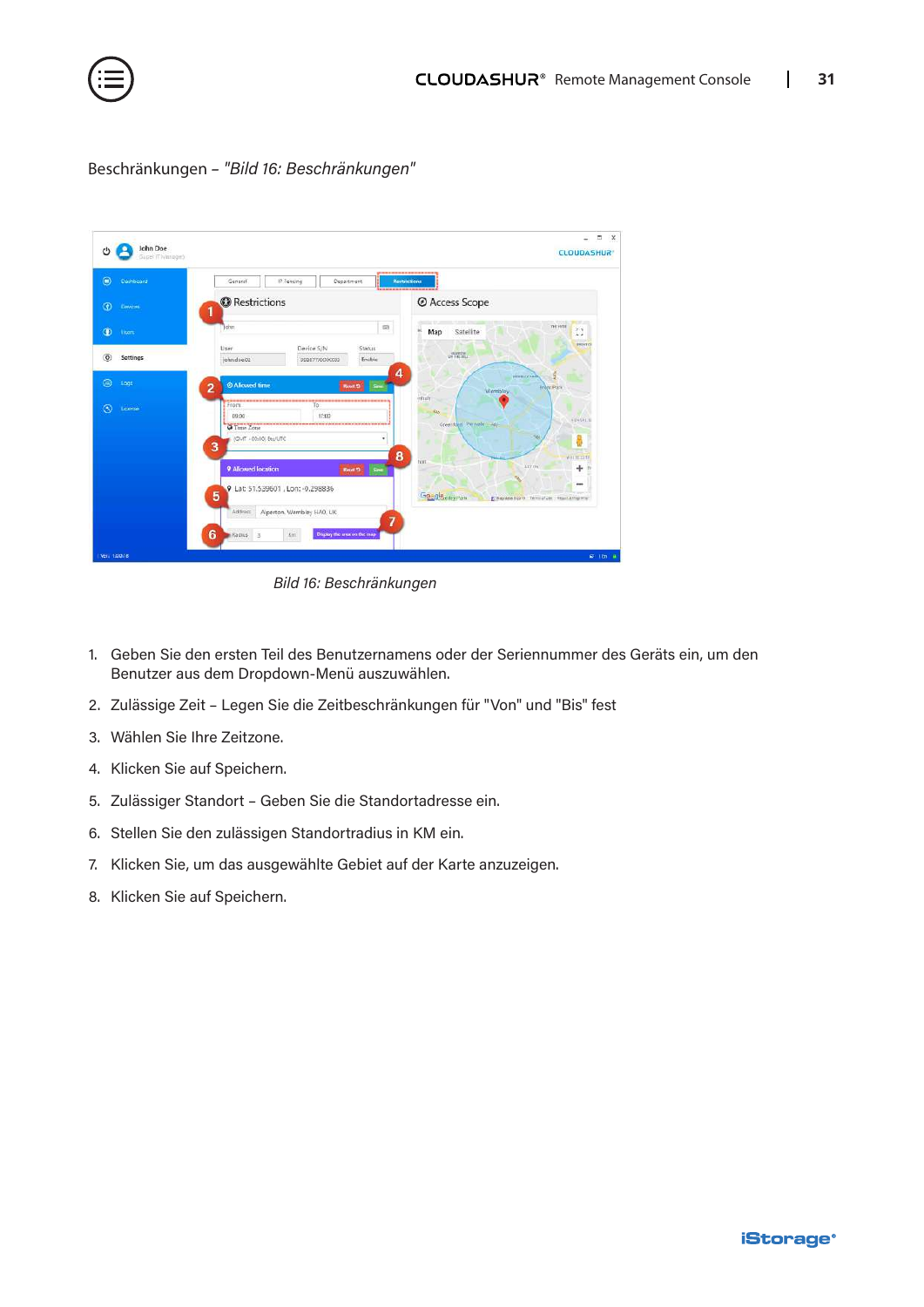![](_page_30_Picture_0.jpeg)

| $\bullet$<br>Dashboard     | IP Fencing<br>Department<br>General<br>------------                             | <br><b>Mestrictions</b>                                            |
|----------------------------|---------------------------------------------------------------------------------|--------------------------------------------------------------------|
| $\circ$<br>Dewces          | <b>O</b> Restrictions<br>1                                                      | @ Access Scope                                                     |
| $\bullet$<br>them          | $\Box$<br>John.                                                                 | nic river<br>$r - 1$<br>×<br>Satellite<br>Map<br>L, J              |
| $\circledcirc$<br>Settings | User<br>Device S/N<br><b>Status</b><br>john.doe.02<br>Enable<br>998077XXXXXX0   | <b>BRINT CI</b><br>AMARCHE                                         |
| ⊜<br>Logs                  | 4<br><b>O</b> Allowed time<br>See<br>$\overline{2}$<br><b>Revet 13</b>          | WHEN COALS<br><b>Erdet Park</b><br>Wembley                         |
| $\circledcirc$<br>License  | ,,,,,,,,,,,,,,,,,,,,,,,<br><br>From<br>To<br>17:00<br>09:00<br>O Time Zone<br>  | <b>dittain</b><br>586<br><b>KENSALI</b><br>Greensbert Pernale - 46 |
|                            | IGMT +00:00 Etu/UTC<br>۰<br>3<br>8                                              | w<br>me.<br>with the motor<br>tion                                 |
|                            | 9 Allowed location<br>Reset 13<br>Saw<br>Q Lat: 51.539601, Lon: - 0.298836<br>5 | ATT SW<br>÷<br>$\cdots$<br>Goggle elevent                          |
|                            | Alperton, Wembley HAO, UK<br>Address<br>$\overline{7}$                          | E Max data busine Termi of Use 1 Reports map eng-                  |

Beschränkungen *– "Bild 16: Beschränkungen"*

*Bild 16: Beschränkungen*

- 1. Geben Sie den ersten Teil des Benutzernamens oder der Seriennummer des Geräts ein, um den Benutzer aus dem Dropdown-Menü auszuwählen.
- 2. Zulässige Zeit Legen Sie die Zeitbeschränkungen für "Von" und "Bis" fest
- 3. Wählen Sie Ihre Zeitzone.
- 4. Klicken Sie auf Speichern.
- 5. Zulässiger Standort Geben Sie die Standortadresse ein.
- 6. Stellen Sie den zulässigen Standortradius in KM ein.
- 7. Klicken Sie, um das ausgewählte Gebiet auf der Karte anzuzeigen.
- 8. Klicken Sie auf Speichern.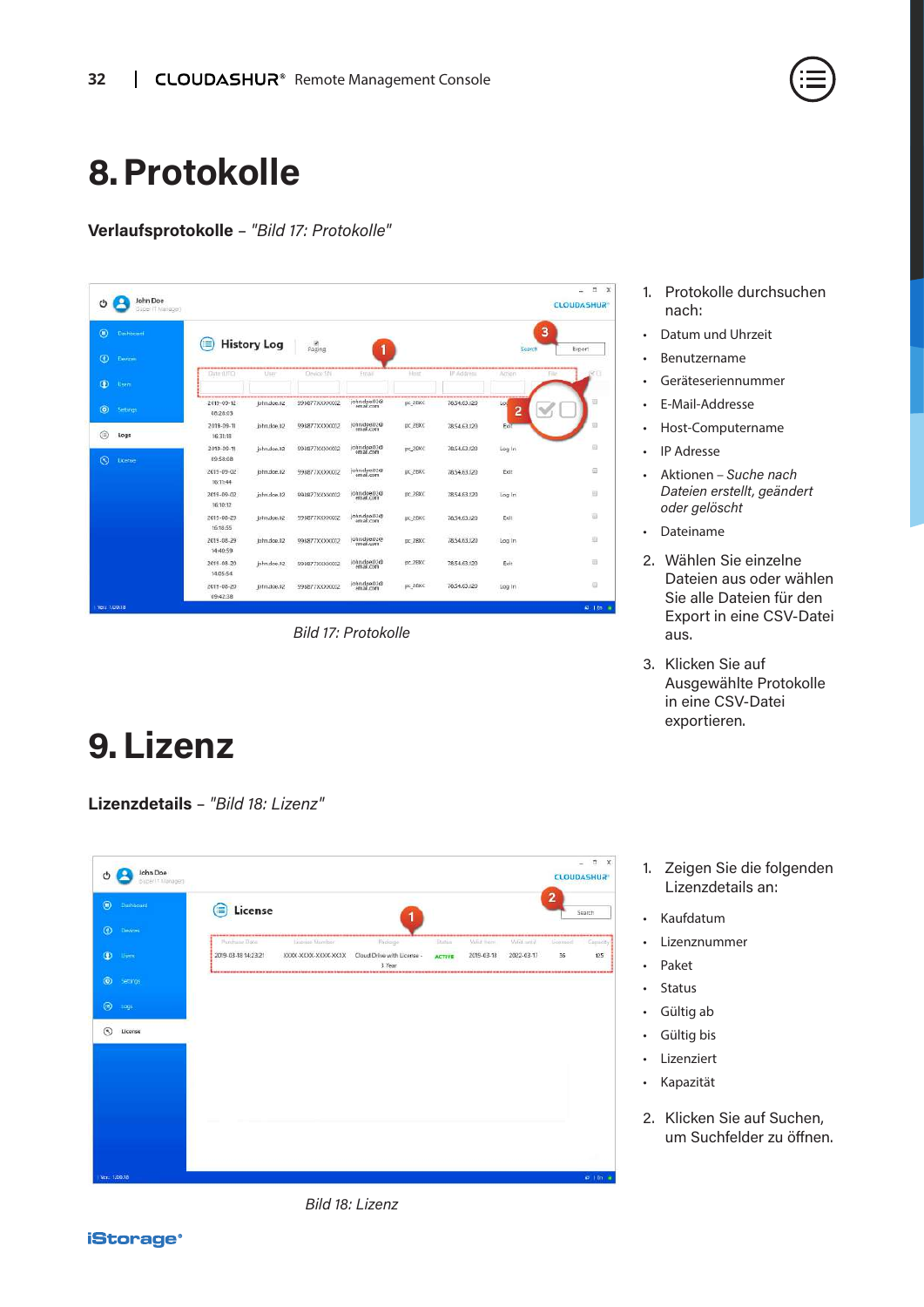### <span id="page-31-0"></span>**8.Protokolle**

**Verlaufsprotokolle** – *"Bild 17: Protokolle"*

| $\circledcirc$<br>Dashbriant |                              |                    |                |                           |             |                             | 3                                   |        |
|------------------------------|------------------------------|--------------------|----------------|---------------------------|-------------|-----------------------------|-------------------------------------|--------|
|                              | ≡                            | <b>History Log</b> | Paging         | 1                         |             |                             | Search                              | Export |
| $\bullet$<br><b>Devices</b>  | Date (177C)                  | User               | Device Shi     | Ernail                    | <b>Hunz</b> | -------------<br>IP Address | ----------------<br>Action<br>Filte |        |
| $\bullet$<br>Users           |                              |                    |                |                           |             |                             |                                     |        |
| $\bullet$<br>Settings        | 2019-09-12<br>08:28:03       | john.doe.02        | 998877XXXXXXX  | john.doe.02@              | pc 2BXC     | 78.54.63.120                | Los<br>2                            |        |
| G<br>Logs                    | 2019-09-11<br>16:31:18       | john.doe.02        | 998877XXXXXXX  | john.doe.02@<br>email.com | pc_2BXC     | 78.54.63.120                | Exit                                | Đ,     |
| $\odot$<br>License           | 2019-09-11<br>09:58:08       | john.doe.02        | 998877XXXXXXX  | john.doe.02@              | pc_2BXC     | 78,54,63,120                | Log In                              | ₿      |
|                              | $2019 - 09 - 02$<br>16:11:44 | john.doe.02        | 998877XXXXXXD2 | john doe 02@<br>email.com | pc_2BXC     | 78.54.63.120                | Exit                                | Đ      |
|                              | 2019-09-02<br>16:10:12       | john.doe.02        | 998877XXXXX002 | john.doe.02@<br>email.com | DC_2BXC     | 78.54.63.120                | Log In                              | B      |
|                              | 2019-08-29<br>16:18:55       | john.doe.02        | 998877XXXXXXD2 | john.doe.02@<br>email.com | DC_2BXC     | 78.54.63.120                | Exit                                | a      |
|                              | 2019-08-29<br>14:40:59       | john.dop.02        | 998877XXXXXX02 | john.doe.02@              | pc_2BXC     | 78,54.63,120                | Log In                              | 辺      |
|                              | 2019-08-20<br>14:05:54       | john.doe.02        | 998877XXXXXX0  | john.doe.02@<br>email.com | pc_2BXC     | 78.54.63.120                | Exit                                | 劲      |
|                              | 2019-08-20<br>09:42:38       | john.cloe.02       | 998877XXXXXX   | john.doe.02@<br>email.com | pc 28XC     | 78.54.63.120                | Log In                              | ₿      |

*Bild 17: Protokolle*

### **9.Lizenz**

**Lizenzdetails** – *"Bild 18: Lizenz"*

|                | John Doe          |                                      |                                                         |                                                 |                                 |                             |                           |                | E X<br>u,              |
|----------------|-------------------|--------------------------------------|---------------------------------------------------------|-------------------------------------------------|---------------------------------|-----------------------------|---------------------------|----------------|------------------------|
| O              | Buter IT Manager) |                                      |                                                         |                                                 |                                 |                             |                           |                | <b>CLOUDASHUR</b>      |
| $\circledcirc$ | Dishboard         | License<br>۸                         |                                                         | 1                                               |                                 |                             |                           | $\overline{2}$ | Search                 |
| $\circ$        | Devices           |                                      |                                                         |                                                 |                                 |                             |                           |                |                        |
| $\bullet$      | <b>Uper</b>       | Punchase Date<br>2019-03-18 14:23:21 | License Number<br>KIODI-KKKK-KKKK-KKKK<br><b>ECOLES</b> | Padaigo<br>Cloud Drive with License -<br>3 Year | <b>Disting</b><br><b>ACTIVE</b> | Maliat Ingeri<br>2019-03-18 | Valid until<br>2022-03-17 | beamed<br>36   | Capacity)<br>125       |
| $\odot$        | Settings          | --------------------                 |                                                         |                                                 |                                 |                             |                           |                | -------                |
| $\circledcirc$ | $\log$            |                                      |                                                         |                                                 |                                 |                             |                           |                |                        |
| $\circledcirc$ | License           |                                      |                                                         |                                                 |                                 |                             |                           |                |                        |
|                |                   |                                      |                                                         |                                                 |                                 |                             |                           |                |                        |
|                |                   |                                      |                                                         |                                                 |                                 |                             |                           |                |                        |
|                |                   |                                      |                                                         |                                                 |                                 |                             |                           |                |                        |
|                |                   |                                      |                                                         |                                                 |                                 |                             |                           |                |                        |
|                |                   |                                      |                                                         |                                                 |                                 |                             |                           |                |                        |
|                |                   |                                      |                                                         |                                                 |                                 |                             |                           |                |                        |
| Ver.: 1,0.0.18 |                   |                                      |                                                         |                                                 |                                 |                             |                           |                | $\sigma$ i.m. $\alpha$ |

- 1. Protokolle durchsuchen nach:
- Datum und Uhrzeit
- Benutzername
- Geräteseriennummer
- E-Mail-Addresse
- Host-Computername
- IP Adresse
- Aktionen *Suche nach Dateien erstellt, geändert oder gelöscht*
- Dateiname
- 2. Wählen Sie einzelne Dateien aus oder wählen Sie alle Dateien für den Export in eine CSV-Datei aus.
- 3. Klicken Sie auf Ausgewählte Protokolle in eine CSV-Datei exportieren.
- 1. Zeigen Sie die folgenden Lizenzdetails an:
- Kaufdatum
- Lizenznummer
- Paket
- Status
- Gültig ab
- Gültig bis
- Lizenziert
- Kapazität
- 2. Klicken Sie auf Suchen, um Suchfelder zu öffnen.

*Bild 18: Lizenz*

![](_page_31_Picture_30.jpeg)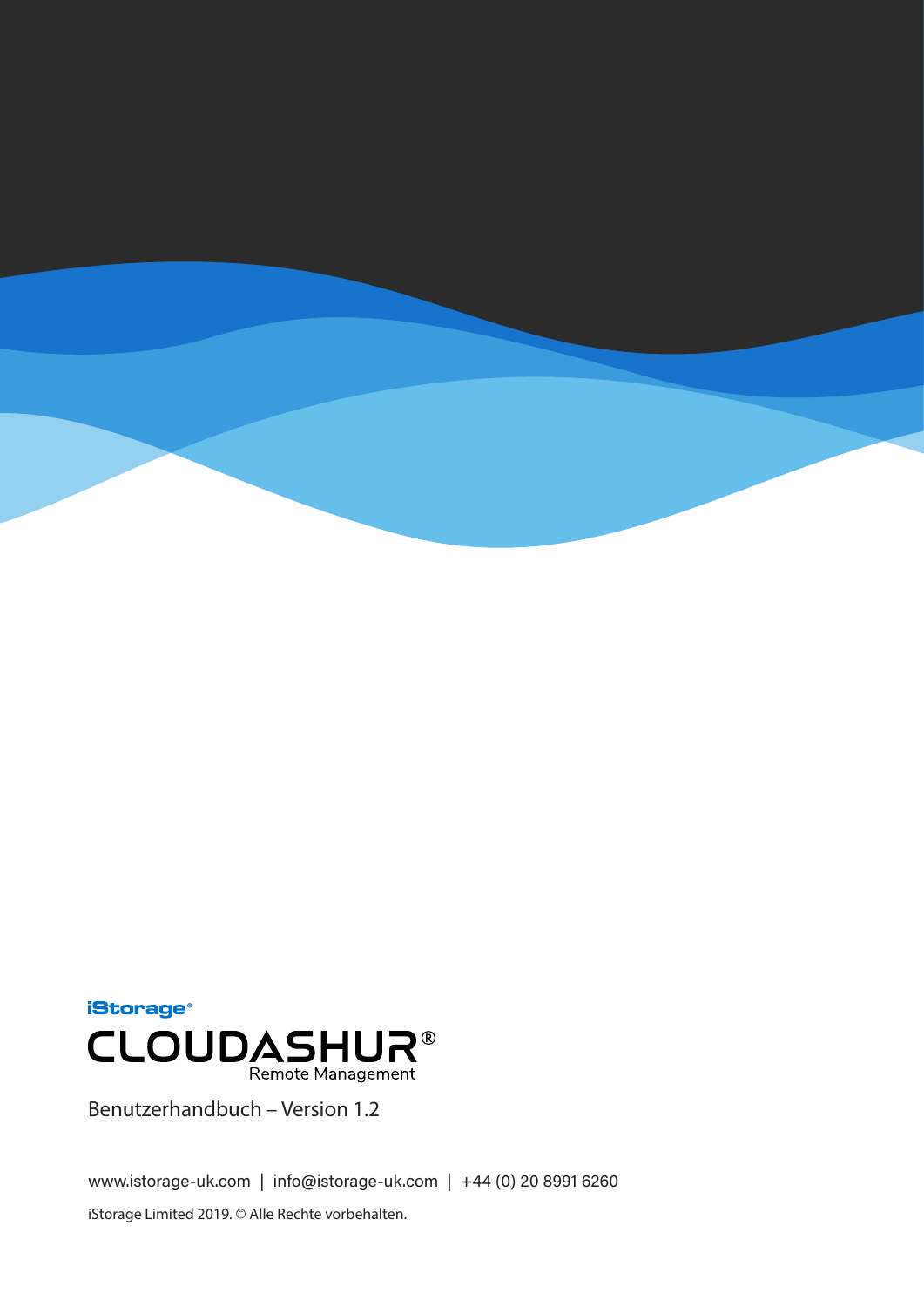![](_page_32_Picture_0.jpeg)

![](_page_32_Picture_1.jpeg)

Benutzerhandbuch – Version 1.2

www.istorage-uk.com | info@istorage-uk.com | +44 (0) 20 8991 6260 iStorage Limited 2019. © Alle Rechte vorbehalten.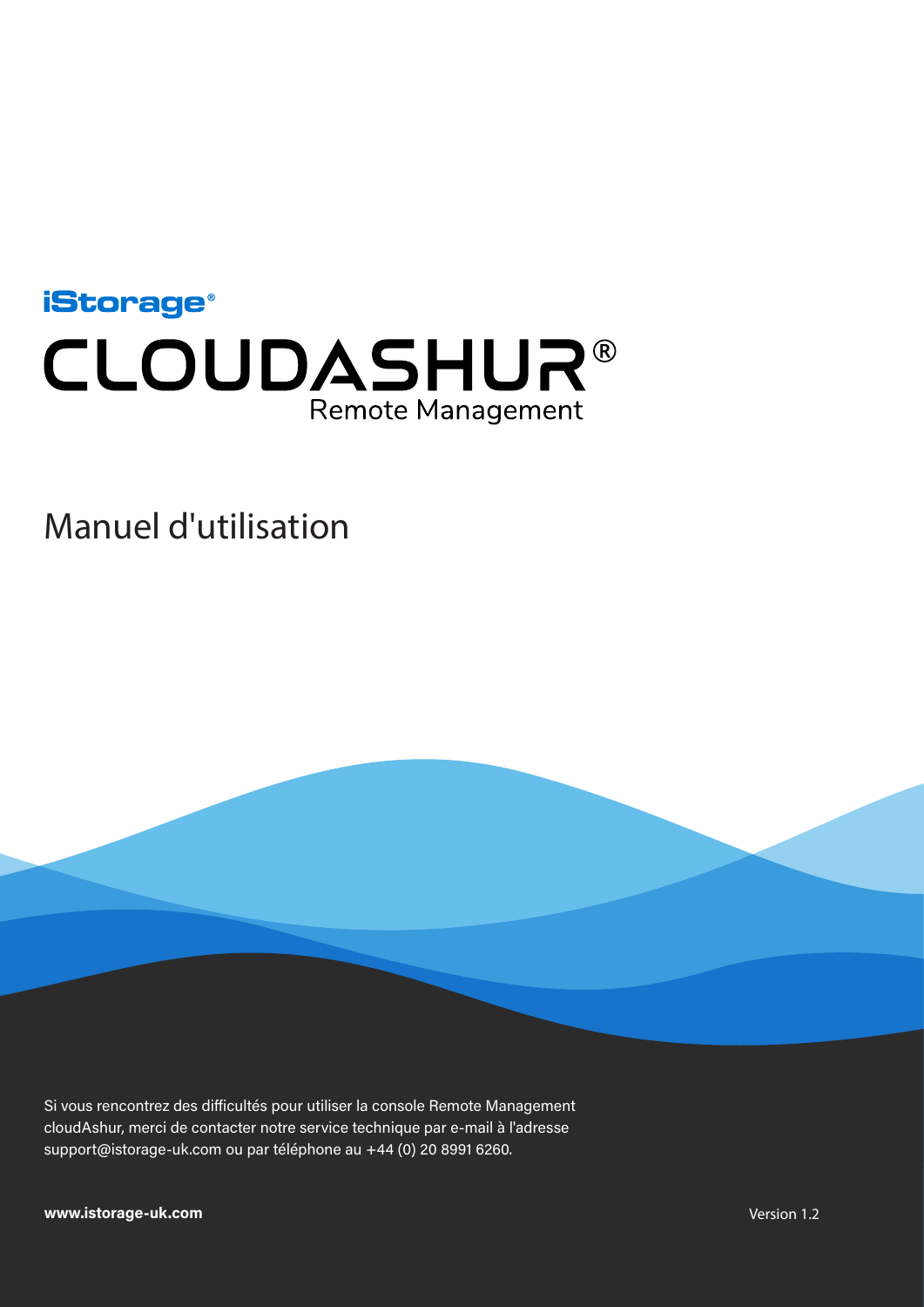<span id="page-33-0"></span>![](_page_33_Picture_0.jpeg)

### Manuel d'utilisation

Si vous rencontrez des difficultés pour utiliser la console Remote Management cloudAshur, merci de contacter notre service technique par e-mail à l'adresse support@istorage-uk.com ou par téléphone au +44 (0) 20 8991 6260.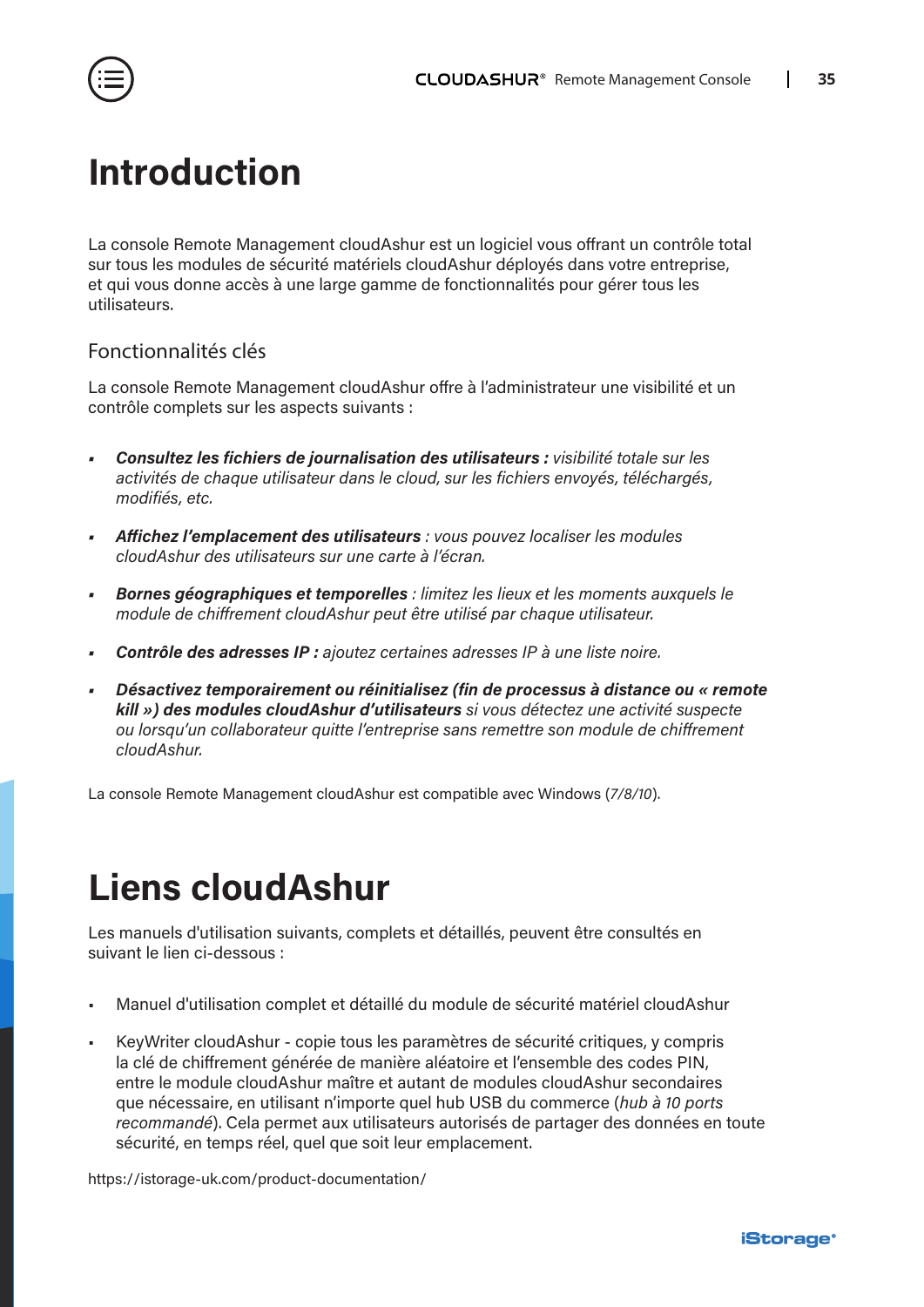<span id="page-34-0"></span>![](_page_34_Picture_1.jpeg)

### **Introduction**

La console Remote Management cloudAshur est un logiciel vous offrant un contrôle total sur tous les modules de sécurité matériels cloudAshur déployés dans votre entreprise, et qui vous donne accès à une large gamme de fonctionnalités pour gérer tous les utilisateurs.

### Fonctionnalités clés

La console Remote Management cloudAshur offre à l'administrateur une visibilité et un contrôle complets sur les aspects suivants :

- *• Consultez les fichiers de journalisation des utilisateurs : visibilité totale sur les activités de chaque utilisateur dans le cloud, sur les fichiers envoyés, téléchargés, modifiés, etc.*
- *• Affichez l'emplacement des utilisateurs : vous pouvez localiser les modules cloudAshur des utilisateurs sur une carte à l'écran.*
- *• Bornes géographiques et temporelles : limitez les lieux et les moments auxquels le module de chiffrement cloudAshur peut être utilisé par chaque utilisateur.*
- *• Contrôle des adresses IP : ajoutez certaines adresses IP à une liste noire.*
- *• Désactivez temporairement ou réinitialisez (fin de processus à distance ou « remote kill ») des modules cloudAshur d'utilisateurs si vous détectez une activité suspecte ou lorsqu'un collaborateur quitte l'entreprise sans remettre son module de chiffrement cloudAshur.*

La console Remote Management cloudAshur est compatible avec Windows (*7/8/10*).

## **Liens cloudAshur**

Les manuels d'utilisation suivants, complets et détaillés, peuvent être consultés en suivant le lien ci-dessous :

- Manuel d'utilisation complet et détaillé du module de sécurité matériel cloudAshur
- KeyWriter cloudAshur copie tous les paramètres de sécurité critiques, y compris la clé de chiffrement générée de manière aléatoire et l'ensemble des codes PIN, entre le module cloudAshur maître et autant de modules cloudAshur secondaires que nécessaire, en utilisant n'importe quel hub USB du commerce (*hub à 10 ports recommandé*). Cela permet aux utilisateurs autorisés de partager des données en toute sécurité, en temps réel, quel que soit leur emplacement.

[https://istorage-uk.com/product-documentation/](http://istorage-uk.com/product-documentation/)

![](_page_34_Picture_18.jpeg)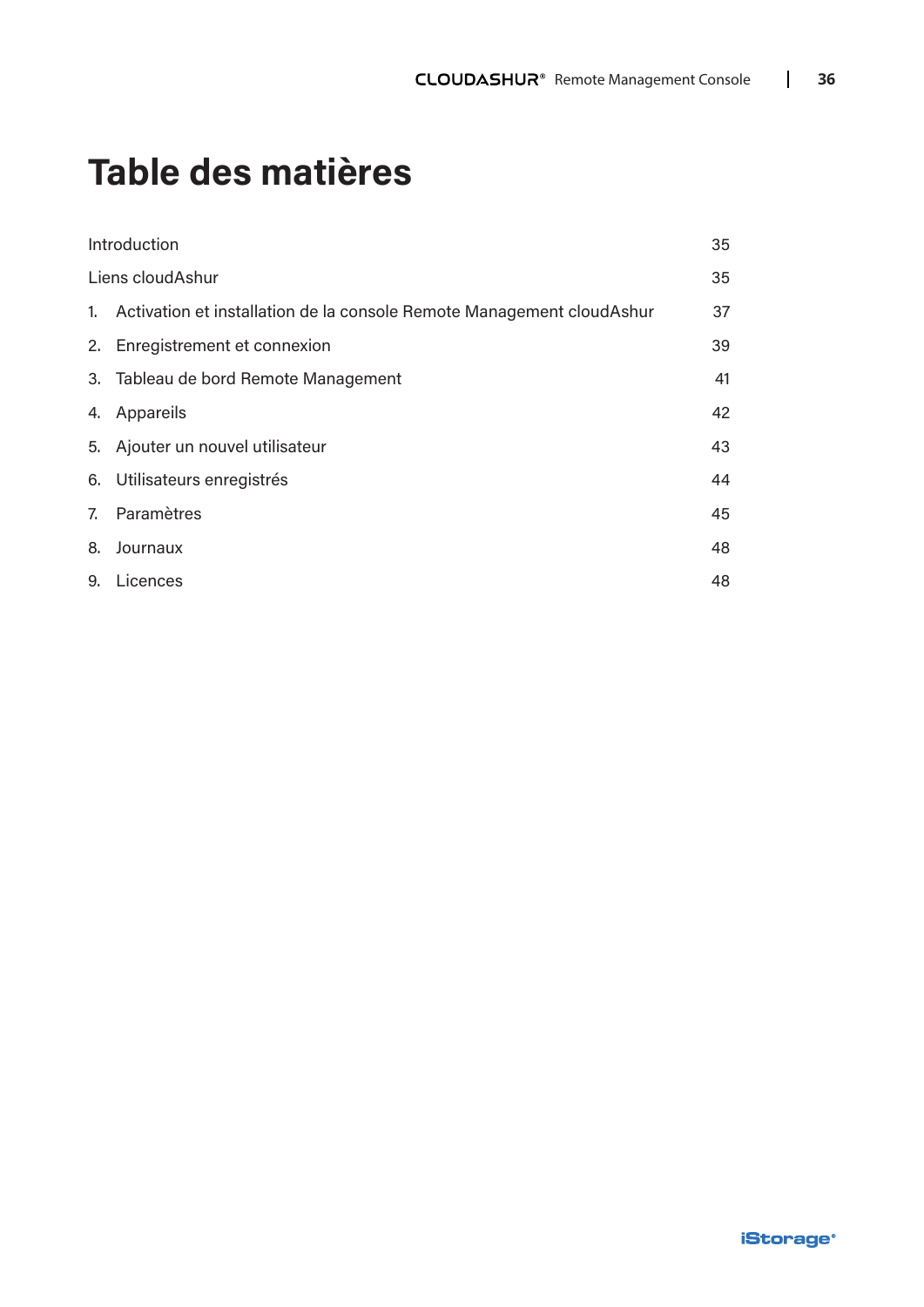## **Table des matières**

| Introduction                                                              | 35 |
|---------------------------------------------------------------------------|----|
| Liens cloudAshur                                                          | 35 |
| 1. Activation et installation de la console Remote Management cloud Ashur | 37 |
| 2. Enregistrement et connexion                                            | 39 |
| 3. Tableau de bord Remote Management                                      | 41 |
| 4. Appareils                                                              | 42 |
| 5. Ajouter un nouvel utilisateur                                          | 43 |
| 6. Utilisateurs enregistrés                                               | 44 |
| 7. Paramètres                                                             | 45 |
| 8. Journaux                                                               | 48 |
| 9. Licences                                                               | 48 |
|                                                                           |    |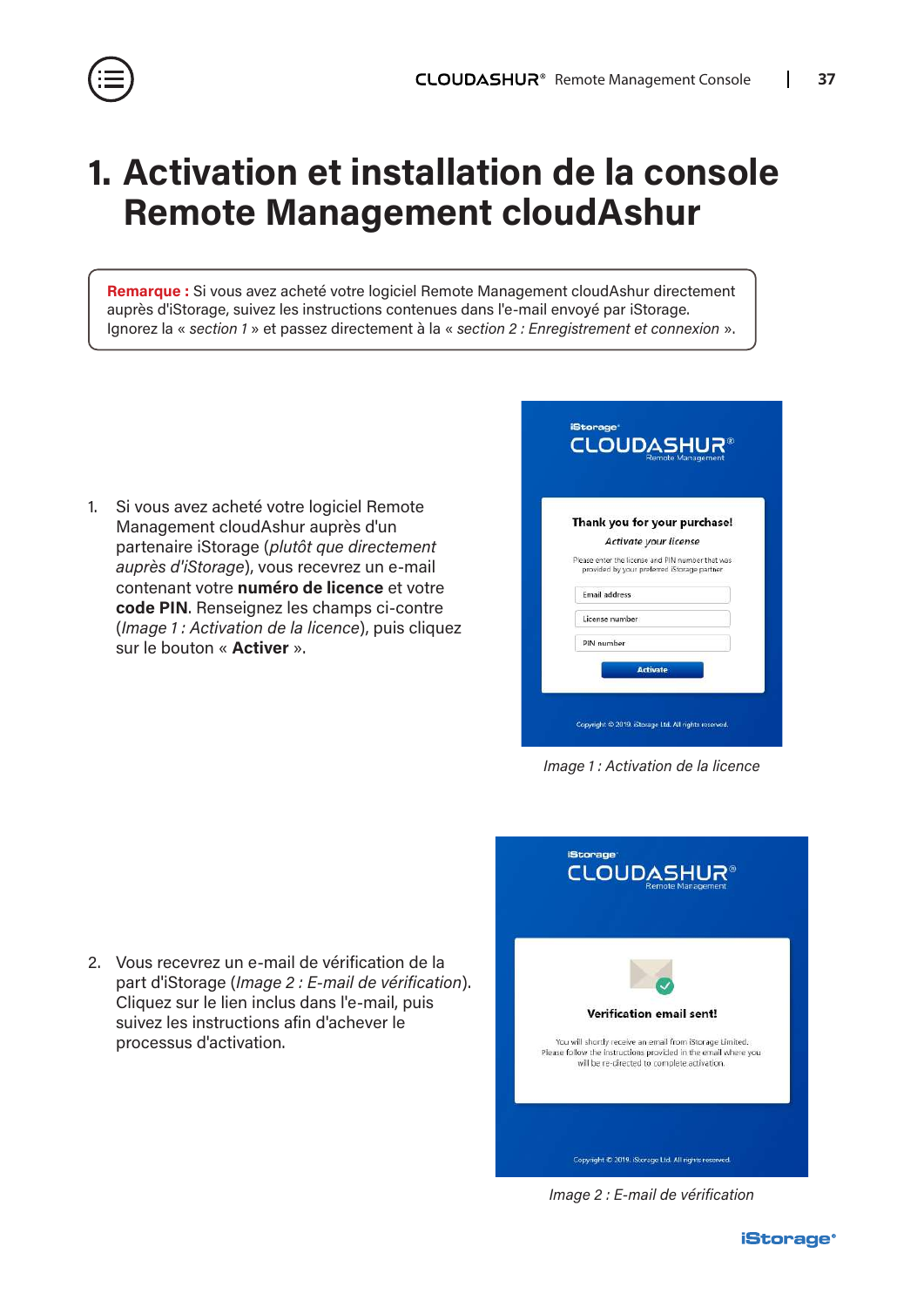### <span id="page-36-0"></span>**1. Activation et installation de la console Remote Management cloudAshur**

**Remarque :** Si vous avez acheté votre logiciel Remote Management cloudAshur directement auprès d'iStorage, suivez les instructions contenues dans l'e-mail envoyé par iStorage. Ignorez la « *section 1* » et passez directement à la « *section 2 : Enregistrement et connexion* ».

1. Si vous avez acheté votre logiciel Remote Management cloudAshur auprès d'un partenaire iStorage (*plutôt que directement auprès d'iStorage*), vous recevrez un e-mail contenant votre **numéro de licence** et votre **code PIN**. Renseignez les champs ci-contre (*Image 1 : Activation de la licence*), puis cliquez sur le bouton « **Activer** ».

|                       | Thank you for your purchase!                                                                    |
|-----------------------|-------------------------------------------------------------------------------------------------|
| Activate your license |                                                                                                 |
|                       | Please enter the license and PIN number that was<br>provided by your preferred iStorage partner |
| Email address         |                                                                                                 |
| License number        |                                                                                                 |
| PIN number            |                                                                                                 |

*Image 1 : Activation de la licence*

2. Vous recevrez un e-mail de vérification de la part d'iStorage (*Image 2 : E-mail de vérification*). Cliquez sur le lien inclus dans l'e-mail, puis suivez les instructions afin d'achever le processus d'activation.

![](_page_36_Picture_7.jpeg)

*Image 2 : E-mail de vérification*

![](_page_36_Picture_10.jpeg)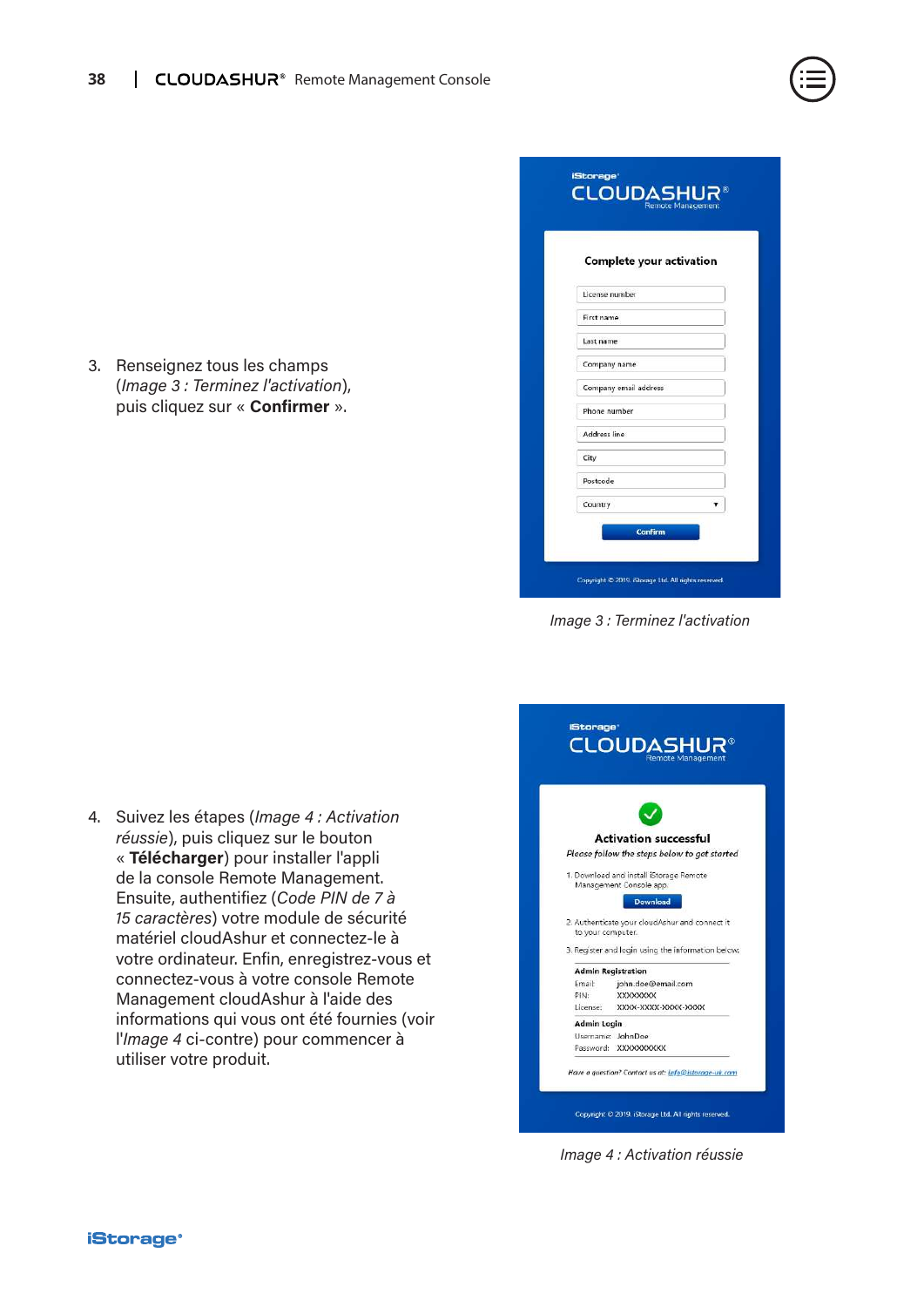3. Renseignez tous les champs (*Image 3 : Terminez l'activation*), puis cliquez sur « **Confirmer** ».

| Complete your activation |  |
|--------------------------|--|
|                          |  |
| License number           |  |
| First name               |  |
| Last name                |  |
| Company name             |  |
| Company email address    |  |
| Phone number             |  |
| Address line             |  |
| City                     |  |
| Postcode                 |  |
| Country                  |  |

*Image 3 : Terminez l'activation*

4. Suivez les étapes (*Image 4 : Activation réussie*), puis cliquez sur le bouton « **Télécharger**) pour installer l'appli de la console Remote Management. Ensuite, authentifiez (*Code PIN de 7 à 15 caractères*) votre module de sécurité matériel cloudAshur et connectez-le à votre ordinateur. Enfin, enregistrez-vous et connectez-vous à votre console Remote Management cloudAshur à l'aide des informations qui vous ont été fournies (voir l'*Image 4* ci-contre) pour commencer à utiliser votre produit.

|                           | <b>Activation successful</b>                       |
|---------------------------|----------------------------------------------------|
|                           | Please follow the steps below to get started       |
|                           | 1. Download and install iStorage Remote            |
|                           | Management Console app.                            |
|                           | <b>Download</b>                                    |
|                           | 2. Authenticate your cloudAshur and connect it     |
|                           | to your computer.                                  |
|                           |                                                    |
|                           | 3. Register and login using the information below: |
| <b>Admin Registration</b> |                                                    |
| Email:                    | john.doe@email.com                                 |
| PIN-                      | <b>XXXXXXXX</b>                                    |
| License:                  | XXXX-XXXX-XXXX-XXXX                                |
| Admin Login               |                                                    |
|                           | Usemame: JohnDoe                                   |
|                           | Password: XXXXXXXXXX                               |

*Image 4 : Activation réussie*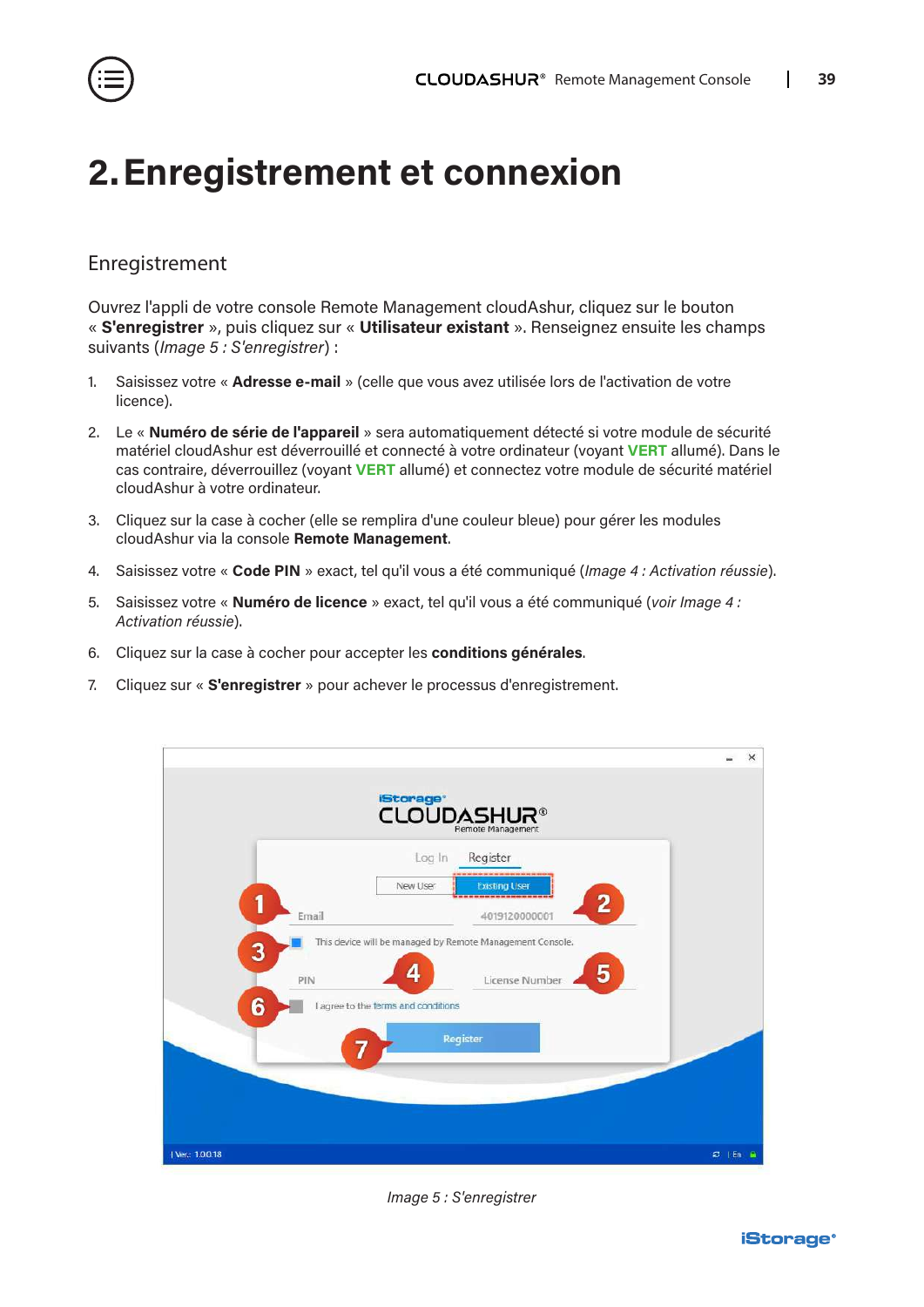<span id="page-38-0"></span>![](_page_38_Picture_1.jpeg)

### **2.Enregistrement et connexion**

### Enregistrement

Ouvrez l'appli de votre console Remote Management cloudAshur, cliquez sur le bouton « **S'enregistrer** », puis cliquez sur « **Utilisateur existant** ». Renseignez ensuite les champs suivants (*Image 5 : S'enregistrer*) :

- 1. Saisissez votre « **Adresse e-mail** » (celle que vous avez utilisée lors de l'activation de votre licence).
- 2. Le « **Numéro de série de l'appareil** » sera automatiquement détecté si votre module de sécurité matériel cloudAshur est déverrouillé et connecté à votre ordinateur (voyant **VERT** allumé). Dans le cas contraire, déverrouillez (voyant **VERT** allumé) et connectez votre module de sécurité matériel cloudAshur à votre ordinateur.
- 3. Cliquez sur la case à cocher (elle se remplira d'une couleur bleue) pour gérer les modules cloudAshur via la console **Remote Management**.
- 4. Saisissez votre « **Code PIN** » exact, tel qu'il vous a été communiqué (*Image 4 : Activation réussie*).
- 5. Saisissez votre « **Numéro de licence** » exact, tel qu'il vous a été communiqué (*voir Image 4 : Activation réussie*).
- 6. Cliquez sur la case à cocher pour accepter les **conditions générales**.
- 7. Cliquez sur « **S'enregistrer** » pour achever le processus d'enregistrement.

![](_page_38_Figure_12.jpeg)

*Image 5 : S'enregistrer*

![](_page_38_Picture_14.jpeg)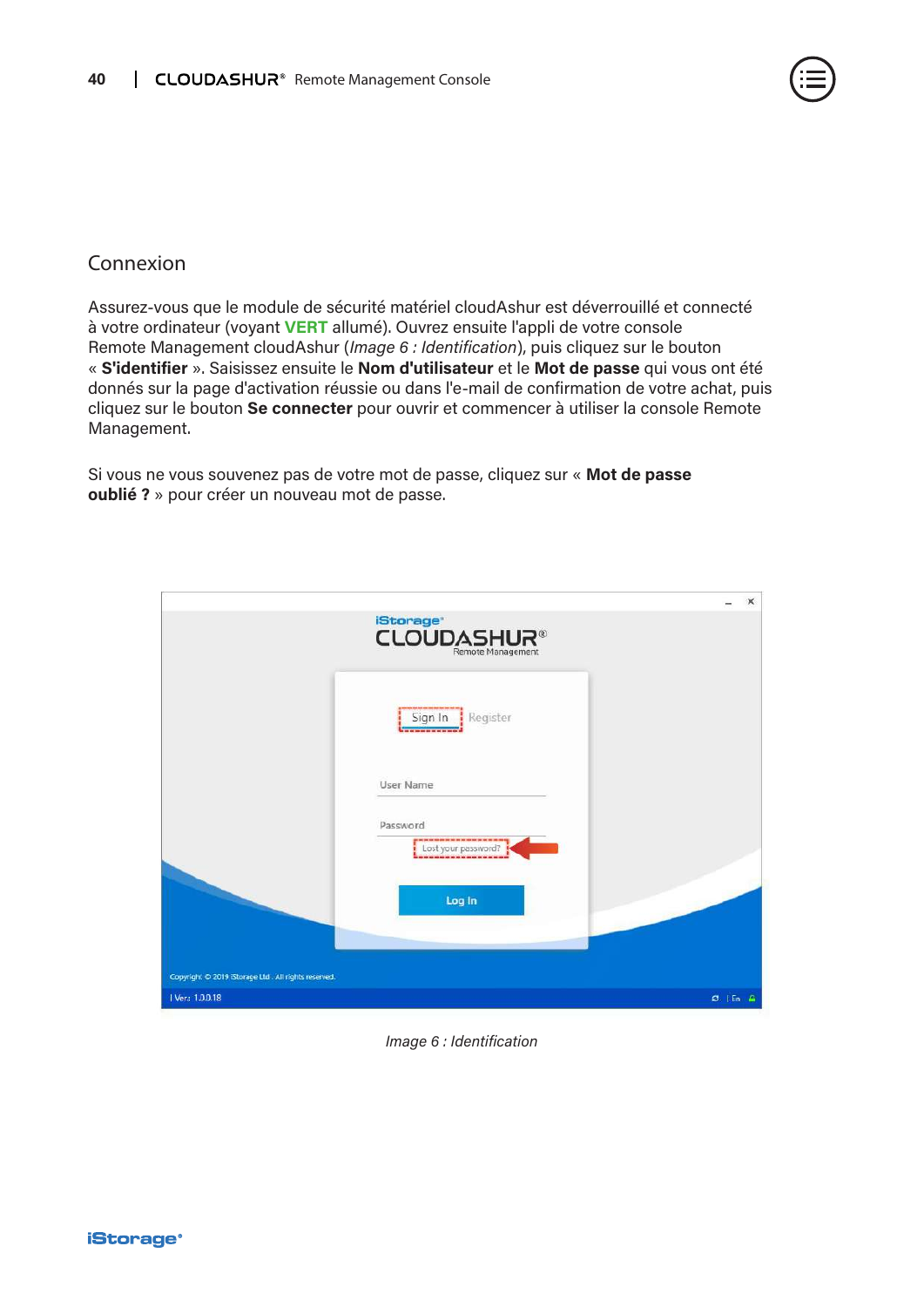![](_page_39_Picture_1.jpeg)

### Connexion

Assurez-vous que le module de sécurité matériel cloudAshur est déverrouillé et connecté à votre ordinateur (voyant **VERT** allumé). Ouvrez ensuite l'appli de votre console Remote Management cloudAshur (*Image 6 : Identification*), puis cliquez sur le bouton « **S'identifier** ». Saisissez ensuite le **Nom d'utilisateur** et le **Mot de passe** qui vous ont été donnés sur la page d'activation réussie ou dans l'e-mail de confirmation de votre achat, puis cliquez sur le bouton **Se connecter** pour ouvrir et commencer à utiliser la console Remote Management.

Si vous ne vous souvenez pas de votre mot de passe, cliquez sur « **Mot de passe oublié ?** » pour créer un nouveau mot de passe.

|                                                     |                                                                                               | $\times$     |
|-----------------------------------------------------|-----------------------------------------------------------------------------------------------|--------------|
|                                                     | <b>iStorage</b><br><b>CLOUDASHUR®</b>                                                         |              |
|                                                     | Sign In<br>Register<br>a sind home cars more cars and cars with a                             |              |
|                                                     | User Name                                                                                     |              |
|                                                     | Password<br>ga wa su sin minimu kin mi wa wa min min su wa su wa manag<br>Lost your password? |              |
|                                                     | Log In                                                                                        |              |
| Copyright © 2019 iStorage Ltd. All rights reserved. |                                                                                               |              |
| 1 Ver: 1.0.0.18                                     |                                                                                               | $C$   En $A$ |

#### *Image 6 : Identification*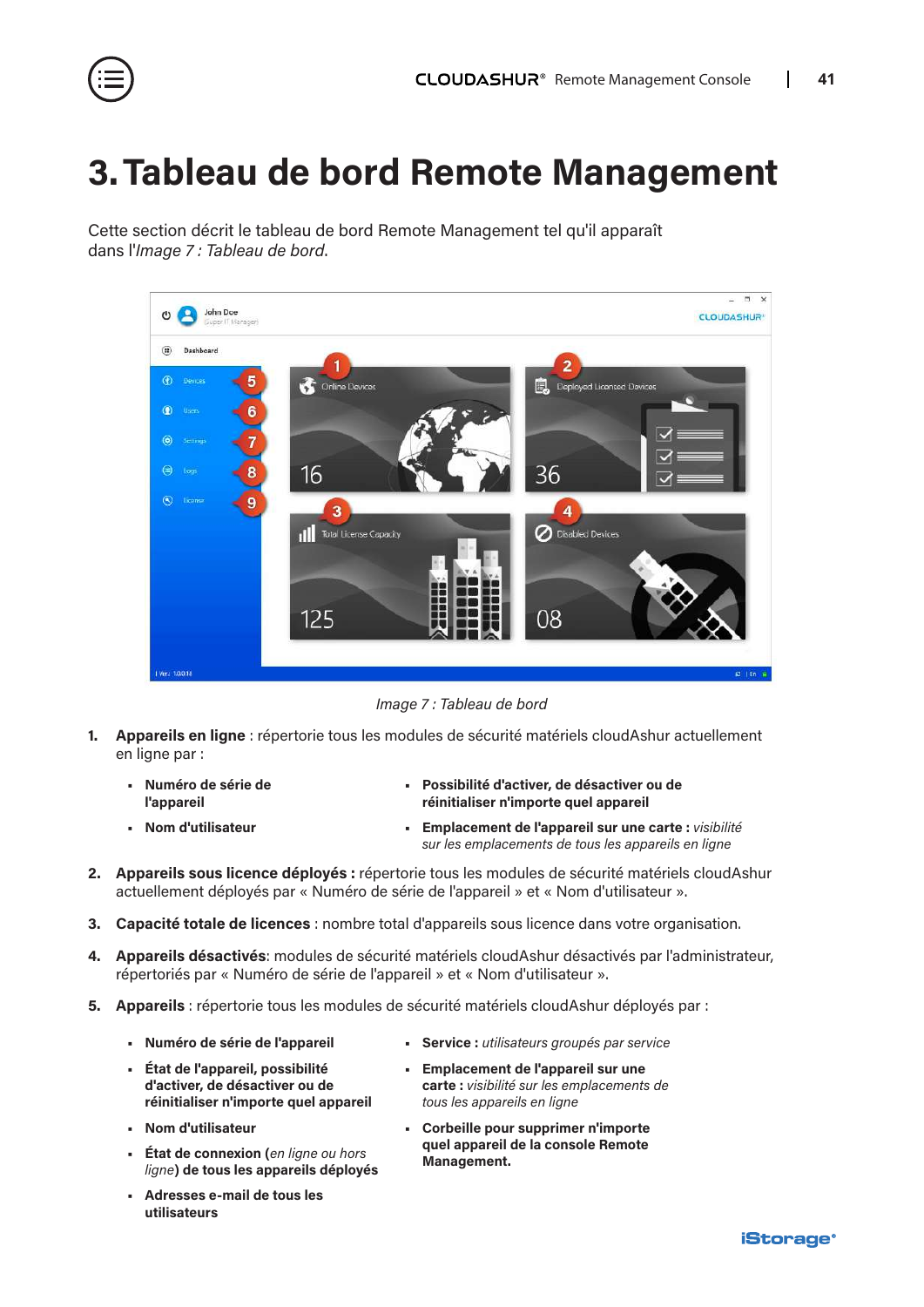<span id="page-40-0"></span>![](_page_40_Picture_1.jpeg)

### **3.Tableau de bord Remote Management**

Cette section décrit le tableau de bord Remote Management tel qu'il apparaît dans l'*Image 7 : Tableau de bord*.

![](_page_40_Picture_4.jpeg)

*Image 7 : Tableau de bord*

- **1. Appareils en ligne** : répertorie tous les modules de sécurité matériels cloudAshur actuellement en ligne par :
	- **• Numéro de série de l'appareil**

**• Nom d'utilisateur**

- **• Possibilité d'activer, de désactiver ou de réinitialiser n'importe quel appareil**
- **• Emplacement de l'appareil sur une carte :** *visibilité sur les emplacements de tous les appareils en ligne*
- **2. Appareils sous licence déployés :** répertorie tous les modules de sécurité matériels cloudAshur actuellement déployés par « Numéro de série de l'appareil » et « Nom d'utilisateur ».
- **3. Capacité totale de licences** : nombre total d'appareils sous licence dans votre organisation.
- **4. Appareils désactivés**: modules de sécurité matériels cloudAshur désactivés par l'administrateur, répertoriés par « Numéro de série de l'appareil » et « Nom d'utilisateur ».
- **5. Appareils** : répertorie tous les modules de sécurité matériels cloudAshur déployés par :
	- **• Numéro de série de l'appareil**
	- **• État de l'appareil, possibilité d'activer, de désactiver ou de réinitialiser n'importe quel appareil**
	- **• Nom d'utilisateur**
	- **• État de connexion (***en ligne ou hors ligne***) de tous les appareils déployés**
	- **• Adresses e-mail de tous les utilisateurs**
- **• Service :** *utilisateurs groupés par service*
- **• Emplacement de l'appareil sur une carte :** *visibilité sur les emplacements de tous les appareils en ligne*
- **• Corbeille pour supprimer n'importe quel appareil de la console Remote Management.**

![](_page_40_Picture_23.jpeg)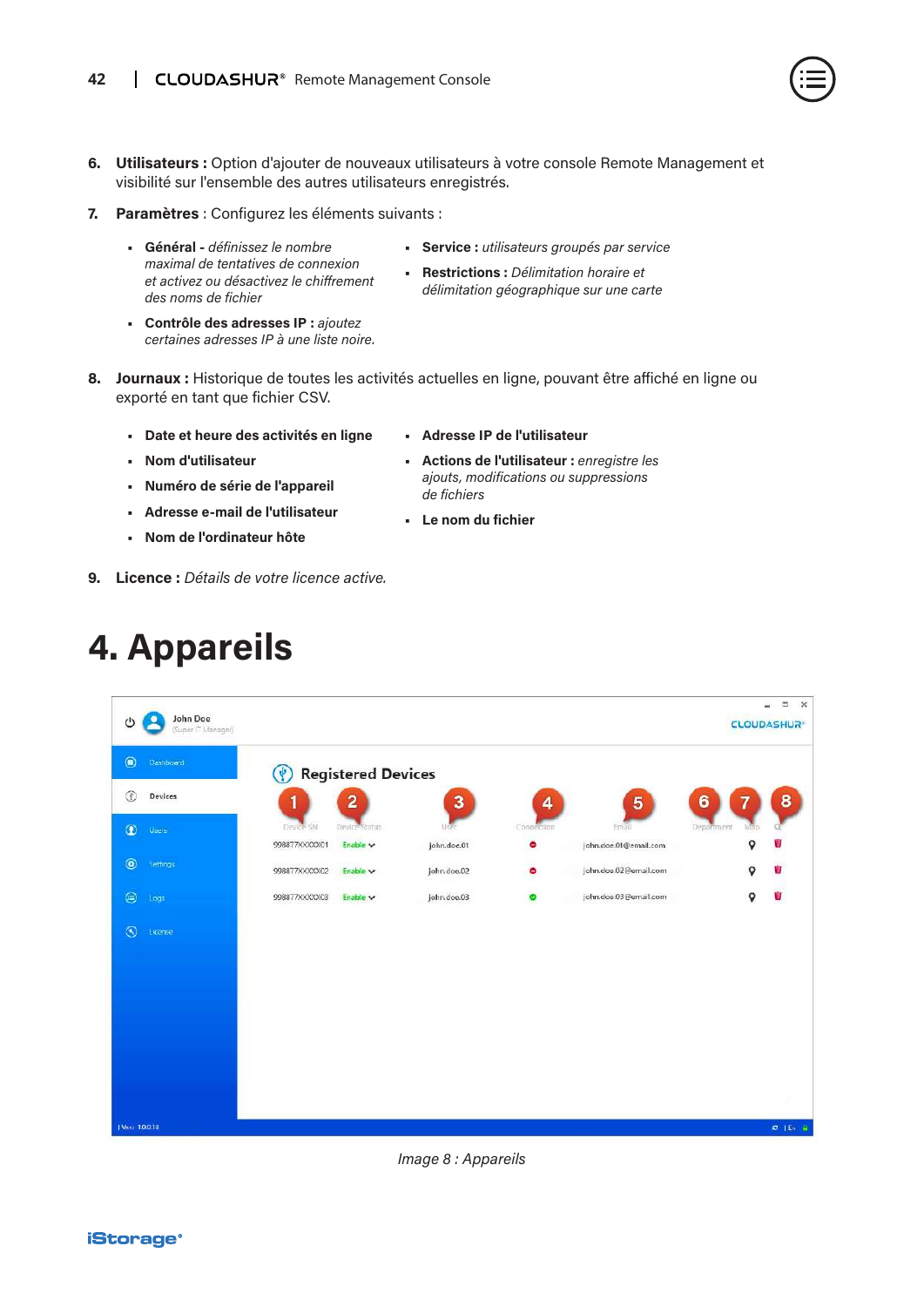- <span id="page-41-0"></span>**6. Utilisateurs :** Option d'ajouter de nouveaux utilisateurs à votre console Remote Management et visibilité sur l'ensemble des autres utilisateurs enregistrés.
- **7. Paramètres** : Configurez les éléments suivants :
	- **• Général** *définissez le nombre maximal de tentatives de connexion et activez ou désactivez le chiffrement des noms de fichier*
	- **• Contrôle des adresses IP :** *ajoutez certaines adresses IP à une liste noire.*
- **• Service :** *utilisateurs groupés par service*
- **• Restrictions :** *Délimitation horaire et délimitation géographique sur une carte*
- **8. Journaux :** Historique de toutes les activités actuelles en ligne, pouvant être affiché en ligne ou exporté en tant que fichier CSV.
	- **• Date et heure des activités en ligne**
	- **• Nom d'utilisateur**
	- **• Numéro de série de l'appareil**
	- **• Adresse e-mail de l'utilisateur**
	- **• Nom de l'ordinateur hôte**
- **9. Licence :** *Détails de votre licence active.*

### **4. Appareils**

![](_page_41_Picture_15.jpeg)

![](_page_41_Figure_16.jpeg)

![](_page_41_Figure_17.jpeg)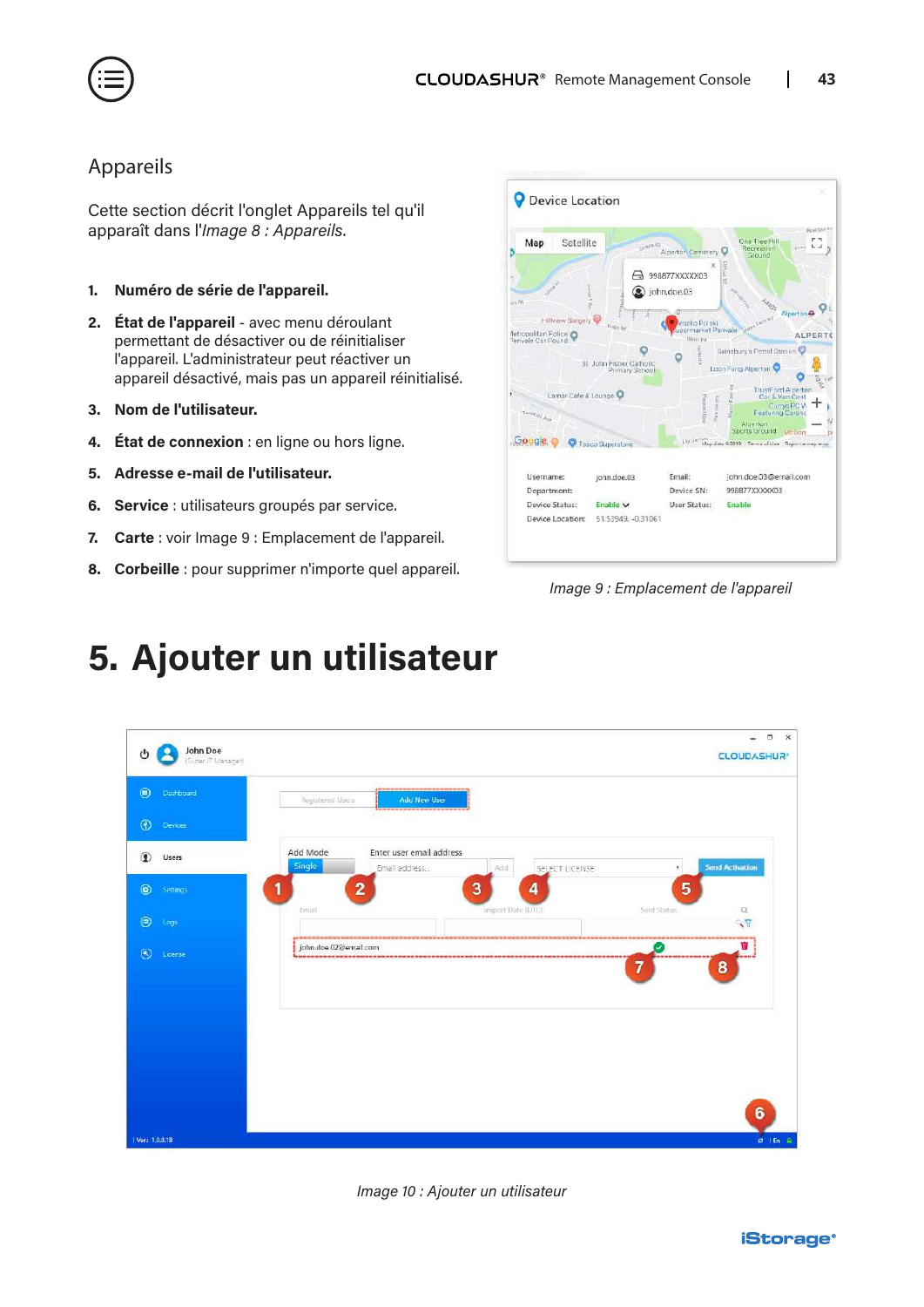<span id="page-42-0"></span>![](_page_42_Picture_0.jpeg)

### Appareils

Cette section décrit l'onglet Appareils tel qu'il apparaît dans l'*Image 8 : Appareils*.

- **1. Numéro de série de l'appareil.**
- **2. État de l'appareil** avec menu déroulant permettant de désactiver ou de réinitialiser l'appareil. L'administrateur peut réactiver un appareil désactivé, mais pas un appareil réinitialisé.
- **3. Nom de l'utilisateur.**
- **4. État de connexion** : en ligne ou hors ligne.
- **5. Adresse e-mail de l'utilisateur.**
- **6. Service** : utilisateurs groupés par service.
- **7. Carte** : voir Image 9 : Emplacement de l'appareil.
- **8. Corbeille** : pour supprimer n'importe quel appareil.

![](_page_42_Picture_12.jpeg)

*Image 9 : Emplacement de l'appareil*

# **5. Ajouter un utilisateur**

![](_page_42_Figure_15.jpeg)

*Image 10 : Ajouter un utilisateur*

![](_page_42_Picture_17.jpeg)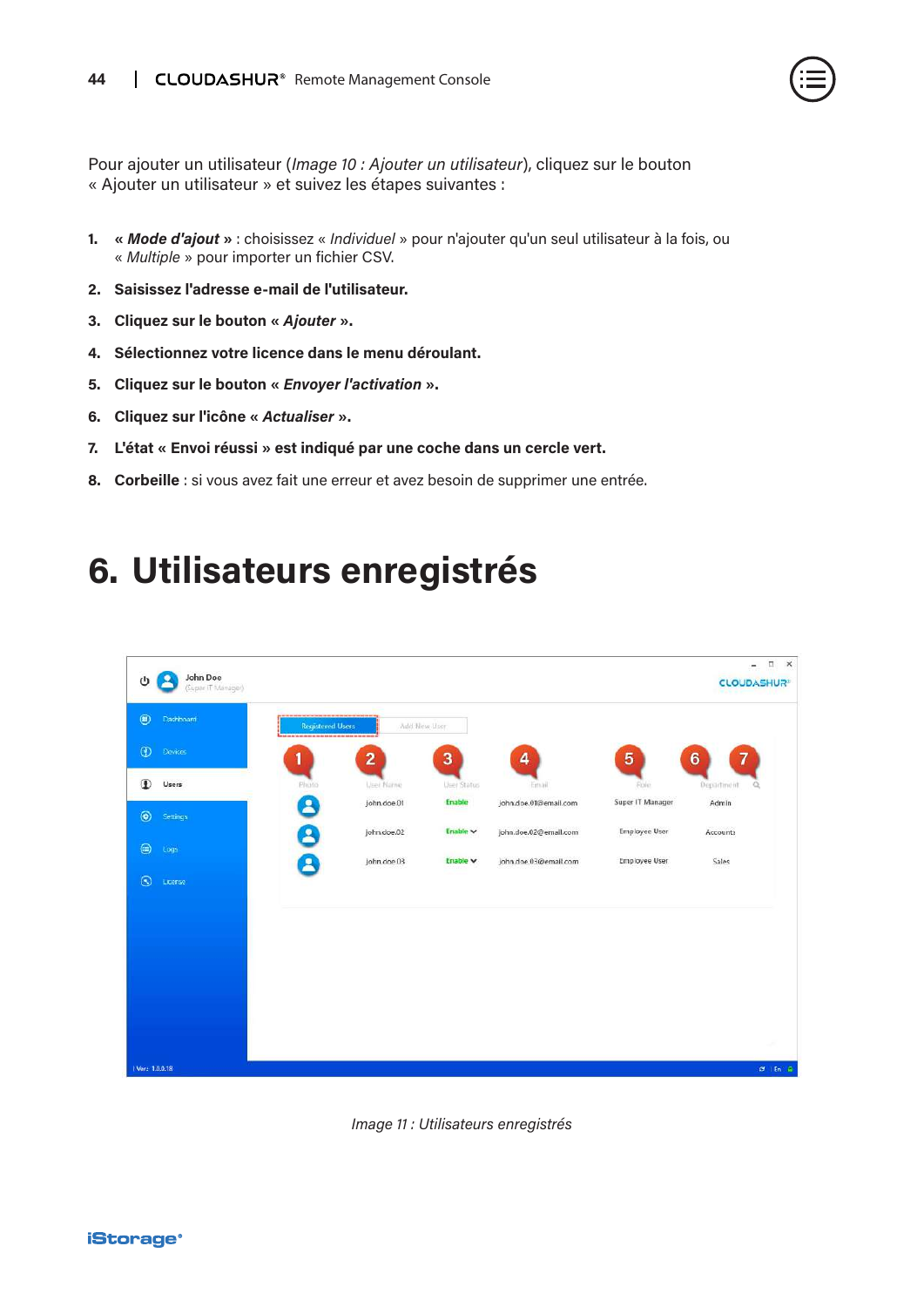![](_page_43_Picture_1.jpeg)

<span id="page-43-0"></span>Pour ajouter un utilisateur (*Image 10 : Ajouter un utilisateur*), cliquez sur le bouton « Ajouter un utilisateur » et suivez les étapes suivantes :

- **1. «** *Mode d'ajout* **»** : choisissez « *Individuel* » pour n'ajouter qu'un seul utilisateur à la fois, ou « *Multiple* » pour importer un fichier CSV.
- **2. Saisissez l'adresse e-mail de l'utilisateur.**
- **3. Cliquez sur le bouton «** *Ajouter* **».**
- **4. Sélectionnez votre licence dans le menu déroulant.**
- **5. Cliquez sur le bouton «** *Envoyer l'activation* **».**
- **6. Cliquez sur l'icône «** *Actualiser* **».**
- **7. L'état « Envoi réussi » est indiqué par une coche dans un cercle vert.**
- **8. Corbeille** : si vous avez fait une erreur et avez besoin de supprimer une entrée.

### **6. Utilisateurs enregistrés**

![](_page_43_Picture_12.jpeg)

![](_page_43_Figure_13.jpeg)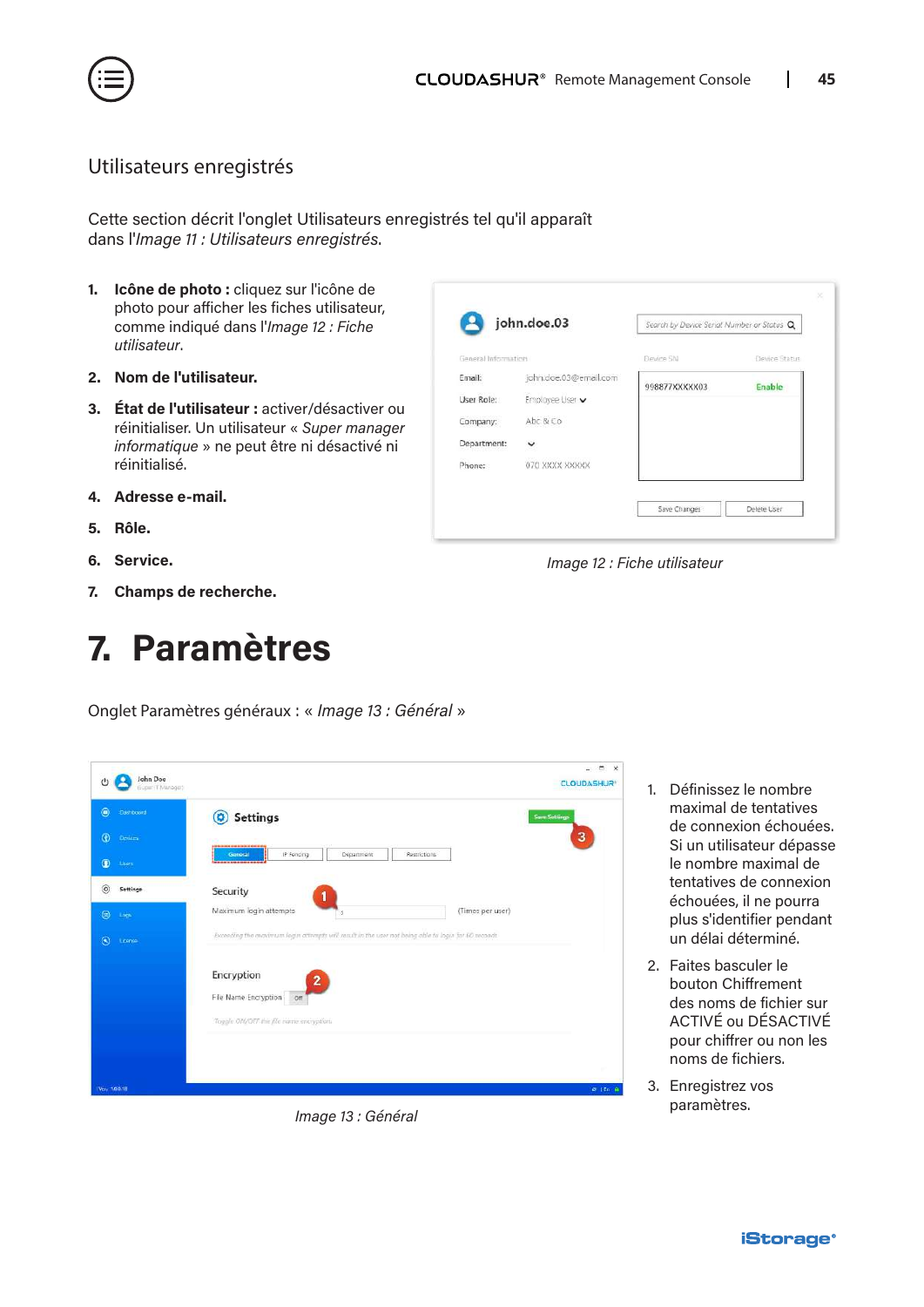<span id="page-44-0"></span>![](_page_44_Picture_0.jpeg)

#### Utilisateurs enregistrés

Cette section décrit l'onglet Utilisateurs enregistrés tel qu'il apparaît dans l'*Image 11 : Utilisateurs enregistrés*.

- **1. Icône de photo :** cliquez sur l'icône de photo pour afficher les fiches utilisateur, comme indiqué dans l'*Image 12 : Fiche utilisateur*.
- **2. Nom de l'utilisateur.**
- **3. État de l'utilisateur :** activer/désactiver ou réinitialiser. Un utilisateur « *Super manager informatique* » ne peut être ni désactivé ni réinitialisé.
- **4. Adresse e-mail.**
- **5. Rôle.**
- **6. Service.**
- **7. Champs de recherche.**

### **7. Paramètres**

Onglet Paramètres généraux : « *Image 13 : Général* »

| John Doe<br>دام<br>(Euper IT Manager) |                                                                                                     | <b>CLOUDASHUR</b>    |
|---------------------------------------|-----------------------------------------------------------------------------------------------------|----------------------|
| $^{\circ}$<br><b>Cashboard</b>        | <b>Settings</b><br>$\boldsymbol{\Omega}$                                                            | <b>Save Settings</b> |
| $\circ$<br>Devices.                   |                                                                                                     | 3                    |
| $\bullet$<br>Liser                    | IP Foncing<br>Department<br>Restrictions<br>General<br>------------                                 |                      |
| $^{\circ}$<br>Settings                | Security                                                                                            |                      |
| $\circledcirc$<br>Logs                | Maximum login attempts<br>(Times per user)<br>3                                                     |                      |
| $\odot$<br>tionne                     | Exceeding the maximum login attempts will result in the user not being able to login for 60 woonds. |                      |
|                                       | Encryption<br>$\mathbf{2}$                                                                          |                      |
|                                       | File Name Encryption on                                                                             |                      |
|                                       | Toggle ON/OFF the file name encryption.                                                             |                      |
|                                       |                                                                                                     |                      |
|                                       |                                                                                                     |                      |
| Ver. 100.18                           |                                                                                                     | $C = 1$ En $R$       |

*Image 13 : Général*

| john.doe.03           | Search by Device Serial Number or Status Q |               |
|-----------------------|--------------------------------------------|---------------|
|                       | Devine SN                                  | Device Status |
| john.doe.03@email.com |                                            | Enable        |
| Employee User v       |                                            |               |
| Abc & Co              |                                            |               |
| v                     |                                            |               |
| 070 XXXX XXXXX        |                                            |               |
|                       | General Information                        | 998877XXXXX03 |

*Image 12 : Fiche utilisateur*

- 1. Définissez le nombre maximal de tentatives de connexion échouées. Si un utilisateur dépasse le nombre maximal de tentatives de connexion échouées, il ne pourra plus s'identifier pendant un délai déterminé.
- 2. Faites basculer le bouton Chiffrement des noms de fichier sur ACTIVÉ ou DÉSACTIVÉ pour chiffrer ou non les noms de fichiers.
- 3. Enregistrez vos paramètres.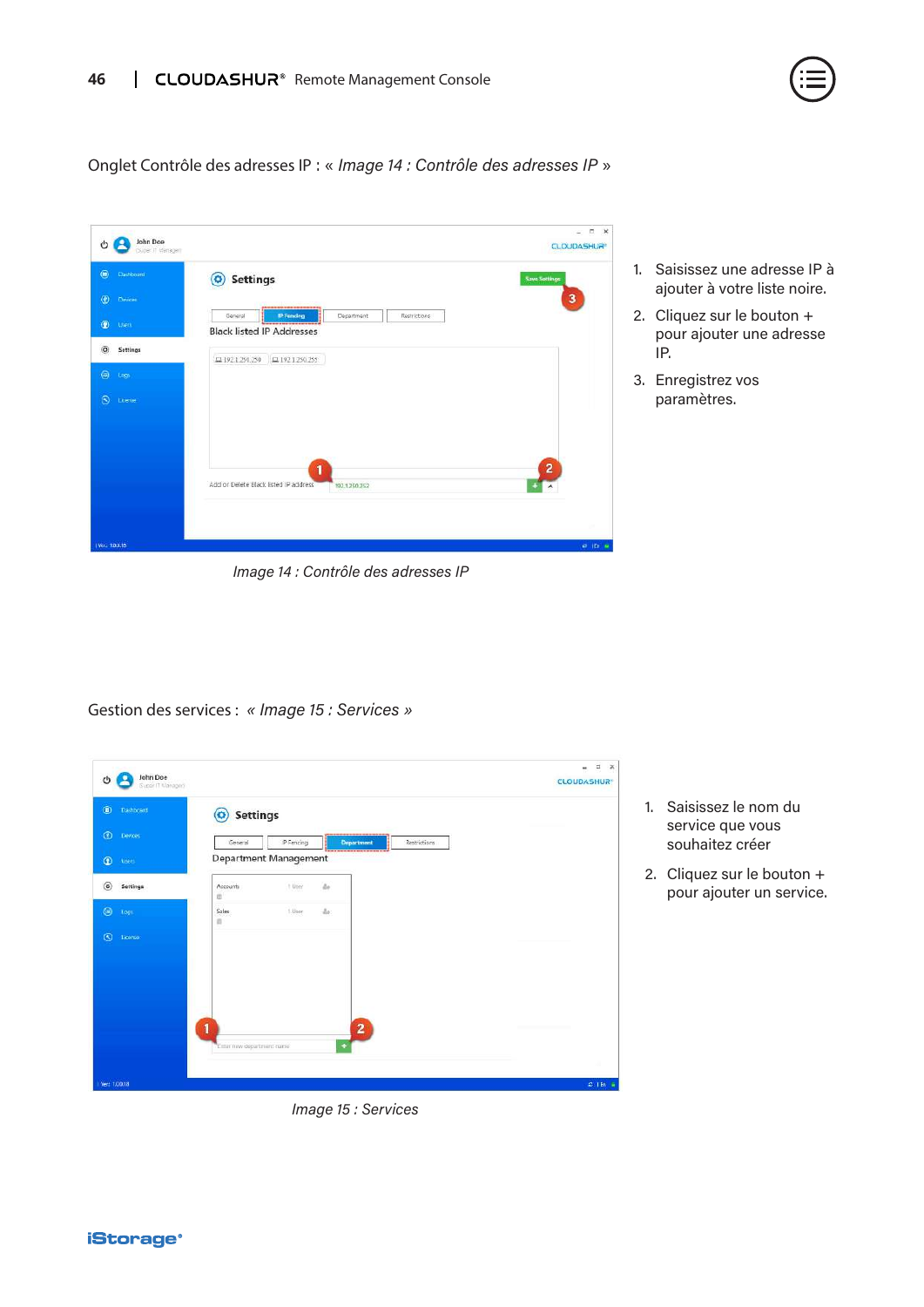![](_page_45_Picture_1.jpeg)

Onglet Contrôle des adresses IP : « *Image 14 : Contrôle des adresses IP* »

![](_page_45_Picture_3.jpeg)

*Image 14 : Contrôle des adresses IP*

IP. 3. Enregistrez vos paramètres.

Gestion des services : *« Image 15 : Services »*

| $^{\circ}$<br>Dashboard        | <b>Settings</b><br>$\bullet$ |            |                         |              |  |
|--------------------------------|------------------------------|------------|-------------------------|--------------|--|
| $\circledcirc$<br>Devoes       | General                      | IP Fencing | Department              | Restrictions |  |
| $\circledast$<br><b>User</b> . | Department Management        |            | <b>SHOPPING</b>         |              |  |
| $\circledcirc$<br>Settings     | Accounts<br>血                | t User     | ä.                      |              |  |
| $\circledcirc$<br>$\log$       | Sales<br>n                   | 1.User     | $\Delta r$              |              |  |
| $\odot$<br>License             |                              |            |                         |              |  |
|                                |                              |            |                         |              |  |
|                                |                              |            |                         |              |  |
|                                |                              |            |                         |              |  |
|                                | 1                            |            | $\overline{\mathbf{2}}$ |              |  |
|                                | Enter new department name    |            | ٠                       |              |  |

*Image 15 : Services*

1. Saisissez le nom du service que vous souhaitez créer

1. Saisissez une adresse IP à ajouter à votre liste noire.

2. Cliquez sur le bouton + pour ajouter une adresse

2. Cliquez sur le bouton + pour ajouter un service.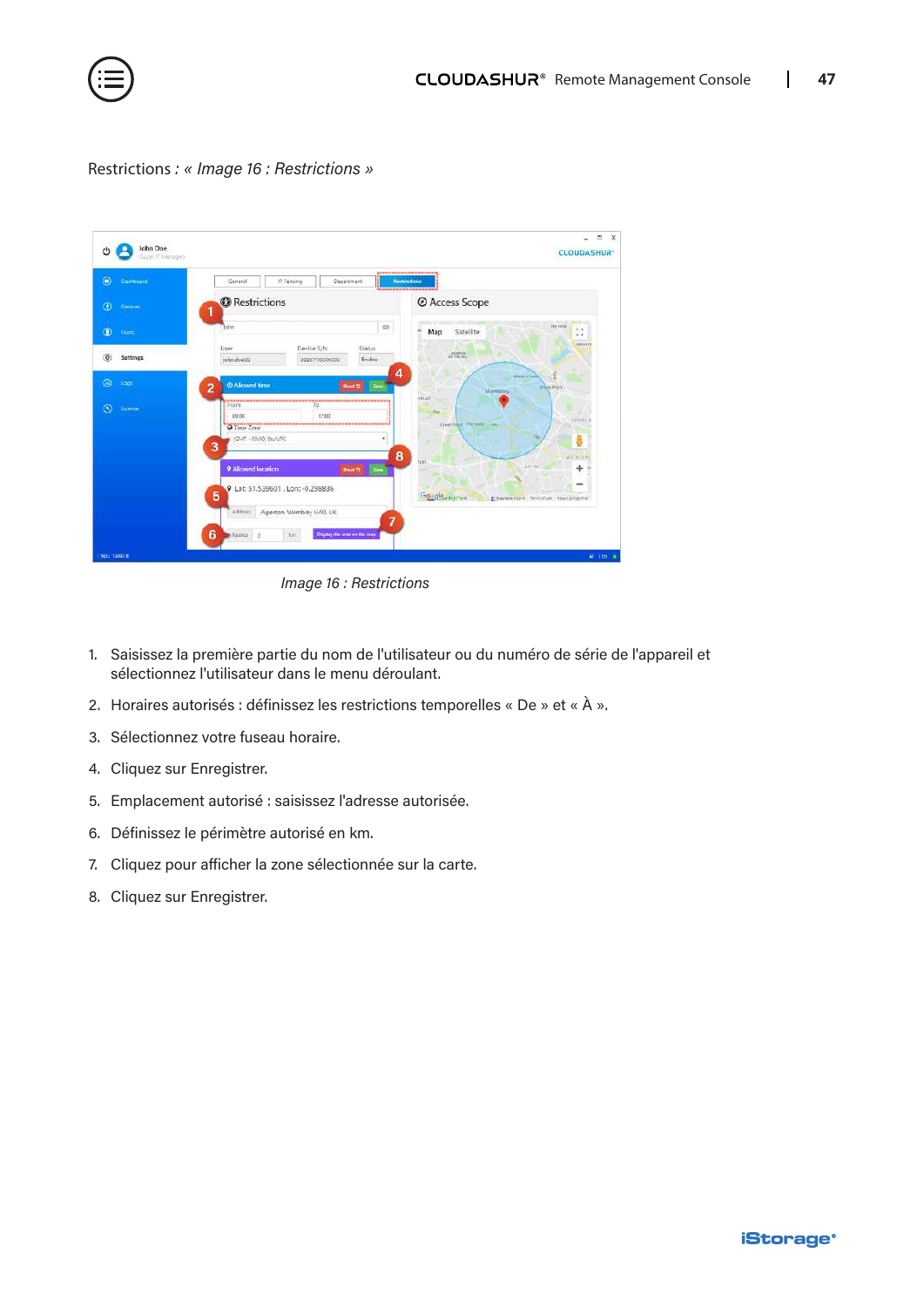![](_page_46_Picture_0.jpeg)

#### Restrictions *: « Image 16 : Restrictions »*

| $\bullet$<br>Dashboard     | IP Fencing<br><b>Department</b><br>General<br>,,,,,,,,,,,,                      | ---------<br><b>Nestrictions</b>                                         |
|----------------------------|---------------------------------------------------------------------------------|--------------------------------------------------------------------------|
| $\circ$<br>Dewces          | <b>O</b> Restrictions<br>1                                                      | @ Access Scope                                                           |
| $\circledcirc$<br>them     | $\equiv$<br>John                                                                | <b>THE HVEE</b><br>$r - 1$<br>ü<br>Satellite<br>Map<br>L, J              |
| $\circledcirc$<br>Settings | User<br>Device S/N<br><b>Status</b><br>john.doe.02<br>Enable<br>998877XXXXXX    | <b>BENTO</b><br>AMARCHE                                                  |
| $\circledcirc$<br>Logs     | 4<br><b>O</b> Allowed time<br>$\overline{2}$<br>See<br><b>Revolt Ct</b>         | WHEN COASTS.<br><b>Breat Park</b><br>Wembley                             |
| $\circledcirc$<br>License  | From<br>To<br>17:00<br>09:05<br><b>O</b> Time Zone<br>IGMT +00:00: Etc/UTC<br>3 | <b>othair</b><br>585<br><b>ETNIALS</b><br>Greenfeld Pernalt Late<br>뤻    |
|                            | 8<br>9 Allowed location<br>Reset 13<br>Sem<br>Q Lat: 51.539601, Lon: -0.298836  | WHITE EIT?<br>tion<br>ATTON'<br>÷<br>$-$                                 |
|                            | 5<br>Alperton, Wembley HAO, UK<br>Address<br>$\overline{7}$                     | Goggle elevent<br>Et Map data tripine Termi of Lier   Report a map enter |

*Image 16 : Restrictions*

- 1. Saisissez la première partie du nom de l'utilisateur ou du numéro de série de l'appareil et sélectionnez l'utilisateur dans le menu déroulant.
- 2. Horaires autorisés : définissez les restrictions temporelles « De » et « À ».
- 3. Sélectionnez votre fuseau horaire.
- 4. Cliquez sur Enregistrer.
- 5. Emplacement autorisé : saisissez l'adresse autorisée.
- 6. Définissez le périmètre autorisé en km.
- 7. Cliquez pour afficher la zone sélectionnée sur la carte.
- 8. Cliquez sur Enregistrer.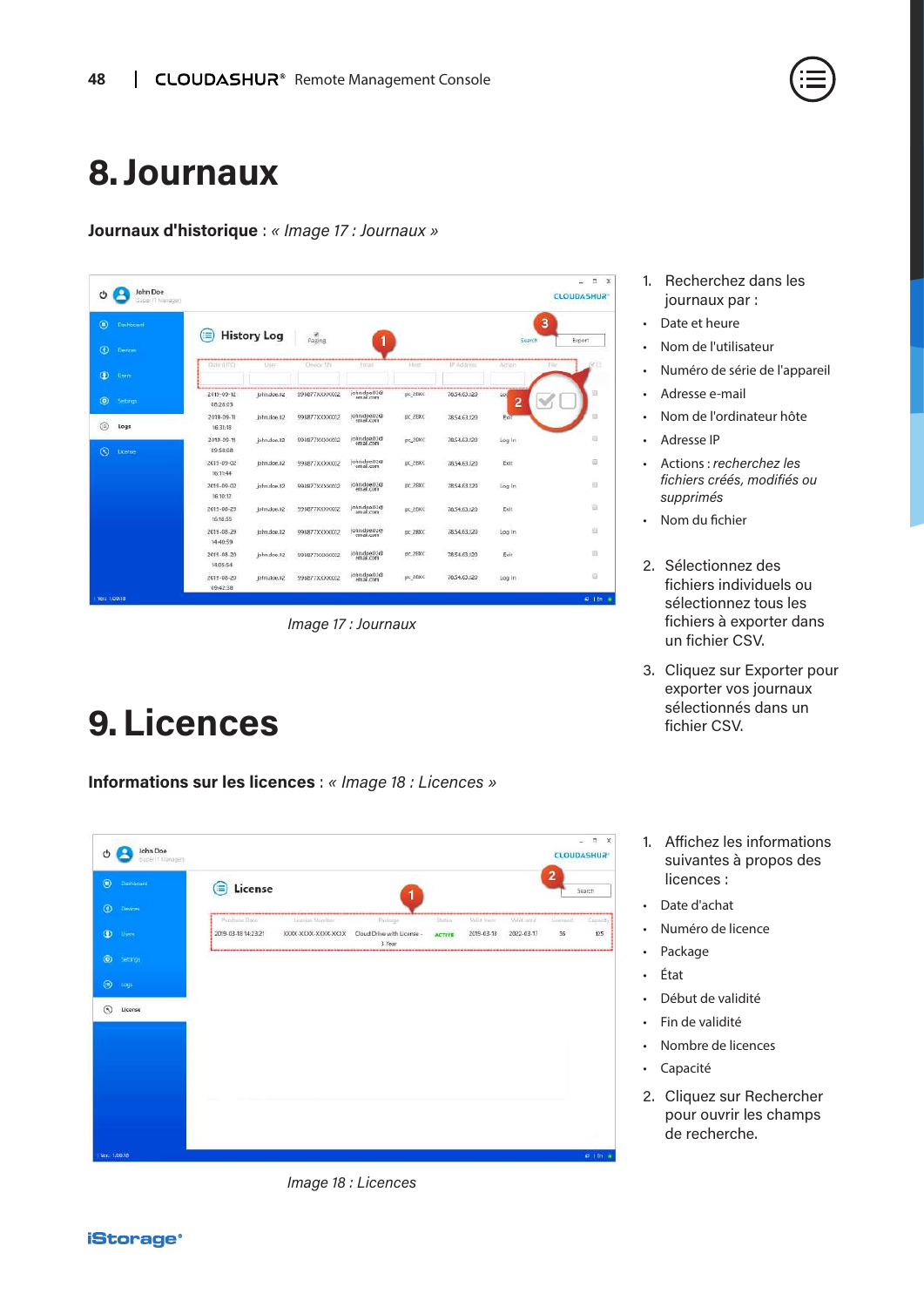### <span id="page-47-0"></span>**8. Journaux**

**Journaux d'historique** : *« Image 17 : Journaux »*

| John Doe<br>$^{\prime}$<br>Guper (7 Mariager) |                              |                    |                 |                           |           |              |          | $\Box$ x<br>÷<br><b>CLOUDASHUR®</b> |
|-----------------------------------------------|------------------------------|--------------------|-----------------|---------------------------|-----------|--------------|----------|-------------------------------------|
| $\circledcirc$<br>Dashbelant                  | ≡                            | <b>History Log</b> | Paging          |                           |           |              | Search   | 3                                   |
| $\odot$<br><b>Devices</b>                     |                              |                    |                 | 1                         |           |              |          | Export                              |
| $\bullet$<br>Users                            | Date (UTC)                   | User               | Device Shi      | Etrail                    | Hond      | IP Address   | Action   | <b>Filte</b>                        |
| $\circledcirc$<br>Settings                    | 2019-09-12<br>08:28:03       | john.doe.02        | 998877XXXXXXX   | john.doe.02@<br>email.com | pc 2BXC   | 78.54.63.120 | Log<br>2 |                                     |
| ⊜<br>Logs                                     | 2019-09-11<br>16:31:18       | john.doe.02        | 998877XXXXXXII2 | john.doe.02@<br>email.com | pc_2BXC   | 7854.63.120  | Exit     |                                     |
| $\odot$<br><b>License</b>                     | 2019-09-11<br>09:58:08       | john.doe.02        | 998877XXXXXXI   | john.doe.02@<br>email.com | $pc20$ XC | 78,54,63,120 | Log In   | ₿                                   |
|                                               | $2019 - 09 - 02$<br>16:11:44 | john.doe.02        | 998877XXXXXXD2  | john doe.02@<br>email.com | DK 2BXC   | 78.54.63.120 | Exit     | 司                                   |
|                                               | 2019-09-02<br>16:10:12       | john.doe.02        | 998877XXXXX002  | john.doe.02@<br>email.com | DC 28XC   | 78.54.63.120 | Log In   | B                                   |
|                                               | 2019-08-29<br>16:18:55       | john.doe.02        | 998877XXXXXX02  | john.doe.02@<br>email.com | DC_2BXC   | 78,54,63,120 | Exit     | 云                                   |
|                                               | 2019-08-29<br>14:40:59       | john.dop.02        | 998877XXXXXX02  | john.doe.02@              | DC 2BXC   | 78.54.63.120 | Log In   | 辺                                   |
|                                               | 2019-08-20<br>14:05:54       | john.doe.02        | 99BB77XXXXXXII2 | john.doe.02@<br>email.com | pc_2BXC   | 78.54.63.120 | Exit     | 亚                                   |
|                                               | 2019-08-20<br>09:42:38       | john.cloe.02       | 998877XXXXXX    | john.doe.02@              | pc 28XC   | 78.54.63.120 | Log In   | €                                   |
| Verz 1,00.18                                  |                              |                    |                 |                           |           |              |          | <b>41.1 En.</b> 19                  |

*Image 17 : Journaux*

### **9.Licences**

**Informations sur les licences** : *« Image 18 : Licences »*

| $^{\circ}$<br>Dishboard   | License<br>≘                                |                      |                                      |                |            |            | $\overline{2}$ | Suarch  |
|---------------------------|---------------------------------------------|----------------------|--------------------------------------|----------------|------------|------------|----------------|---------|
| $\circledcirc$<br>Devices | ,,,,,,,,,,,,,,,,,,,,,,,,,,<br>Punchase Date | Licorise filumber    | Padaigo                              | <b>Disting</b> | Make Ingmi | Valid with | Licensed       | Camiddy |
| $\bullet$<br><b>Users</b> | 2019-03-18 14:23:21                         | XIOOC-XXXX-XXXX-XXXX | Cloud Drive with License -<br>3 Year | <b>ACTIVE</b>  | 2019-03-18 | 2022-03-17 | 36             | 125     |
| $\odot$<br>Settings:      |                                             |                      |                                      |                |            |            |                |         |
|                           |                                             |                      |                                      |                |            |            |                |         |
| $\circ$<br>Logs:          |                                             |                      |                                      |                |            |            |                |         |
| $\circledcirc$<br>License |                                             |                      |                                      |                |            |            |                |         |
|                           |                                             |                      |                                      |                |            |            |                |         |
|                           |                                             |                      |                                      |                |            |            |                |         |
|                           |                                             |                      |                                      |                |            |            |                |         |
|                           |                                             |                      |                                      |                |            |            |                |         |
|                           |                                             |                      |                                      |                |            |            |                |         |

*Image 18 : Licences*

- 1. Recherchez dans les journaux par :
- Date et heure
- Nom de l'utilisateur
- Numéro de série de l'appareil
- Adresse e-mail
- Nom de l'ordinateur hôte
- Adresse IP
- Actions : *recherchez les fichiers créés, modifiés ou supprimés*
- Nom du fichier
- 2. Sélectionnez des fichiers individuels ou sélectionnez tous les fichiers à exporter dans un fichier CSV.
- 3. Cliquez sur Exporter pour exporter vos journaux sélectionnés dans un fichier CSV.
- 1. Affichez les informations suivantes à propos des licences :
- Date d'achat
- Numéro de licence
- Package
- État
- Début de validité
- Fin de validité
- Nombre de licences
- Capacité
- 2. Cliquez sur Rechercher pour ouvrir les champs de recherche.